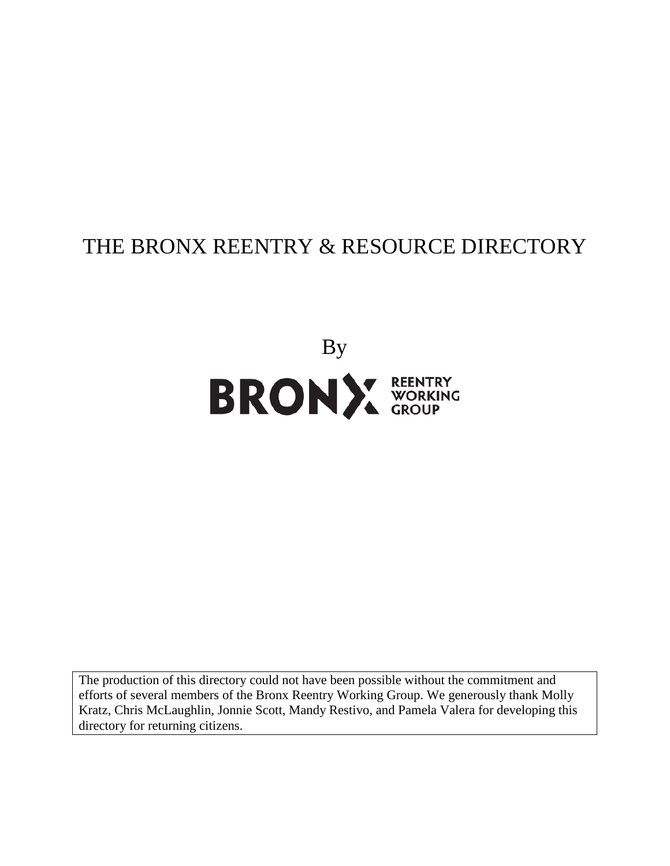# THE BRONX REENTRY & RESOURCE DIRECTORY



The production of this directory could not have been possible without the commitment and efforts of several members of the Bronx Reentry Working Group. We generously thank Molly Kratz, Chris McLaughlin, Jonnie Scott, Mandy Restivo, and Pamela Valera for developing this directory for returning citizens.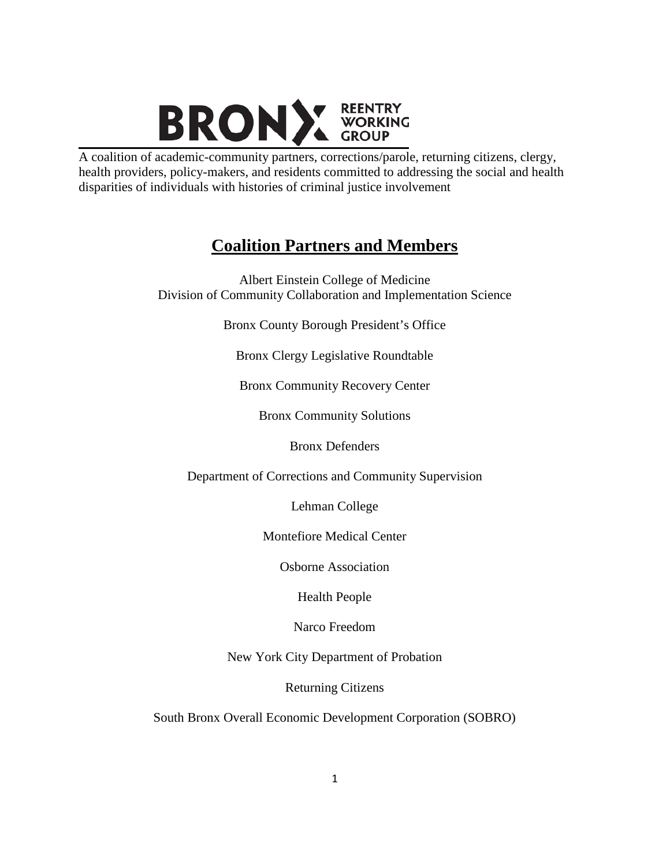

A coalition of academic-community partners, corrections/parole, returning citizens, clergy, health providers, policy-makers, and residents committed to addressing the social and health disparities of individuals with histories of criminal justice involvement

## **Coalition Partners and Members**

Albert Einstein College of Medicine Division of Community Collaboration and Implementation Science

Bronx County Borough President's Office

Bronx Clergy Legislative Roundtable

Bronx Community Recovery Center

Bronx Community Solutions

Bronx Defenders

Department of Corrections and Community Supervision

Lehman College

Montefiore Medical Center

Osborne Association

Health People

Narco Freedom

New York City Department of Probation

Returning Citizens

South Bronx Overall Economic Development Corporation (SOBRO)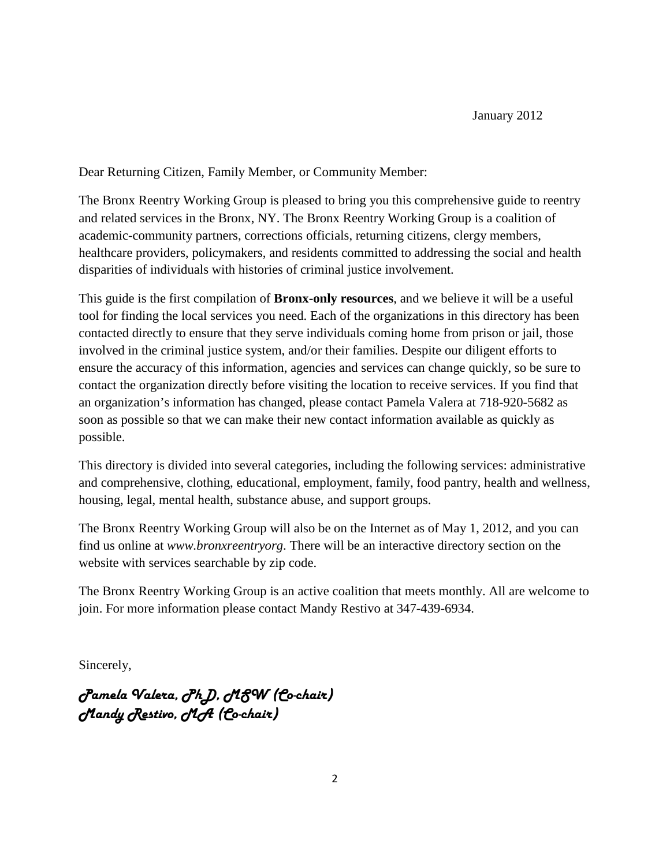Dear Returning Citizen, Family Member, or Community Member:

The Bronx Reentry Working Group is pleased to bring you this comprehensive guide to reentry and related services in the Bronx, NY. The Bronx Reentry Working Group is a coalition of academic-community partners, corrections officials, returning citizens, clergy members, healthcare providers, policymakers, and residents committed to addressing the social and health disparities of individuals with histories of criminal justice involvement.

This guide is the first compilation of **Bronx-only resources**, and we believe it will be a useful tool for finding the local services you need. Each of the organizations in this directory has been contacted directly to ensure that they serve individuals coming home from prison or jail, those involved in the criminal justice system, and/or their families. Despite our diligent efforts to ensure the accuracy of this information, agencies and services can change quickly, so be sure to contact the organization directly before visiting the location to receive services. If you find that an organization's information has changed, please contact Pamela Valera at 718-920-5682 as soon as possible so that we can make their new contact information available as quickly as possible.

This directory is divided into several categories, including the following services: administrative and comprehensive, clothing, educational, employment, family, food pantry, health and wellness, housing, legal, mental health, substance abuse, and support groups.

The Bronx Reentry Working Group will also be on the Internet as of May 1, 2012, and you can find us online at *www.bronxreentryorg*. There will be an interactive directory section on the website with services searchable by zip code.

The Bronx Reentry Working Group is an active coalition that meets monthly. All are welcome to join. For more information please contact Mandy Restivo at 347-439-6934.

Sincerely,

Pamela Valera, PhD, MSW (Co-chair) Mandy Restivo, MA (Co-chair)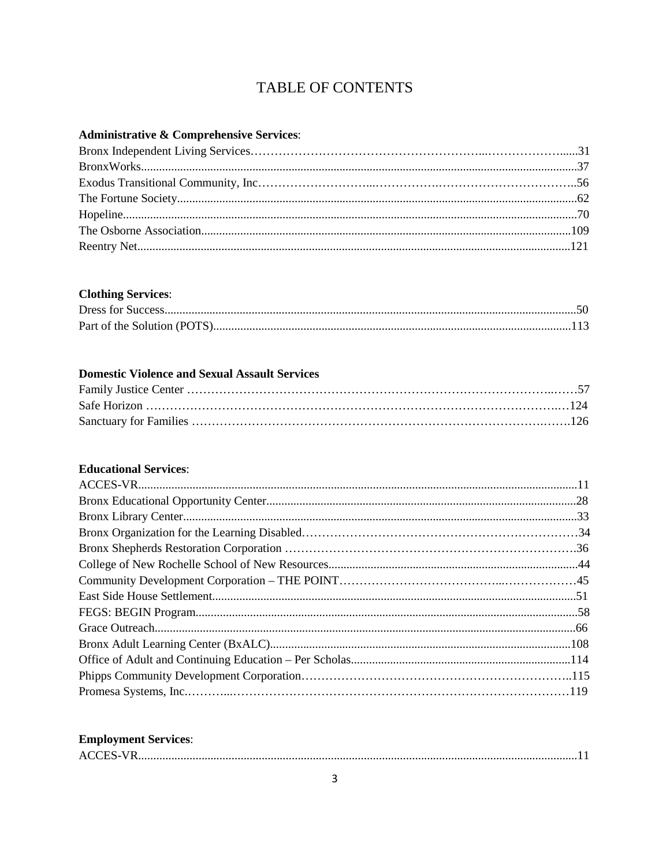## TABLE OF CONTENTS

#### Administrative & Comprehensive Services:

#### **Clothing Services:**

#### **Domestic Violence and Sexual Assault Services**

#### **Educational Services:**

#### **Employment Services:**

| ____ |
|------|
|------|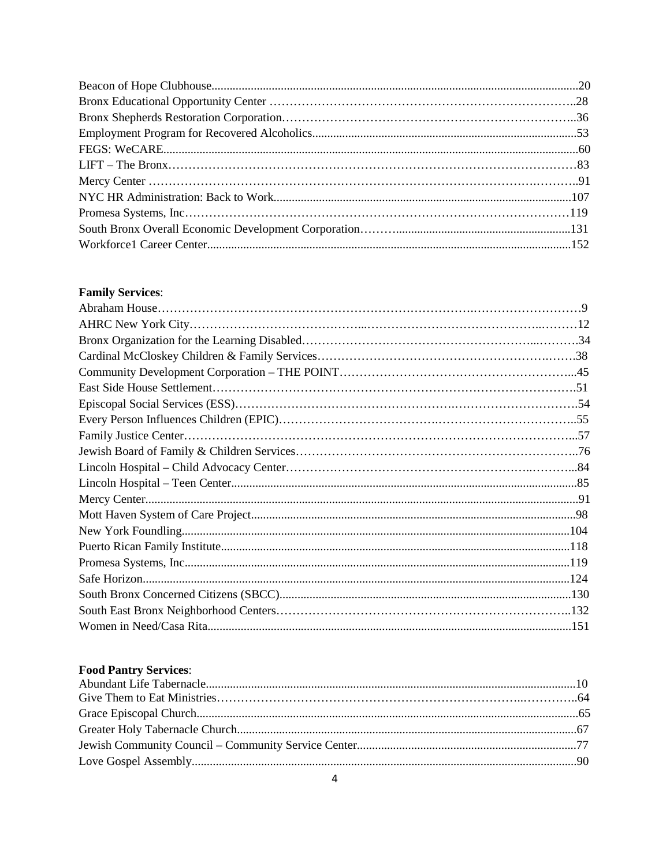### **Family Services:**

### **Food Pantry Services:**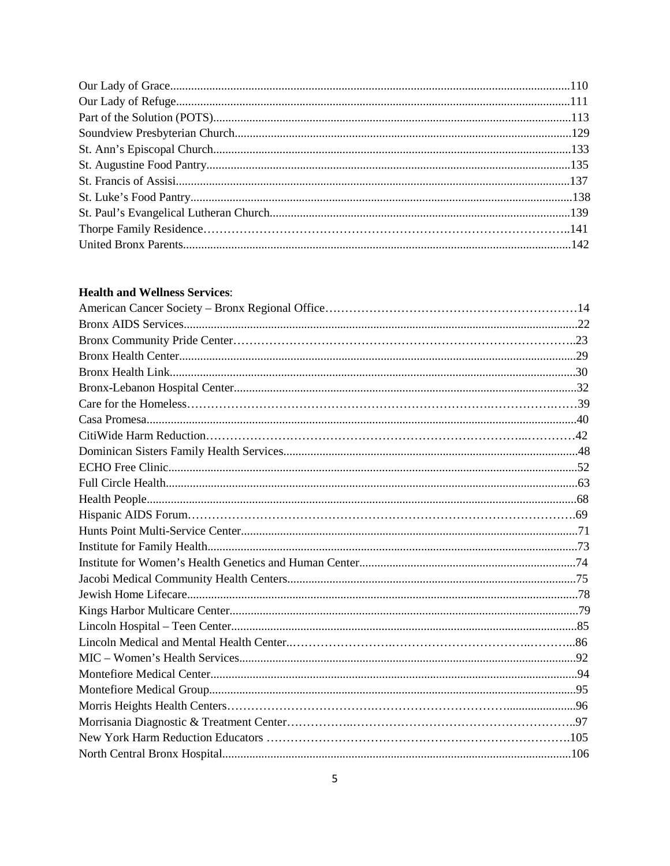#### **Health and Wellness Services:**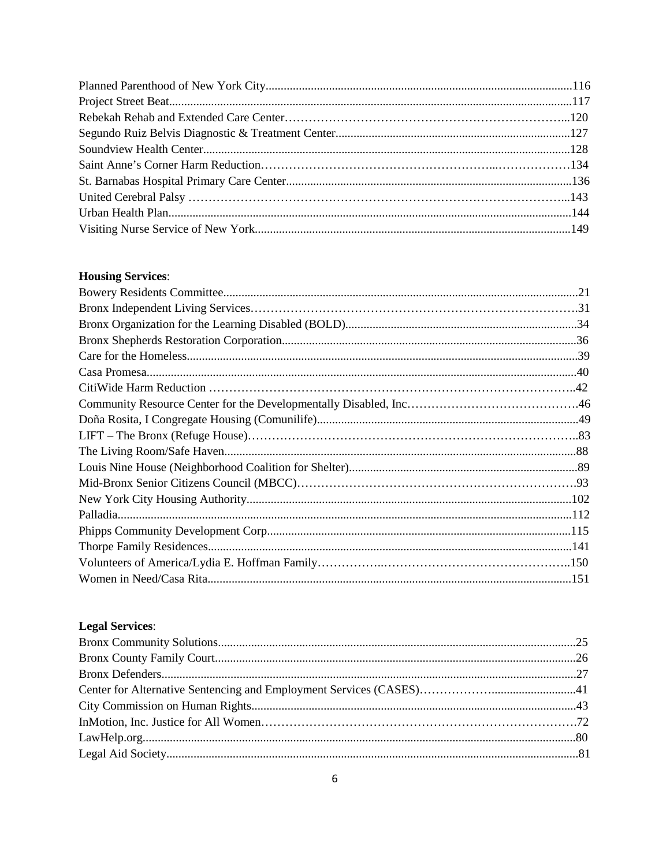#### **Housing Services:**

### **Legal Services:**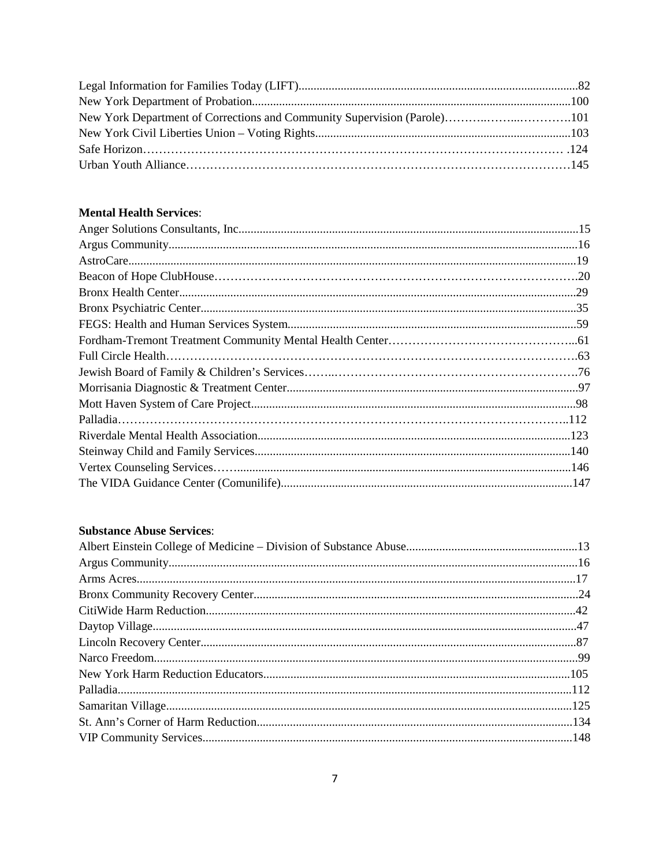### **Mental Health Services:**

#### **Substance Abuse Services:**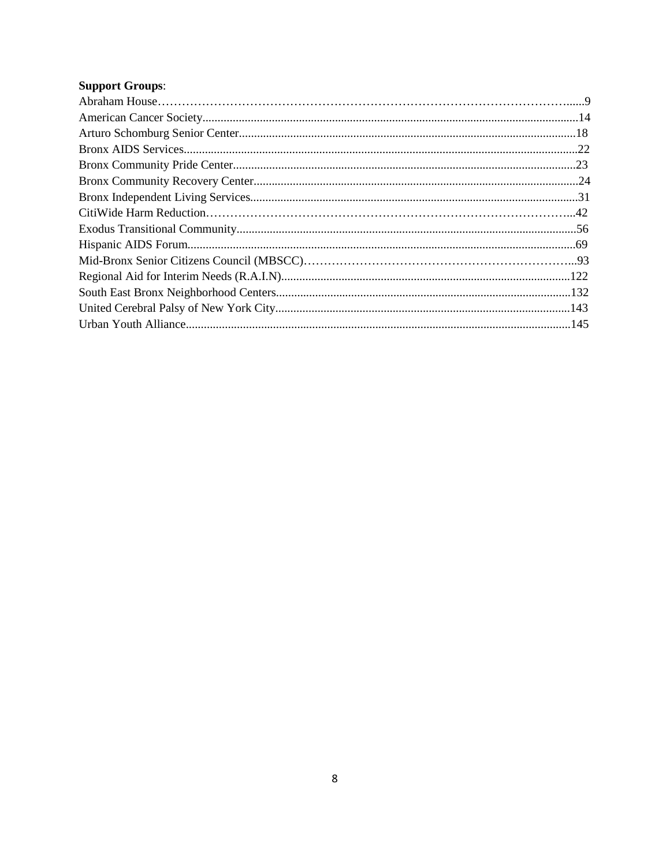### **Support Groups:**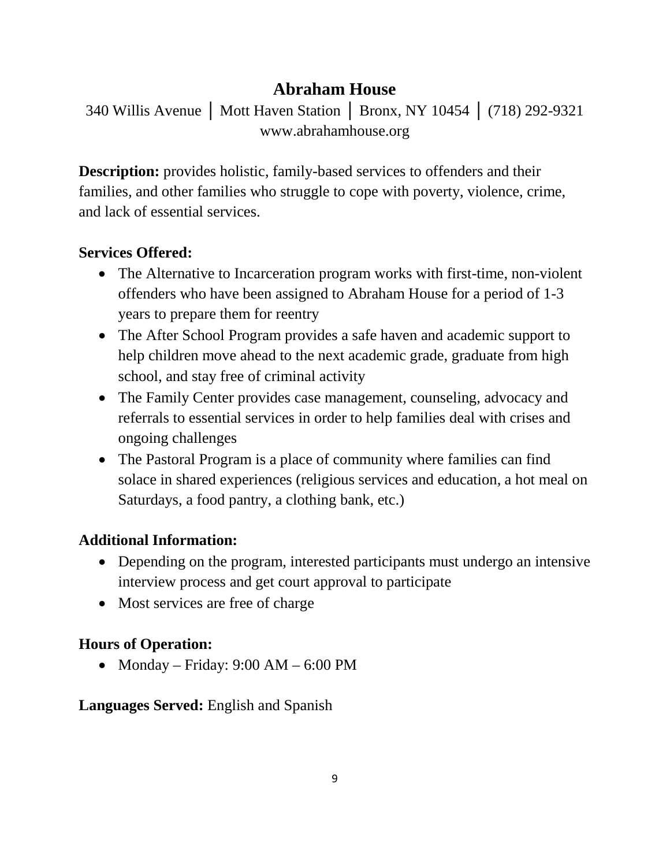## **Abraham House**

340 Willis Avenue │ Mott Haven Station │ Bronx, NY 10454 │ (718) 292-9321 www.abrahamhouse.org

**Description:** provides holistic, family-based services to offenders and their families, and other families who struggle to cope with poverty, violence, crime, and lack of essential services.

## **Services Offered:**

- The Alternative to Incarceration program works with first-time, non-violent offenders who have been assigned to Abraham House for a period of 1-3 years to prepare them for reentry
- The After School Program provides a safe haven and academic support to help children move ahead to the next academic grade, graduate from high school, and stay free of criminal activity
- The Family Center provides case management, counseling, advocacy and referrals to essential services in order to help families deal with crises and ongoing challenges
- The Pastoral Program is a place of community where families can find solace in shared experiences (religious services and education, a hot meal on Saturdays, a food pantry, a clothing bank, etc.)

## **Additional Information:**

- Depending on the program, interested participants must undergo an intensive interview process and get court approval to participate
- Most services are free of charge

## **Hours of Operation:**

• Monday – Friday:  $9:00$  AM –  $6:00$  PM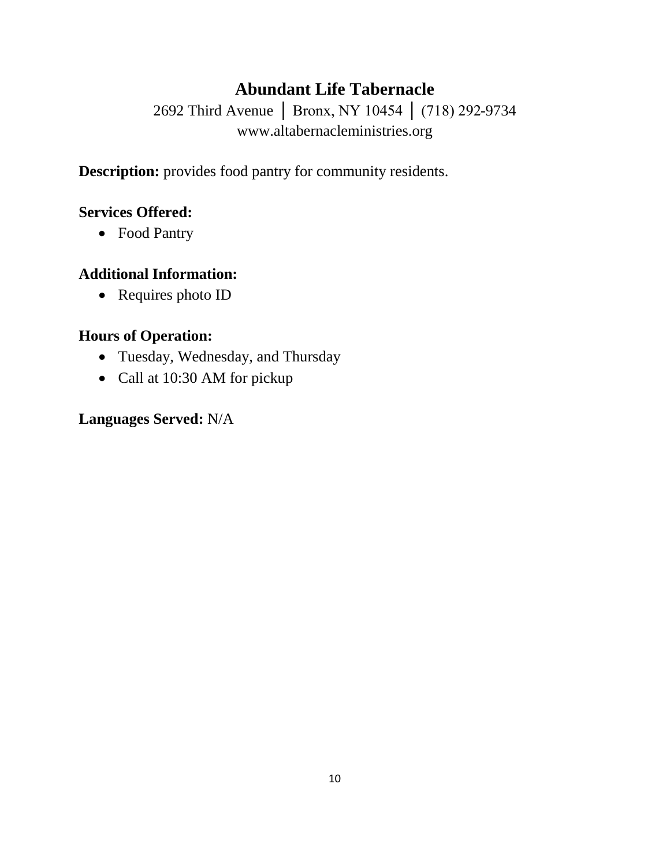## **Abundant Life Tabernacle**

2692 Third Avenue | Bronx, NY 10454 | (718) 292-9734 www.altabernacleministries.org

**Description:** provides food pantry for community residents.

## **Services Offered:**

• Food Pantry

## **Additional Information:**

• Requires photo ID

## **Hours of Operation:**

- Tuesday, Wednesday, and Thursday
- Call at 10:30 AM for pickup

## **Languages Served:** N/A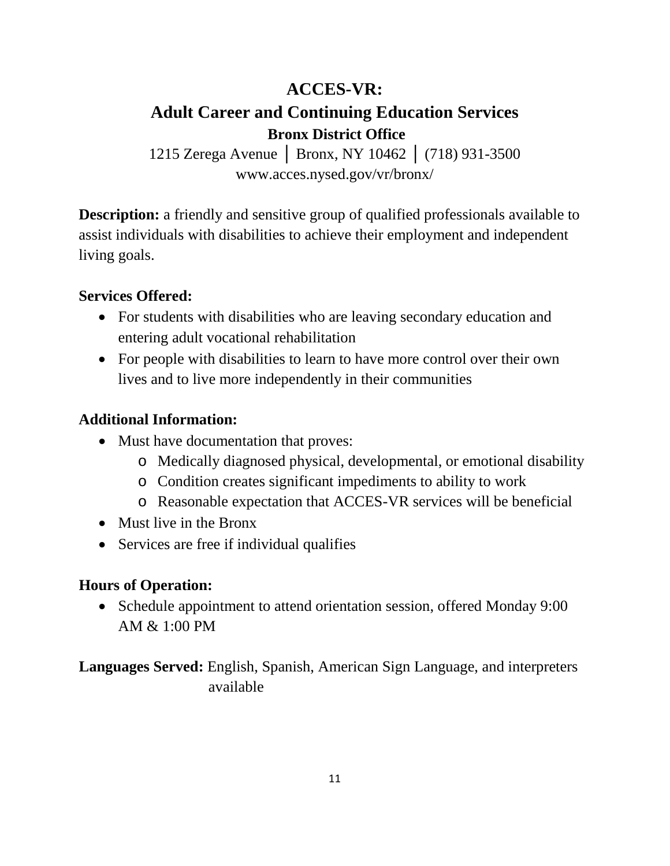## **ACCES-VR: Adult Career and Continuing Education Services Bronx District Office**

1215 Zerega Avenue │ Bronx, NY 10462 │ (718) 931-3500 www.acces.nysed.gov/vr/bronx/

**Description:** a friendly and sensitive group of qualified professionals available to assist individuals with disabilities to achieve their employment and independent living goals.

## **Services Offered:**

- For students with disabilities who are leaving secondary education and entering adult vocational rehabilitation
- For people with disabilities to learn to have more control over their own lives and to live more independently in their communities

### **Additional Information:**

- Must have documentation that proves:
	- o Medically diagnosed physical, developmental, or emotional disability
	- o Condition creates significant impediments to ability to work
	- o Reasonable expectation that ACCES-VR services will be beneficial
- Must live in the Bronx
- Services are free if individual qualifies

### **Hours of Operation:**

• Schedule appointment to attend orientation session, offered Monday 9:00 AM & 1:00 PM

**Languages Served:** English, Spanish, American Sign Language, and interpreters available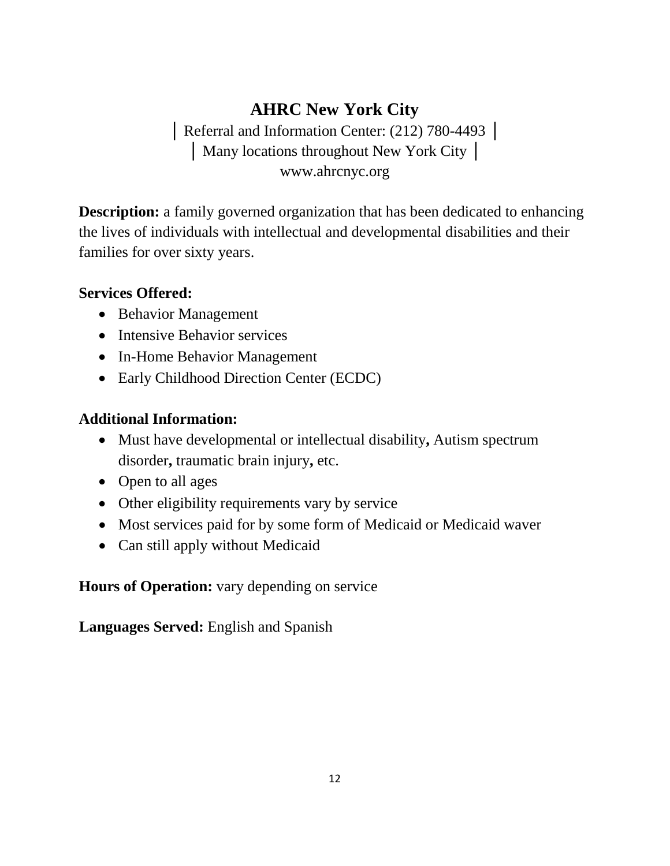# **AHRC New York City**

│ Referral and Information Center: (212) 780-4493 │ │ Many locations throughout New York City │ www.ahrcnyc.org

**Description:** a family governed organization that has been dedicated to enhancing the lives of individuals with intellectual and developmental disabilities and their families for over sixty years.

## **Services Offered:**

- Behavior Management
- Intensive Behavior services
- In-Home Behavior Management
- Early Childhood Direction Center (ECDC)

## **Additional Information:**

- Must have developmental or intellectual disability**,** Autism spectrum disorder**,** traumatic brain injury**,** etc.
- Open to all ages
- Other eligibility requirements vary by service
- Most services paid for by some form of Medicaid or Medicaid waver
- Can still apply without Medicaid

**Hours of Operation:** vary depending on service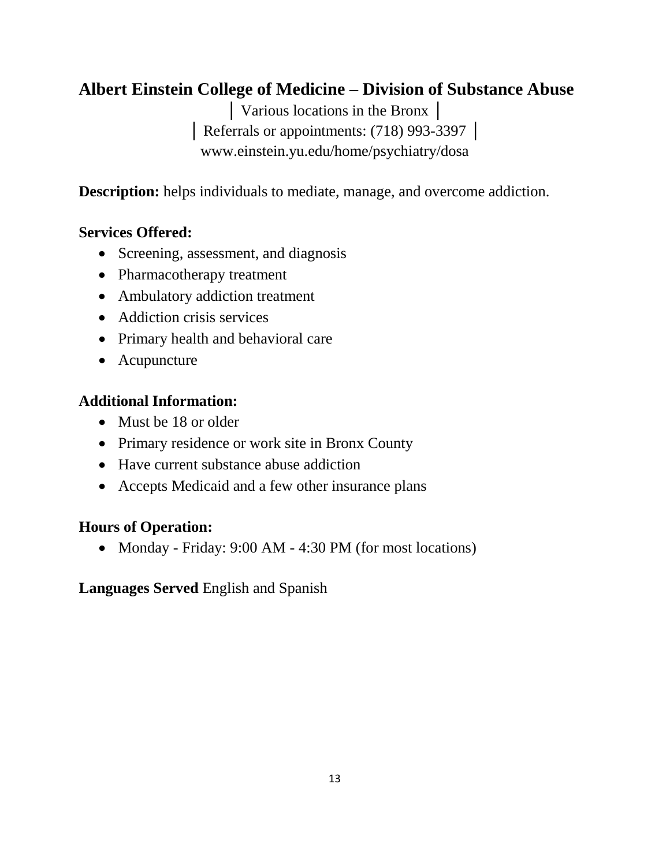# **Albert Einstein College of Medicine – Division of Substance Abuse**

│ Various locations in the Bronx │ │ Referrals or appointments: (718) 993-3397 │ www.einstein.yu.edu/home/psychiatry/dosa

**Description:** helps individuals to mediate, manage, and overcome addiction.

## **Services Offered:**

- Screening, assessment, and diagnosis
- Pharmacotherapy treatment
- Ambulatory addiction treatment
- Addiction crisis services
- Primary health and behavioral care
- Acupuncture

### **Additional Information:**

- Must be 18 or older
- Primary residence or work site in Bronx County
- Have current substance abuse addiction
- Accepts Medicaid and a few other insurance plans

## **Hours of Operation:**

• Monday - Friday: 9:00 AM - 4:30 PM (for most locations)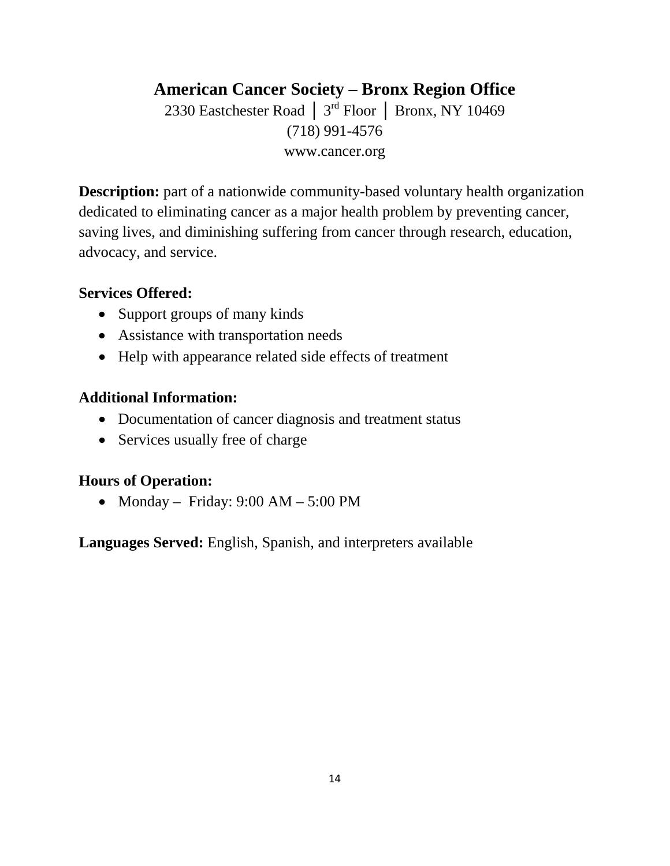## **American Cancer Society – Bronx Region Office**

2330 Eastchester Road │ 3rd Floor │ Bronx, NY 10469 (718) 991-4576 www.cancer.org

**Description:** part of a nationwide community-based voluntary health organization dedicated to eliminating cancer as a major health problem by preventing cancer, saving lives, and diminishing suffering from cancer through research, education, advocacy, and service.

### **Services Offered:**

- Support groups of many kinds
- Assistance with transportation needs
- Help with appearance related side effects of treatment

### **Additional Information:**

- Documentation of cancer diagnosis and treatment status
- Services usually free of charge

## **Hours of Operation:**

• Monday – Friday:  $9:00 \text{ AM} - 5:00 \text{ PM}$ 

**Languages Served:** English, Spanish, and interpreters available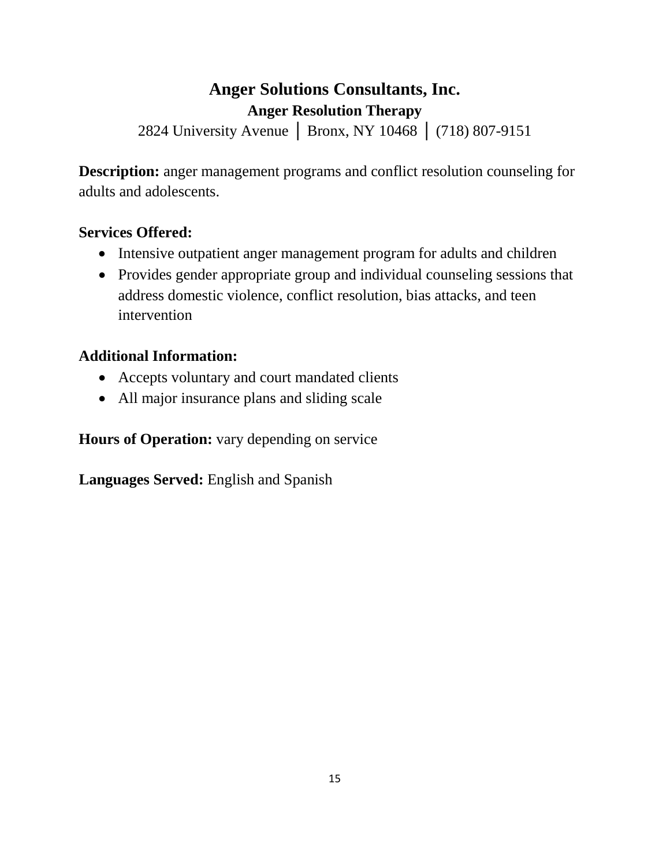## **Anger Solutions Consultants, Inc. Anger Resolution Therapy**

2824 University Avenue │ Bronx, NY 10468 │ (718) 807-9151

**Description:** anger management programs and conflict resolution counseling for adults and adolescents.

## **Services Offered:**

- Intensive outpatient anger management program for adults and children
- Provides gender appropriate group and individual counseling sessions that address domestic violence, conflict resolution, bias attacks, and teen intervention

## **Additional Information:**

- Accepts voluntary and court mandated clients
- All major insurance plans and sliding scale

**Hours of Operation:** vary depending on service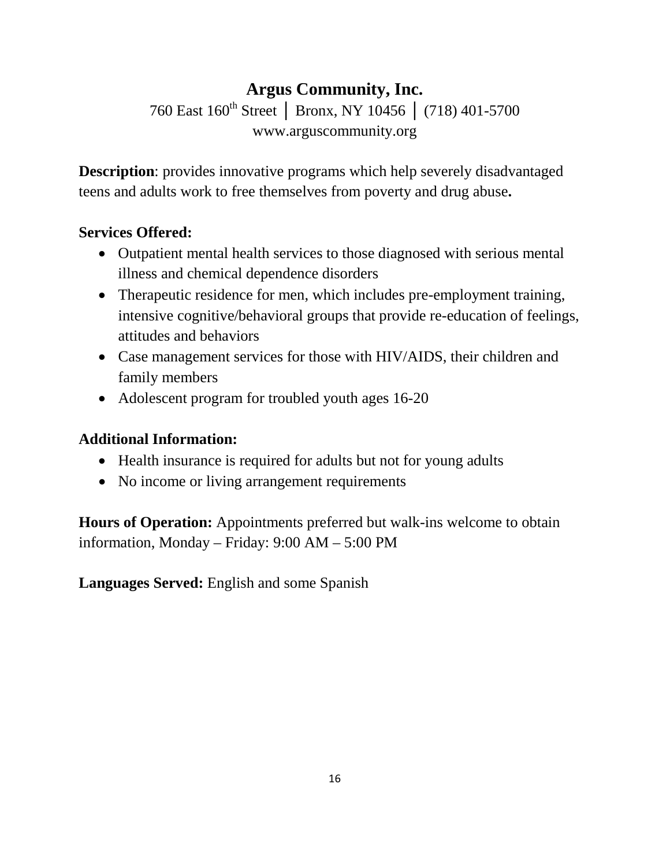# **Argus Community, Inc.**

760 East 160<sup>th</sup> Street │ Bronx, NY 10456 │ (718) 401-5700 www.arguscommunity.org

**Description**: provides innovative programs which help severely disadvantaged teens and adults work to free themselves from poverty and drug abuse**.**

## **Services Offered:**

- Outpatient mental health services to those diagnosed with serious mental illness and chemical dependence disorders
- Therapeutic residence for men, which includes pre-employment training, intensive cognitive/behavioral groups that provide re-education of feelings, attitudes and behaviors
- Case management services for those with HIV/AIDS, their children and family members
- Adolescent program for troubled youth ages 16-20

## **Additional Information:**

- Health insurance is required for adults but not for young adults
- No income or living arrangement requirements

**Hours of Operation:** Appointments preferred but walk-ins welcome to obtain information, Monday – Friday: 9:00 AM – 5:00 PM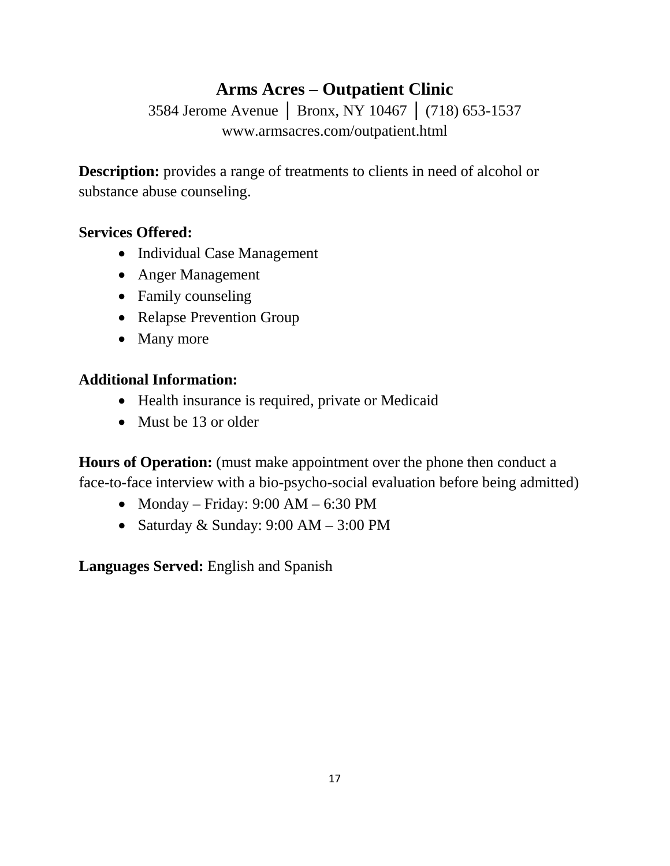## **Arms Acres – Outpatient Clinic**

3584 Jerome Avenue │ Bronx, NY 10467 │ (718) 653-1537 www.armsacres.com/outpatient.html

**Description:** provides a range of treatments to clients in need of alcohol or substance abuse counseling.

### **Services Offered:**

- Individual Case Management
- Anger Management
- Family counseling
- Relapse Prevention Group
- Many more

### **Additional Information:**

- Health insurance is required, private or Medicaid
- Must be 13 or older

**Hours of Operation:** (must make appointment over the phone then conduct a face-to-face interview with a bio-psycho-social evaluation before being admitted)

- Monday Friday:  $9:00$  AM  $6:30$  PM
- Saturday & Sunday:  $9:00 \text{ AM} 3:00 \text{ PM}$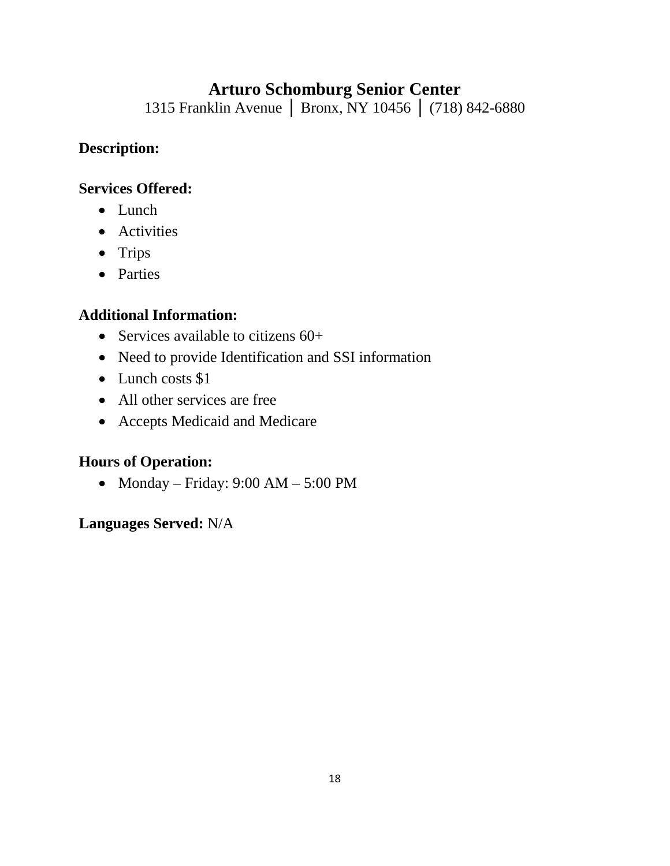## **Arturo Schomburg Senior Center**

1315 Franklin Avenue │ Bronx, NY 10456 │ (718) 842-6880

### **Description:**

### **Services Offered:**

- Lunch
- Activities
- Trips
- Parties

## **Additional Information:**

- Services available to citizens 60+
- Need to provide Identification and SSI information
- Lunch costs \$1
- All other services are free
- Accepts Medicaid and Medicare

## **Hours of Operation:**

• Monday – Friday:  $9:00 \text{ AM} - 5:00 \text{ PM}$ 

## **Languages Served:** N/A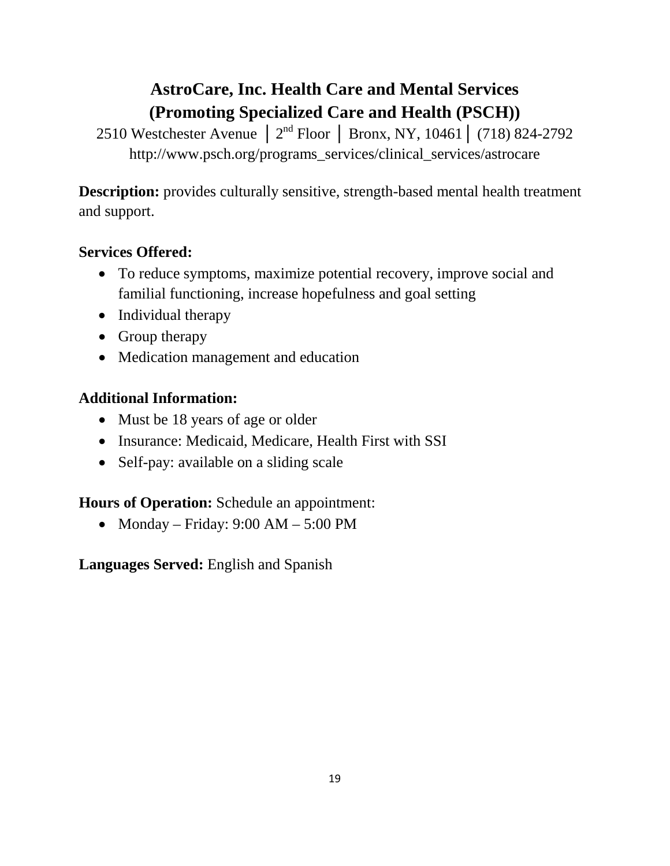# **AstroCare, Inc. Health Care and Mental Services (Promoting Specialized Care and Health (PSCH))**

2510 Westchester Avenue │ 2nd Floor │ Bronx, NY, 10461│ (718) 824-2792 http://www.psch.org/programs\_services/clinical\_services/astrocare

**Description:** provides culturally sensitive, strength-based mental health treatment and support.

## **Services Offered:**

- To reduce symptoms, maximize potential recovery, improve social and familial functioning, increase hopefulness and goal setting
- Individual therapy
- Group therapy
- Medication management and education

## **Additional Information:**

- Must be 18 years of age or older
- Insurance: Medicaid, Medicare, Health First with SSI
- Self-pay: available on a sliding scale

## **Hours of Operation:** Schedule an appointment:

• Monday – Friday:  $9:00 \text{ AM} - 5:00 \text{ PM}$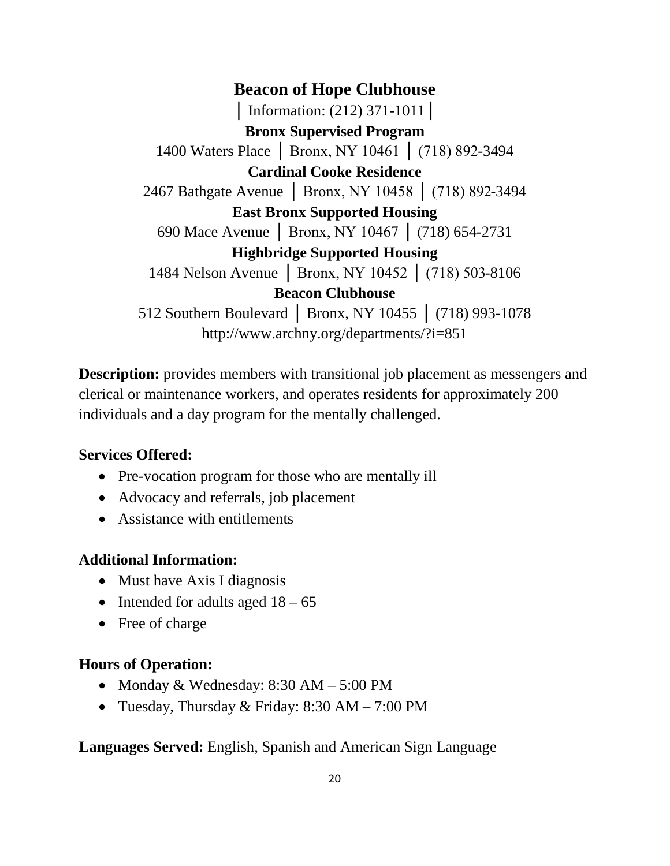**Beacon of Hope Clubhouse │** Information: (212) 371-1011│ **Bronx Supervised Program** 1400 Waters Place │ Bronx, NY 10461 │ (718) 892-3494 **Cardinal Cooke Residence** 2467 Bathgate Avenue │ Bronx, NY 10458 │ (718) 892-3494 **East Bronx Supported Housing** 690 Mace Avenue │ Bronx, NY 10467 │ (718) 654-2731 **Highbridge Supported Housing** 1484 Nelson Avenue │ Bronx, NY 10452 │ (718) 503-8106 **Beacon Clubhouse** 512 Southern Boulevard | Bronx, NY 10455 | (718) 993-1078 http://www.archny.org/departments/?i=851

**Description:** provides members with transitional job placement as messengers and clerical or maintenance workers, and operates residents for approximately 200 individuals and a day program for the mentally challenged.

#### **Services Offered:**

- Pre-vocation program for those who are mentally ill
- Advocacy and referrals, job placement
- Assistance with entitlements

#### **Additional Information:**

- Must have Axis I diagnosis
- Intended for adults aged  $18 65$
- Free of charge

#### **Hours of Operation:**

- Monday & Wednesday: 8:30 AM 5:00 PM
- Tuesday, Thursday & Friday: 8:30 AM 7:00 PM

#### **Languages Served:** English, Spanish and American Sign Language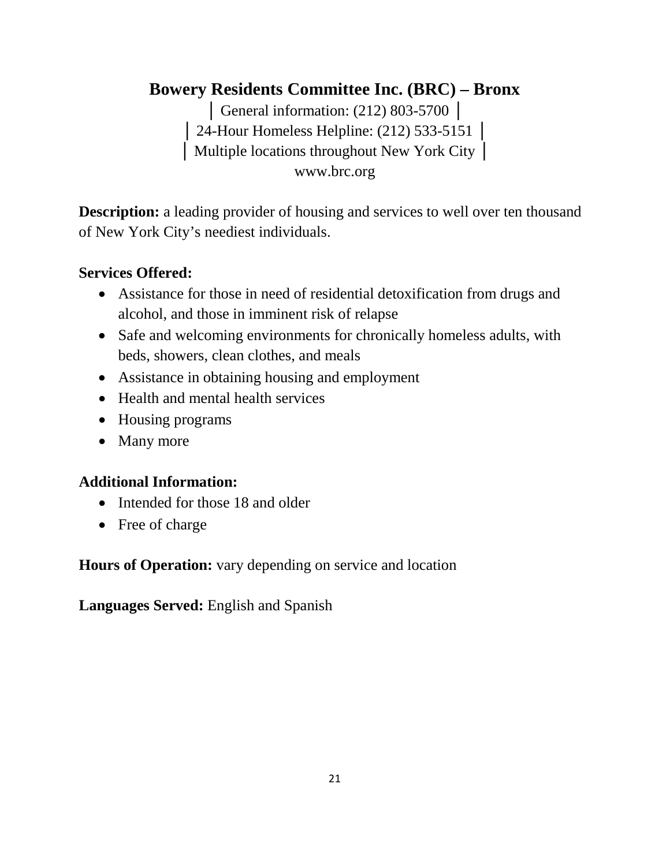# **Bowery Residents Committee Inc. (BRC) – Bronx**

│ General information: (212) 803-5700 │ │ 24-Hour Homeless Helpline: (212) 533-5151 │ │ Multiple locations throughout New York City │ www.brc.org

**Description:** a leading provider of housing and services to well over ten thousand of New York City's neediest individuals.

### **Services Offered:**

- Assistance for those in need of residential detoxification from drugs and alcohol, and those in imminent risk of relapse
- Safe and welcoming environments for chronically homeless adults, with beds, showers, clean clothes, and meals
- Assistance in obtaining housing and employment
- Health and mental health services
- Housing programs
- Many more

### **Additional Information:**

- Intended for those 18 and older
- Free of charge

**Hours of Operation:** vary depending on service and location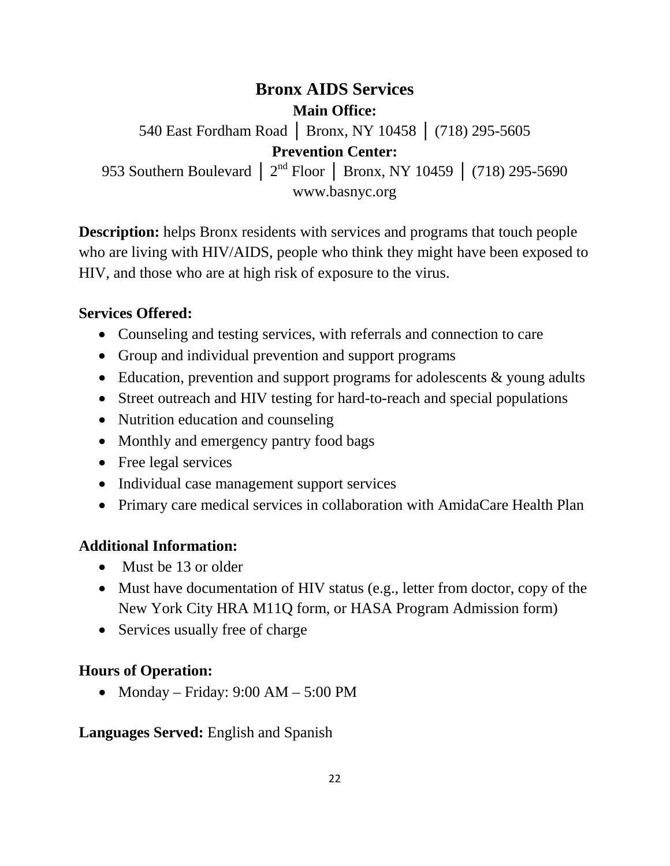## **Bronx AIDS Services Main Office:** 540 East Fordham Road │ Bronx, NY 10458 │ (718) 295-5605 **Prevention Center:** 953 Southern Boulevard | 2<sup>nd</sup> Floor | Bronx, NY 10459 | (718) 295-5690 www.basnyc.org

**Description:** helps Bronx residents with services and programs that touch people who are living with HIV/AIDS, people who think they might have been exposed to HIV, and those who are at high risk of exposure to the virus.

### **Services Offered:**

- Counseling and testing services, with referrals and connection to care
- Group and individual prevention and support programs
- Education, prevention and support programs for adolescents & young adults
- Street outreach and HIV testing for hard-to-reach and special populations
- Nutrition education and counseling
- Monthly and emergency pantry food bags
- Free legal services
- Individual case management support services
- Primary care medical services in collaboration with AmidaCare Health Plan

### **Additional Information:**

- Must be 13 or older
- Must have documentation of HIV status (e.g., letter from doctor, copy of the New York City HRA M11Q form, or HASA Program Admission form)
- Services usually free of charge

### **Hours of Operation:**

• Monday – Friday:  $9:00$  AM –  $5:00$  PM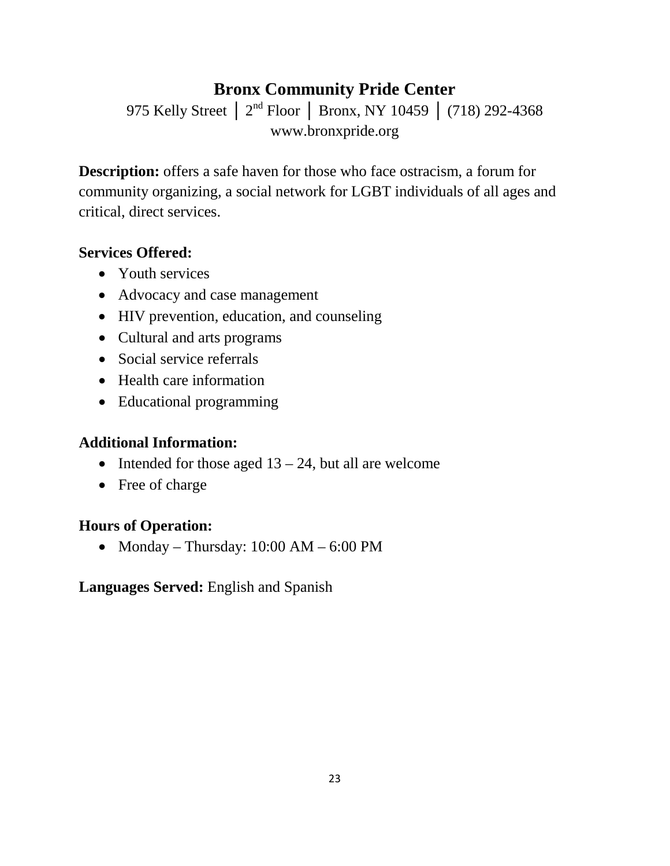## **Bronx Community Pride Center**

975 Kelly Street | 2<sup>nd</sup> Floor | Bronx, NY 10459 | (718) 292-4368 www.bronxpride.org

**Description:** offers a safe haven for those who face ostracism, a forum for community organizing, a social network for LGBT individuals of all ages and critical, direct services.

## **Services Offered:**

- Youth services
- Advocacy and case management
- HIV prevention, education, and counseling
- Cultural and arts programs
- Social service referrals
- Health care information
- Educational programming

## **Additional Information:**

- Intended for those aged  $13 24$ , but all are welcome
- Free of charge

## **Hours of Operation:**

• Monday – Thursday:  $10:00$  AM –  $6:00$  PM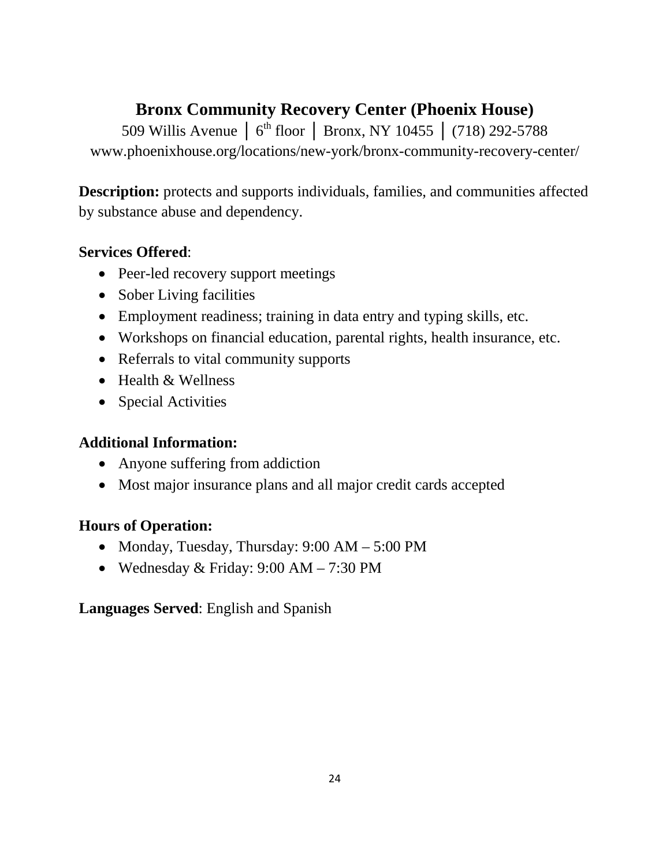## **Bronx Community Recovery Center (Phoenix House)**

509 Willis Avenue | 6<sup>th</sup> floor | Bronx, NY 10455 | (718) 292-5788 www.phoenixhouse.org/locations/new-york/bronx-community-recovery-center/

**Description:** protects and supports individuals, families, and communities affected by substance abuse and dependency.

## **Services Offered**:

- Peer-led recovery support meetings
- Sober Living facilities
- Employment readiness; training in data entry and typing skills, etc.
- Workshops on financial education, parental rights, health insurance, etc.
- Referrals to vital community supports
- Health & Wellness
- Special Activities

## **Additional Information:**

- Anyone suffering from addiction
- Most major insurance plans and all major credit cards accepted

## **Hours of Operation:**

- Monday, Tuesday, Thursday: 9:00 AM 5:00 PM
- Wednesday & Friday: 9:00 AM 7:30 PM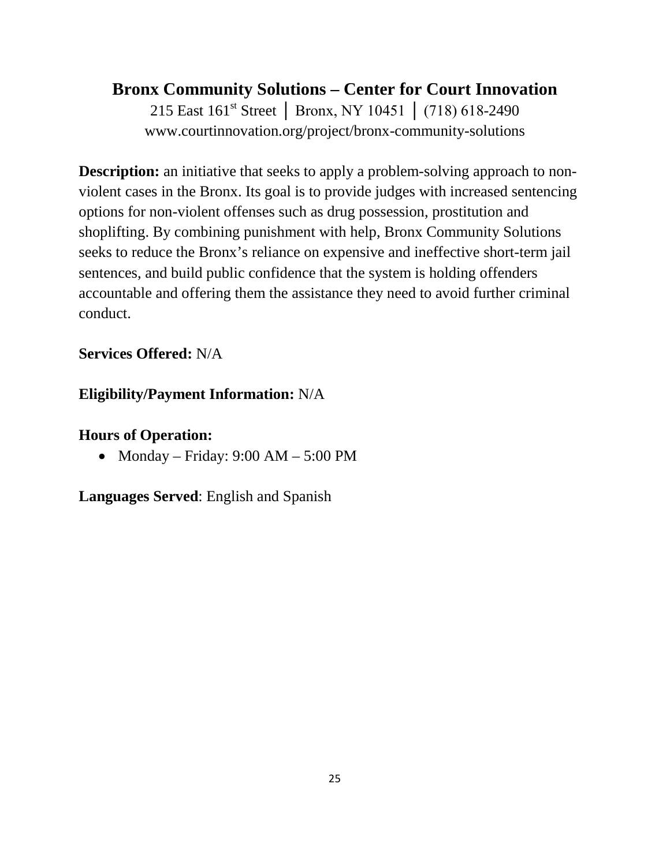## **Bronx Community Solutions – Center for Court Innovation**

215 East 161<sup>st</sup> Street | Bronx, NY 10451 | (718) 618-2490 www.courtinnovation.org/project/bronx-community-solutions

**Description:** an initiative that seeks to apply a problem-solving approach to nonviolent cases in the Bronx. Its goal is to provide judges with increased sentencing options for non-violent offenses such as drug possession, prostitution and shoplifting. By combining punishment with help, Bronx Community Solutions seeks to reduce the Bronx's reliance on expensive and ineffective short-term jail sentences, and build public confidence that the system is holding offenders accountable and offering them the assistance they need to avoid further criminal conduct.

## **Services Offered:** N/A

## **Eligibility/Payment Information:** N/A

## **Hours of Operation:**

• Monday – Friday:  $9:00 \text{ AM} - 5:00 \text{ PM}$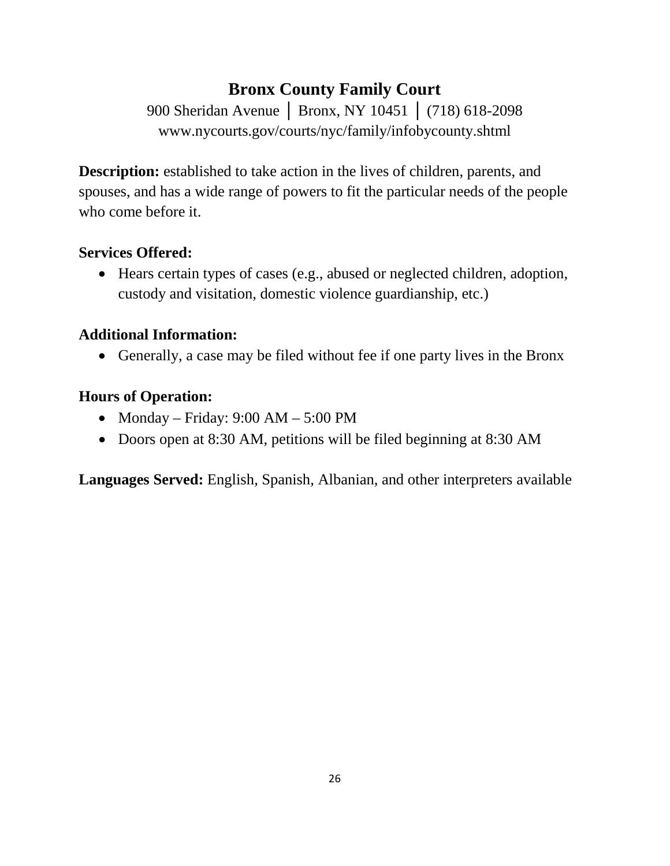# **Bronx County Family Court**

900 Sheridan Avenue │ Bronx, NY 10451 │ (718) 618-2098 www.nycourts.gov/courts/nyc/family/infobycounty.shtml

**Description:** established to take action in the lives of children, parents, and spouses, and has a wide range of powers to fit the particular needs of the people who come before it.

### **Services Offered:**

• Hears certain types of cases (e.g., abused or neglected children, adoption, custody and visitation, domestic violence guardianship, etc.)

### **Additional Information:**

• Generally, a case may be filed without fee if one party lives in the Bronx

### **Hours of Operation:**

- Monday Friday:  $9:00$  AM  $5:00$  PM
- Doors open at 8:30 AM, petitions will be filed beginning at 8:30 AM

**Languages Served:** English, Spanish, Albanian, and other interpreters available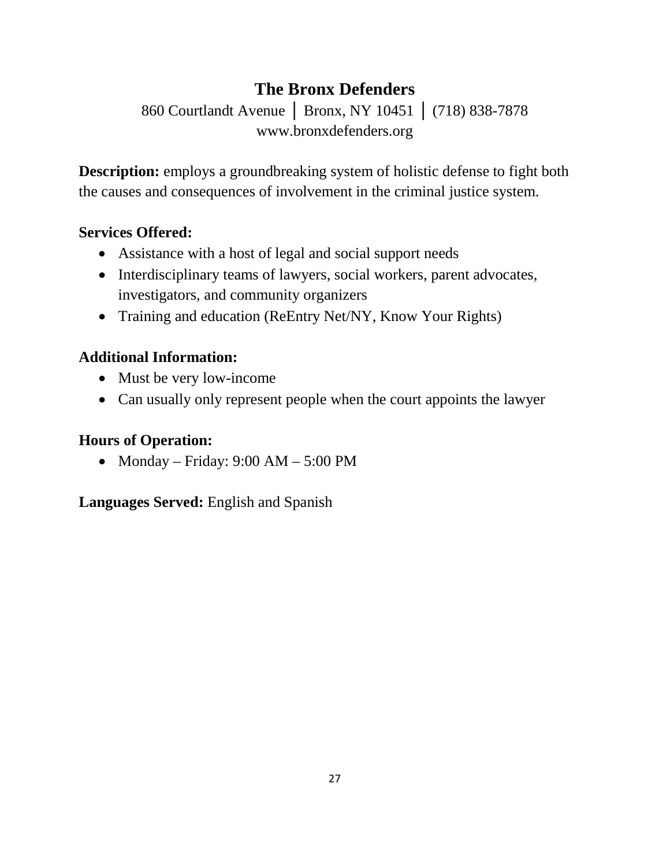# **The Bronx Defenders**

860 Courtlandt Avenue │ Bronx, NY 10451 │ (718) 838-7878 www.bronxdefenders.org

**Description:** employs a groundbreaking system of holistic defense to fight both the causes and consequences of involvement in the criminal justice system.

## **Services Offered:**

- Assistance with a host of legal and social support needs
- Interdisciplinary teams of lawyers, social workers, parent advocates, investigators, and community organizers
- Training and education (ReEntry Net/NY, Know Your Rights)

## **Additional Information:**

- Must be very low-income
- Can usually only represent people when the court appoints the lawyer

## **Hours of Operation:**

• Monday – Friday: 9:00 AM – 5:00 PM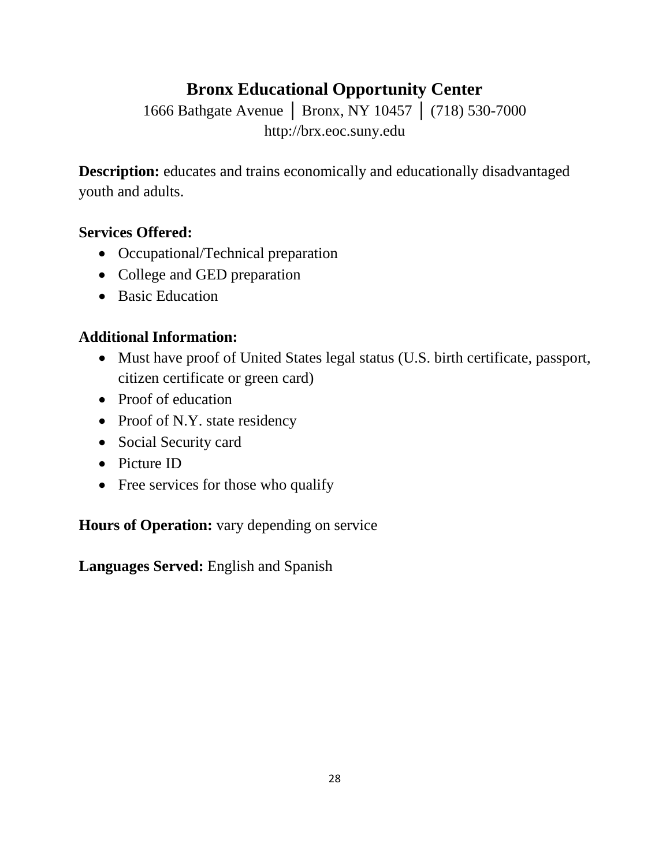# **Bronx Educational Opportunity Center**

1666 Bathgate Avenue | Bronx, NY 10457 | (718) 530-7000 http://brx.eoc.suny.edu

**Description:** educates and trains economically and educationally disadvantaged youth and adults.

### **Services Offered:**

- Occupational/Technical preparation
- College and GED preparation
- Basic Education

## **Additional Information:**

- Must have proof of United States legal status (U.S. birth certificate, passport, citizen certificate or green card)
- Proof of education
- Proof of N.Y. state residency
- Social Security card
- Picture ID
- Free services for those who qualify

**Hours of Operation:** vary depending on service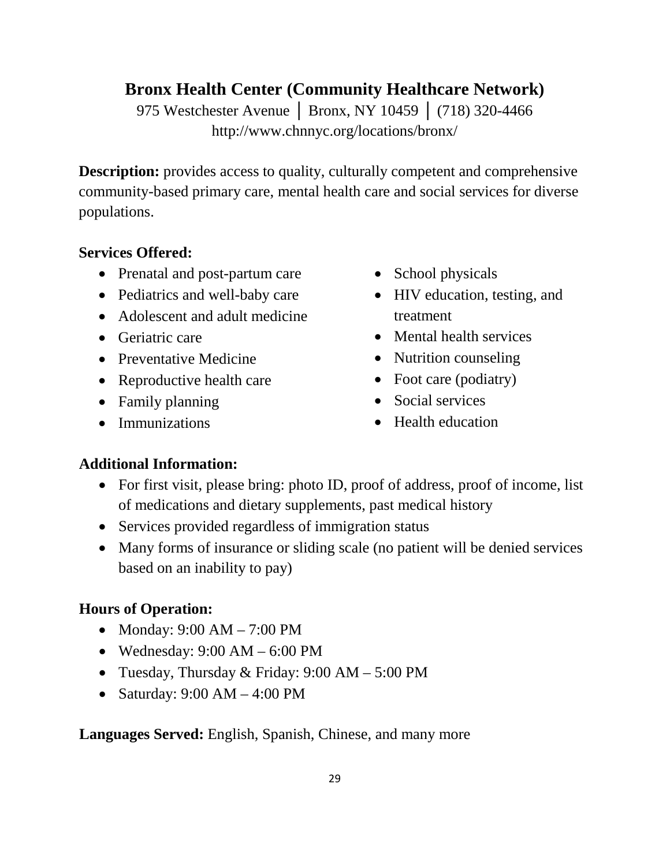## **Bronx Health Center (Community Healthcare Network)**

975 Westchester Avenue | Bronx, NY 10459 | (718) 320-4466 http://www.chnnyc.org/locations/bronx/

**Description:** provides access to quality, culturally competent and comprehensive community-based primary care, mental health care and social services for diverse populations.

## **Services Offered:**

- Prenatal and post-partum care
- Pediatrics and well-baby care
- Adolescent and adult medicine
- Geriatric care
- Preventative Medicine
- Reproductive health care
- Family planning
- Immunizations
- School physicals
- HIV education, testing, and treatment
- Mental health services
- Nutrition counseling
- Foot care (podiatry)
- Social services
- Health education

## **Additional Information:**

- For first visit, please bring: photo ID, proof of address, proof of income, list of medications and dietary supplements, past medical history
- Services provided regardless of immigration status
- Many forms of insurance or sliding scale (no patient will be denied services based on an inability to pay)

## **Hours of Operation:**

- Monday: 9:00 AM 7:00 PM
- Wednesday:  $9:00 \text{ AM} 6:00 \text{ PM}$
- Tuesday, Thursday & Friday: 9:00 AM 5:00 PM
- Saturday:  $9:00 \text{ AM} 4:00 \text{ PM}$

**Languages Served:** English, Spanish, Chinese, and many more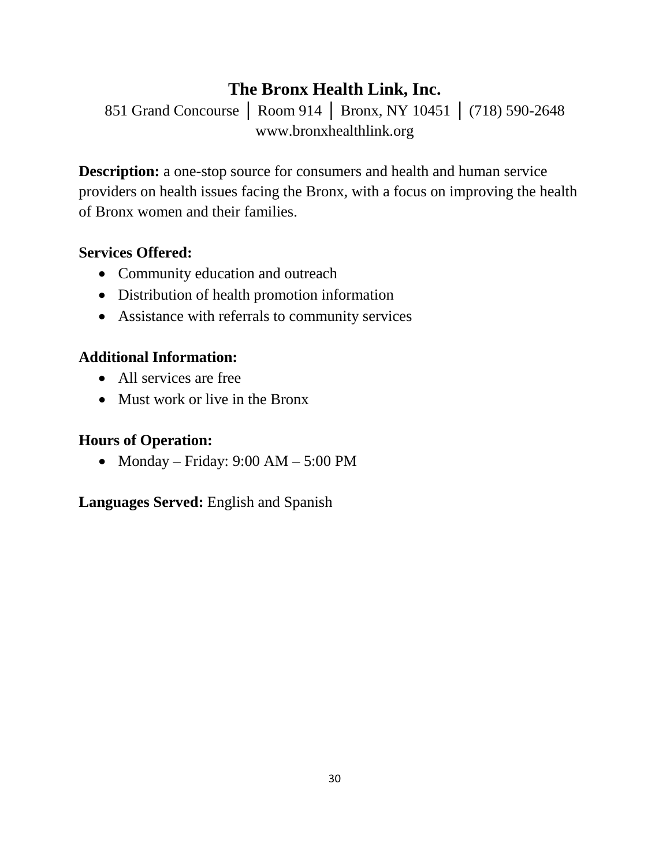## **The Bronx Health Link, Inc.**

851 Grand Concourse │ Room 914 │ Bronx, NY 10451 │ (718) 590-2648 www.bronxhealthlink.org

**Description:** a one-stop source for consumers and health and human service providers on health issues facing the Bronx, with a focus on improving the health of Bronx women and their families.

## **Services Offered:**

- Community education and outreach
- Distribution of health promotion information
- Assistance with referrals to community services

## **Additional Information:**

- All services are free
- Must work or live in the Bronx

## **Hours of Operation:**

• Monday – Friday:  $9:00$  AM –  $5:00$  PM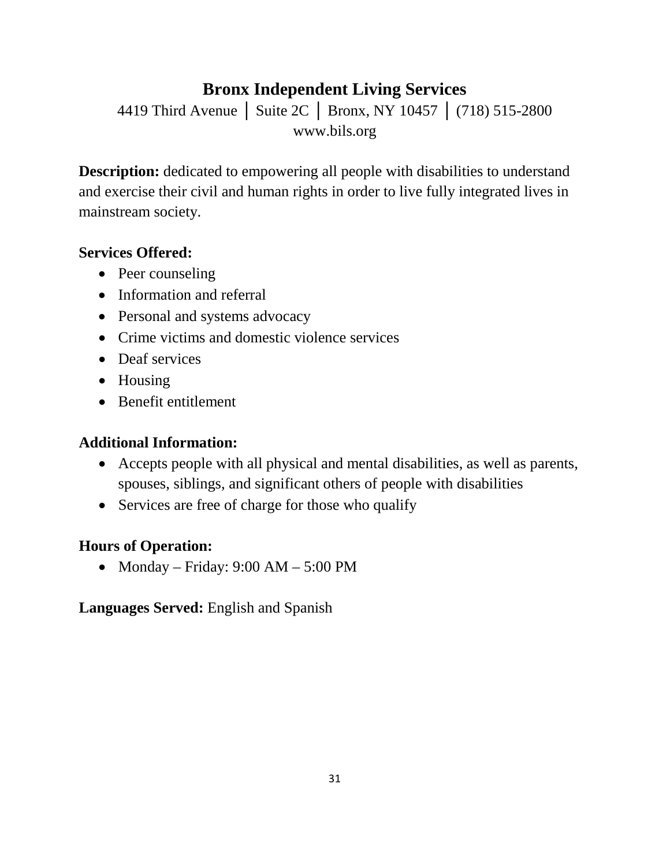## **Bronx Independent Living Services**

4419 Third Avenue │ Suite 2C │ Bronx, NY 10457 │ (718) 515-2800 www.bils.org

**Description:** dedicated to empowering all people with disabilities to understand and exercise their civil and human rights in order to live fully integrated lives in mainstream society.

### **Services Offered:**

- Peer counseling
- Information and referral
- Personal and systems advocacy
- Crime victims and domestic violence services
- Deaf services
- Housing
- Benefit entitlement

## **Additional Information:**

- Accepts people with all physical and mental disabilities, as well as parents, spouses, siblings, and significant others of people with disabilities
- Services are free of charge for those who qualify

## **Hours of Operation:**

• Monday – Friday:  $9:00 \text{ AM} - 5:00 \text{ PM}$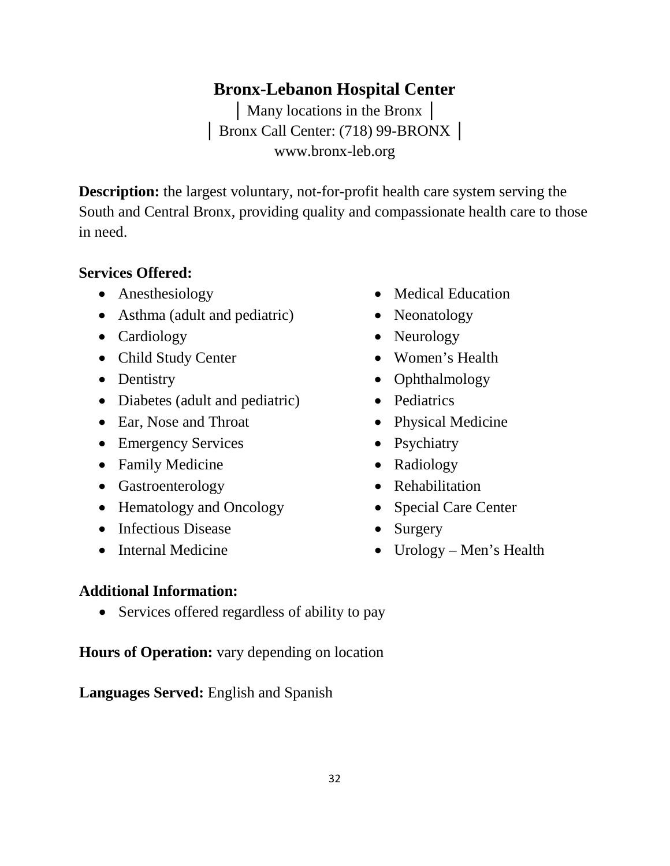## **Bronx-Lebanon Hospital Center**

│ Many locations in the Bronx │ │ Bronx Call Center: (718) 99-BRONX │ www.bronx-leb.org

**Description:** the largest voluntary, not-for-profit health care system serving the South and Central Bronx, providing quality and compassionate health care to those in need.

### **Services Offered:**

- Anesthesiology
- Asthma (adult and pediatric)
- Cardiology
- Child Study Center
- Dentistry
- Diabetes (adult and pediatric)
- Ear, Nose and Throat
- Emergency Services
- Family Medicine
- Gastroenterology
- Hematology and Oncology
- Infectious Disease
- Internal Medicine
- Medical Education
- Neonatology
- Neurology
- Women's Health
- Ophthalmology
- Pediatrics
- Physical Medicine
- Psychiatry
- Radiology
- Rehabilitation
- Special Care Center
- Surgery
- Urology Men's Health

### **Additional Information:**

• Services offered regardless of ability to pay

**Hours of Operation:** vary depending on location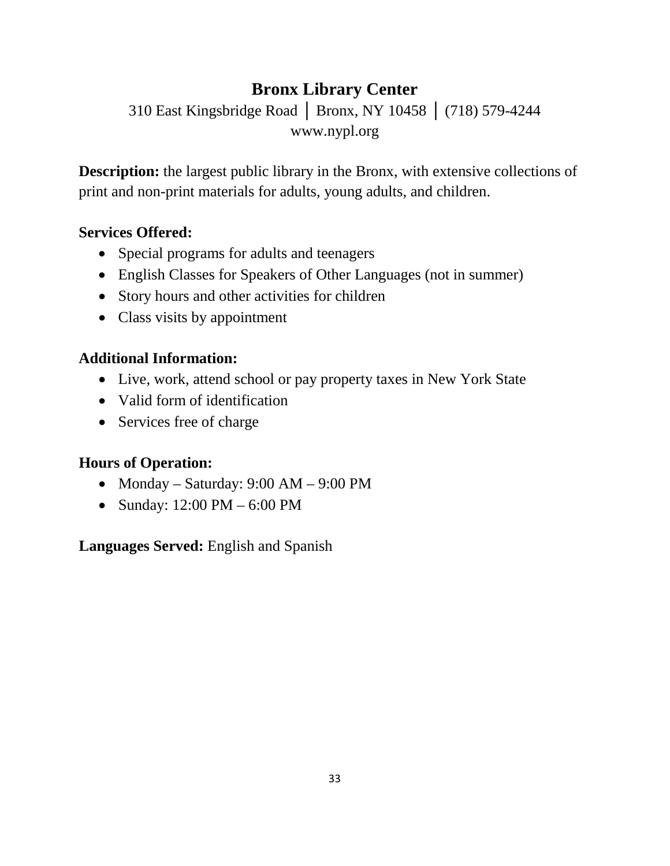# **Bronx Library Center**

310 East Kingsbridge Road │ Bronx, NY 10458 │ (718) 579-4244 www.nypl.org

**Description:** the largest public library in the Bronx, with extensive collections of print and non-print materials for adults, young adults, and children.

### **Services Offered:**

- Special programs for adults and teenagers
- English Classes for Speakers of Other Languages (not in summer)
- Story hours and other activities for children
- Class visits by appointment

## **Additional Information:**

- Live, work, attend school or pay property taxes in New York State
- Valid form of identification
- Services free of charge

## **Hours of Operation:**

- Monday Saturday: 9:00 AM 9:00 PM
- Sunday: 12:00 PM 6:00 PM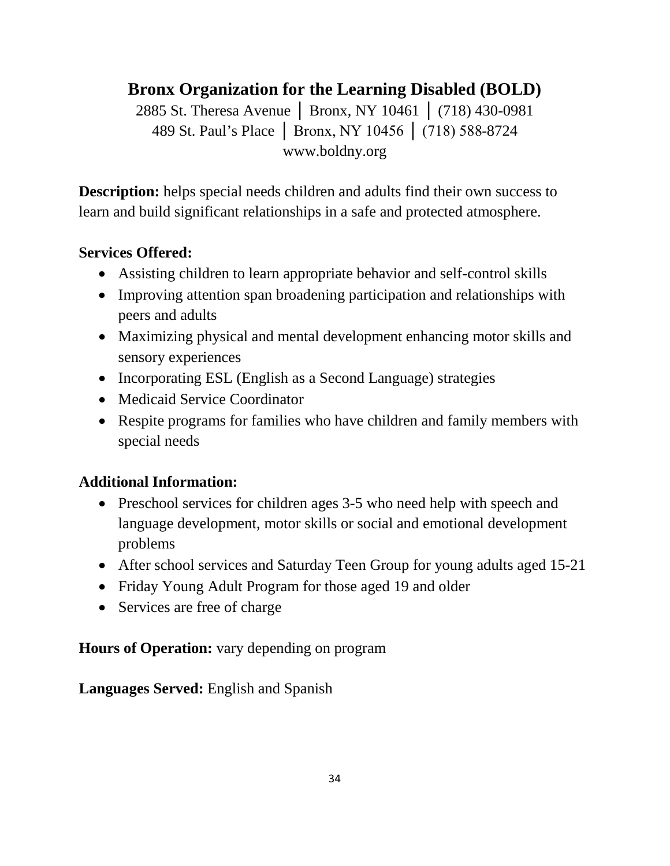# **Bronx Organization for the Learning Disabled (BOLD)**

2885 St. Theresa Avenue │ Bronx, NY 10461 │ (718) 430-0981 489 St. Paul's Place │ Bronx, NY 10456 │ (718) 588-8724 www.boldny.org

**Description:** helps special needs children and adults find their own success to learn and build significant relationships in a safe and protected atmosphere.

## **Services Offered:**

- Assisting children to learn appropriate behavior and self-control skills
- Improving attention span broadening participation and relationships with peers and adults
- Maximizing physical and mental development enhancing motor skills and sensory experiences
- Incorporating ESL (English as a Second Language) strategies
- Medicaid Service Coordinator
- Respite programs for families who have children and family members with special needs

## **Additional Information:**

- Preschool services for children ages 3-5 who need help with speech and language development, motor skills or social and emotional development problems
- After school services and Saturday Teen Group for young adults aged 15-21
- Friday Young Adult Program for those aged 19 and older
- Services are free of charge

## **Hours of Operation:** vary depending on program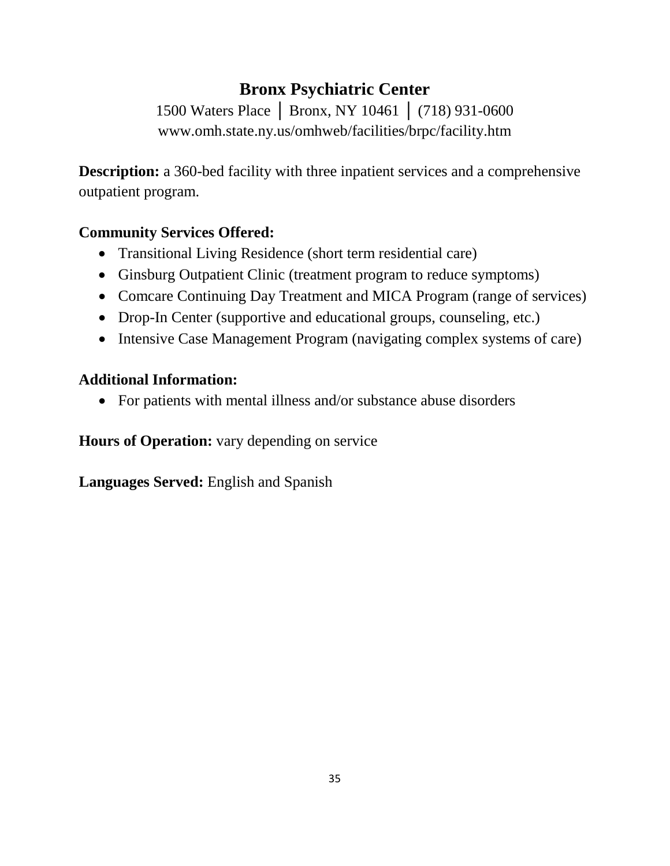# **Bronx Psychiatric Center**

1500 Waters Place │ Bronx, NY 10461 │ (718) 931-0600 www.omh.state.ny.us/omhweb/facilities/brpc/facility.htm

**Description:** a 360-bed facility with three inpatient services and a comprehensive outpatient program.

## **Community Services Offered:**

- Transitional Living Residence (short term residential care)
- Ginsburg Outpatient Clinic (treatment program to reduce symptoms)
- Comcare Continuing Day Treatment and MICA Program (range of services)
- Drop-In Center (supportive and educational groups, counseling, etc.)
- Intensive Case Management Program (navigating complex systems of care)

## **Additional Information:**

• For patients with mental illness and/or substance abuse disorders

**Hours of Operation:** vary depending on service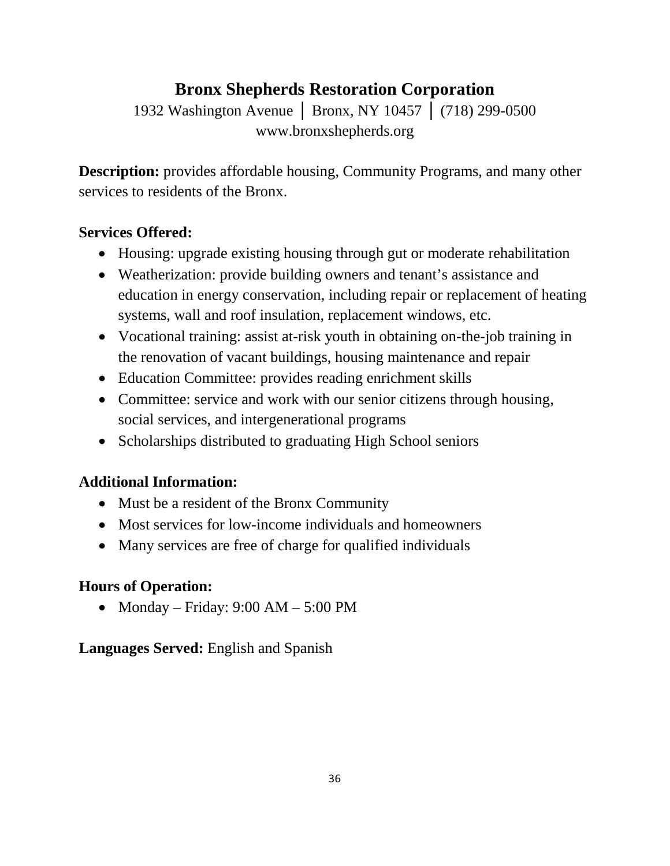# **Bronx Shepherds Restoration Corporation**

1932 Washington Avenue │ Bronx, NY 10457 │ (718) 299-0500 www.bronxshepherds.org

**Description:** provides affordable housing, Community Programs, and many other services to residents of the Bronx.

### **Services Offered:**

- Housing: upgrade existing housing through gut or moderate rehabilitation
- Weatherization: provide building owners and tenant's assistance and education in energy conservation, including repair or replacement of heating systems, wall and roof insulation, replacement windows, etc.
- Vocational training: assist at-risk youth in obtaining on-the-job training in the renovation of vacant buildings, housing maintenance and repair
- Education Committee: provides reading enrichment skills
- Committee: service and work with our senior citizens through housing, social services, and intergenerational programs
- Scholarships distributed to graduating High School seniors

## **Additional Information:**

- Must be a resident of the Bronx Community
- Most services for low-income individuals and homeowners
- Many services are free of charge for qualified individuals

## **Hours of Operation:**

• Monday – Friday:  $9:00 \text{ AM} - 5:00 \text{ PM}$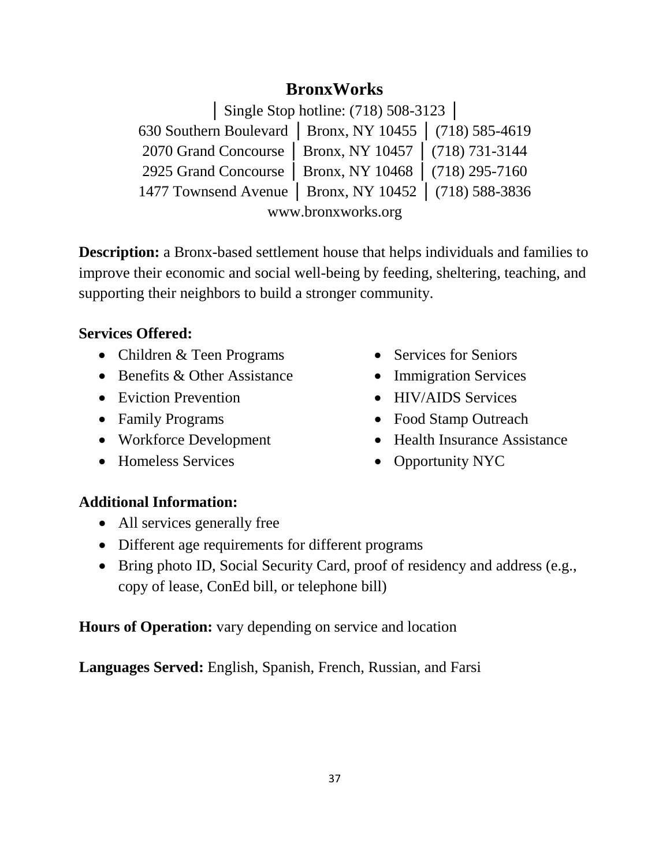## **BronxWorks**

│ Single Stop hotline: (718) 508-3123 │

630 Southern Boulevard │ Bronx, NY 10455 │ (718) 585-4619 2070 Grand Concourse │ Bronx, NY 10457 │ (718) 731-3144 2925 Grand Concourse │ Bronx, NY 10468 │ (718) 295-7160 1477 Townsend Avenue │ Bronx, NY 10452 │ (718) 588-3836 www.bronxworks.org

**Description:** a Bronx-based settlement house that helps individuals and families to improve their economic and social well-being by feeding, sheltering, teaching, and supporting their neighbors to build a stronger community.

### **Services Offered:**

- Children & Teen Programs
- Benefits & Other Assistance
- Eviction Prevention
- Family Programs
- Workforce Development
- Homeless Services
- Services for Seniors
- Immigration Services
- HIV/AIDS Services
- Food Stamp Outreach
- Health Insurance Assistance
- Opportunity NYC

### **Additional Information:**

- All services generally free
- Different age requirements for different programs
- Bring photo ID, Social Security Card, proof of residency and address (e.g., copy of lease, ConEd bill, or telephone bill)

**Hours of Operation:** vary depending on service and location

**Languages Served:** English, Spanish, French, Russian, and Farsi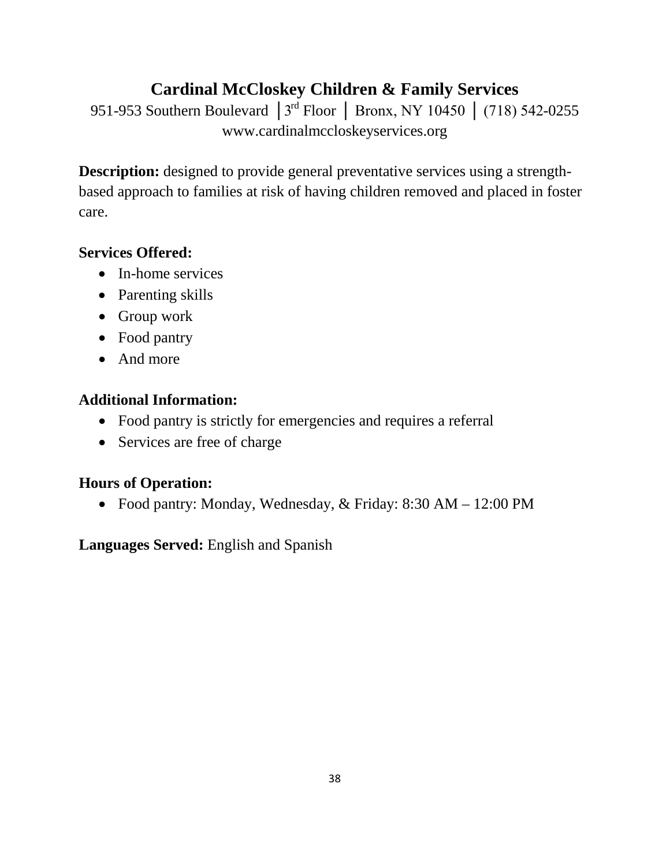# **Cardinal McCloskey Children & Family Services**

951-953 Southern Boulevard | 3<sup>rd</sup> Floor | Bronx, NY 10450 | (718) 542-0255 www.cardinalmccloskeyservices.org

**Description:** designed to provide general preventative services using a strengthbased approach to families at risk of having children removed and placed in foster care.

### **Services Offered:**

- In-home services
- Parenting skills
- Group work
- Food pantry
- And more

### **Additional Information:**

- Food pantry is strictly for emergencies and requires a referral
- Services are free of charge

## **Hours of Operation:**

• Food pantry: Monday, Wednesday, & Friday: 8:30 AM – 12:00 PM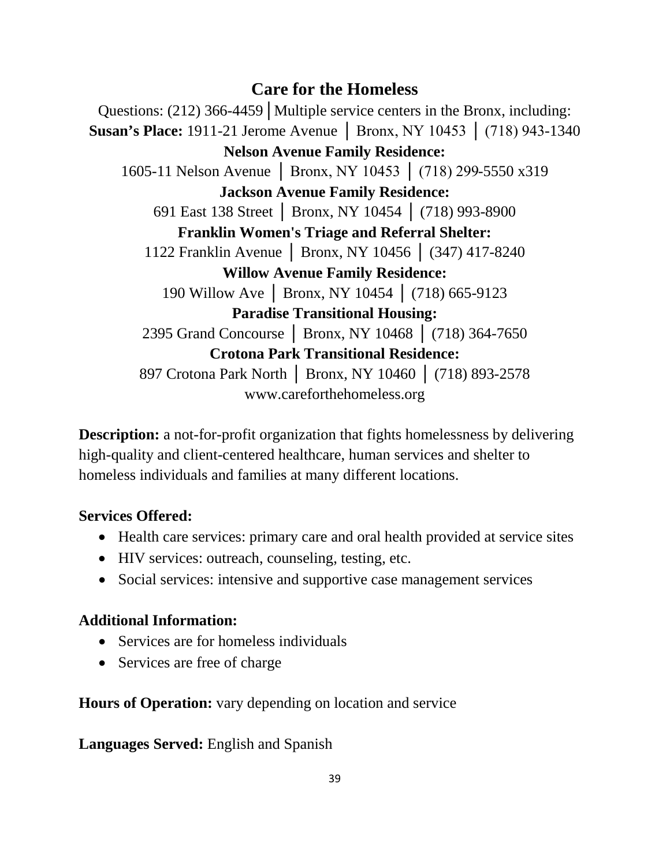## **Care for the Homeless**

Questions: (212) 366-4459 | Multiple service centers in the Bronx, including: **Susan's Place:** 1911-21 Jerome Avenue │ Bronx, NY 10453 │ (718) 943-1340 **Nelson Avenue Family Residence:**  1605-11 Nelson Avenue │ Bronx, NY 10453 │ (718) 299-5550 x319 **Jackson Avenue Family Residence:** 691 East 138 Street │ Bronx, NY 10454 │ (718) 993-8900 **Franklin Women's Triage and Referral Shelter:**  1122 Franklin Avenue │ Bronx, NY 10456 │ (347) 417-8240 **Willow Avenue Family Residence:** 190 Willow Ave │ Bronx, NY 10454 │ (718) 665-9123 **Paradise Transitional Housing:**  2395 Grand Concourse | Bronx, NY 10468 | (718) 364-7650 **Crotona Park Transitional Residence:**  897 Crotona Park North | Bronx, NY 10460 | (718) 893-2578 www.careforthehomeless.org

**Description:** a not-for-profit organization that fights homelessness by delivering high-quality and client-centered healthcare, human services and shelter to homeless individuals and families at many different locations.

### **Services Offered:**

- Health care services: primary care and oral health provided at service sites
- HIV services: outreach, counseling, testing, etc.
- Social services: intensive and supportive case management services

## **Additional Information:**

- Services are for homeless individuals
- Services are free of charge

**Hours of Operation:** vary depending on location and service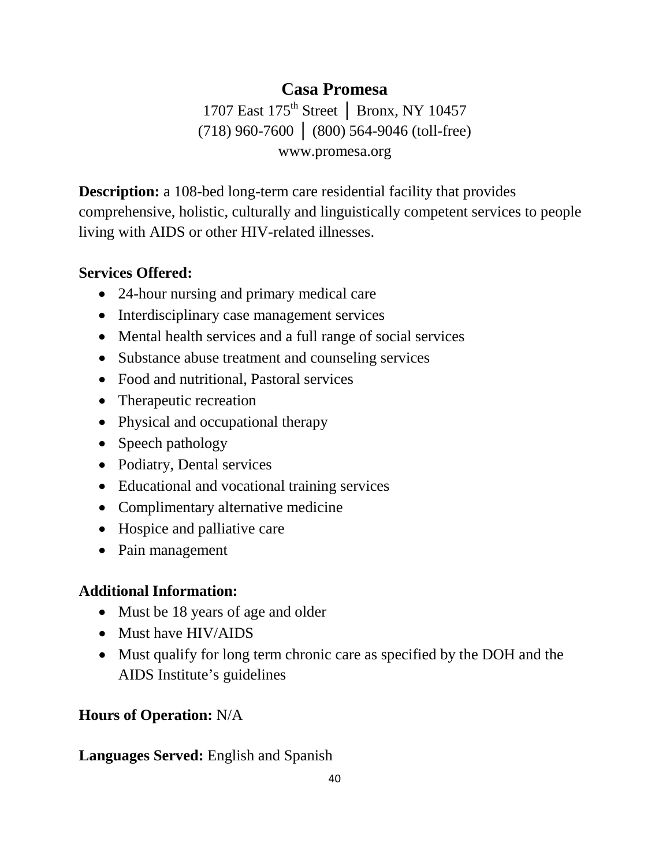## **Casa Promesa**

1707 East 175<sup>th</sup> Street | Bronx, NY 10457 (718) 960-7600 │ (800) 564-9046 (toll-free) www.promesa.org

**Description:** a 108-bed long-term care residential facility that provides comprehensive, holistic, culturally and linguistically competent services to people living with AIDS or other HIV-related illnesses.

#### **Services Offered:**

- 24-hour nursing and primary medical care
- Interdisciplinary case management services
- Mental health services and a full range of social services
- Substance abuse treatment and counseling services
- Food and nutritional, Pastoral services
- Therapeutic recreation
- Physical and occupational therapy
- Speech pathology
- Podiatry, Dental services
- Educational and vocational training services
- Complimentary alternative medicine
- Hospice and palliative care
- Pain management

## **Additional Information:**

- Must be 18 years of age and older
- Must have HIV/AIDS
- Must qualify for long term chronic care as specified by the DOH and the AIDS Institute's guidelines

## **Hours of Operation:** N/A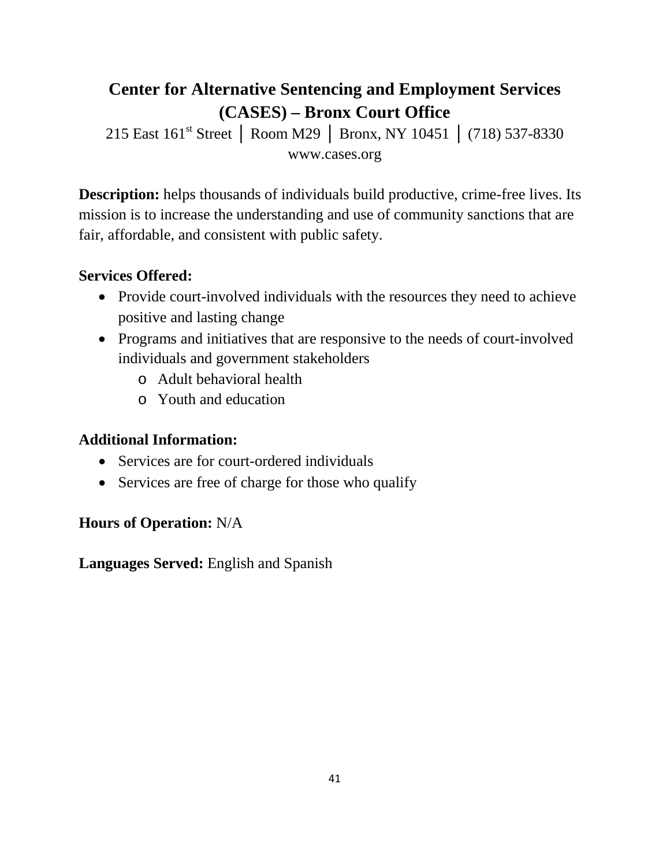# **Center for Alternative Sentencing and Employment Services (CASES) – Bronx Court Office**

215 East 161<sup>st</sup> Street | Room M29 | Bronx, NY 10451 | (718) 537-8330 www.cases.org

**Description:** helps thousands of individuals build productive, crime-free lives. Its mission is to increase the understanding and use of community sanctions that are fair, affordable, and consistent with public safety.

#### **Services Offered:**

- Provide court-involved individuals with the resources they need to achieve positive and lasting change
- Programs and initiatives that are responsive to the needs of court-involved individuals and government stakeholders
	- o Adult behavioral health
	- o Youth and education

#### **Additional Information:**

- Services are for court-ordered individuals
- Services are free of charge for those who qualify

### **Hours of Operation:** N/A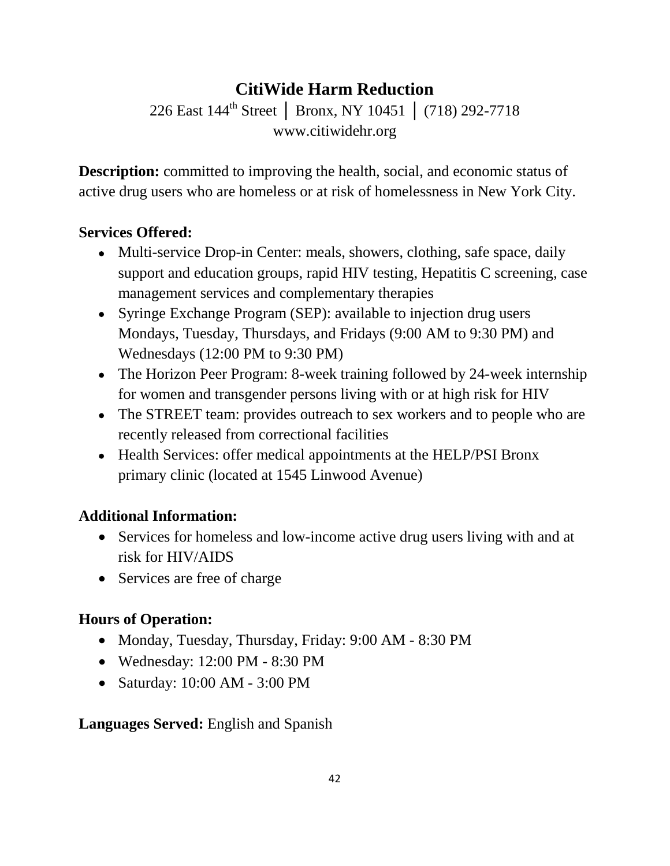# **CitiWide Harm Reduction**

226 East 144th Street │ Bronx, NY 10451 │ (718) 292-7718 www.citiwidehr.org

**Description:** committed to improving the health, social, and economic status of active drug users who are homeless or at risk of homelessness in New York City.

## **Services Offered:**

- Multi-service Drop-in Center: meals, showers, clothing, safe space, daily support and education groups, rapid HIV testing, Hepatitis C screening, case management services and complementary therapies
- Syringe Exchange Program (SEP): available to injection drug users Mondays, Tuesday, Thursdays, and Fridays (9:00 AM to 9:30 PM) and Wednesdays (12:00 PM to 9:30 PM)
- The Horizon Peer Program: 8-week training followed by 24-week internship for women and transgender persons living with or at high risk for HIV
- The STREET team: provides outreach to sex workers and to people who are recently released from correctional facilities
- Health Services: offer medical appointments at the HELP/PSI Bronx primary clinic (located at 1545 Linwood Avenue)

## **Additional Information:**

- Services for homeless and low-income active drug users living with and at risk for HIV/AIDS
- Services are free of charge

## **Hours of Operation:**

- Monday, Tuesday, Thursday, Friday: 9:00 AM 8:30 PM
- Wednesday: 12:00 PM 8:30 PM
- Saturday: 10:00 AM 3:00 PM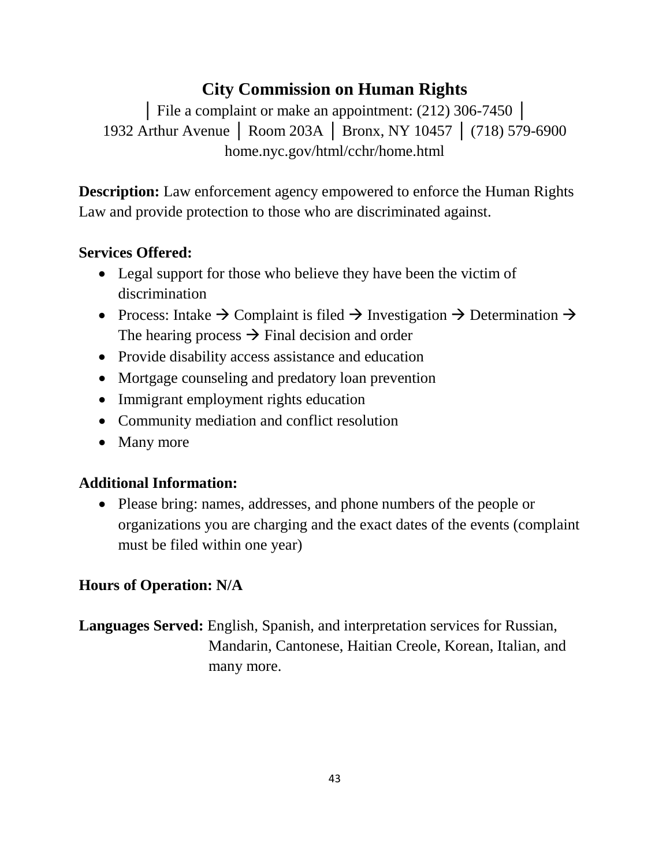# **City Commission on Human Rights**

│ File a complaint or make an appointment: (212) 306-7450 │ 1932 Arthur Avenue │ Room 203A │ Bronx, NY 10457 │ (718) 579-6900 home.nyc.gov/html/cchr/home.html

**Description:** Law enforcement agency empowered to enforce the Human Rights Law and provide protection to those who are discriminated against.

## **Services Offered:**

- Legal support for those who believe they have been the victim of discrimination
- Process: Intake  $\rightarrow$  Complaint is filed  $\rightarrow$  Investigation  $\rightarrow$  Determination  $\rightarrow$ The hearing process  $\rightarrow$  Final decision and order
- Provide disability access assistance and education
- Mortgage counseling and predatory loan prevention
- Immigrant employment rights education
- Community mediation and conflict resolution
- Many more

### **Additional Information:**

• Please bring: names, addresses, and phone numbers of the people or organizations you are charging and the exact dates of the events (complaint must be filed within one year)

## **Hours of Operation: N/A**

**Languages Served:** English, Spanish, and interpretation services for Russian, Mandarin, Cantonese, Haitian Creole, Korean, Italian, and many more.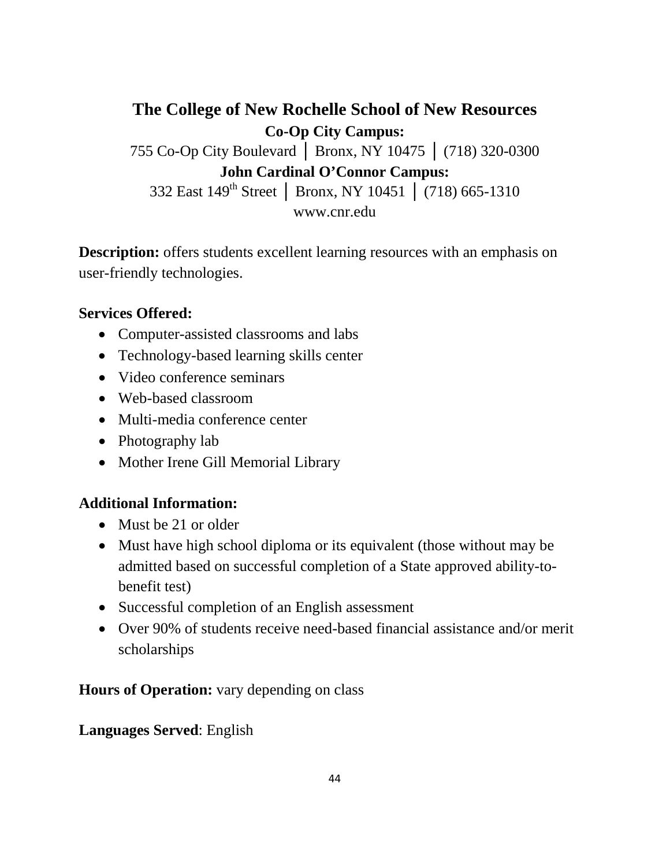**The College of New Rochelle School of New Resources Co-Op City Campus:** 755 Co-Op City Boulevard │ Bronx, NY 10475 │ (718) 320-0300 **John Cardinal O'Connor Campus:** 332 East 149th Street │ Bronx, NY 10451 │ (718) 665-1310 www.cnr.edu

**Description:** offers students excellent learning resources with an emphasis on user-friendly technologies.

#### **Services Offered:**

- Computer-assisted classrooms and labs
- Technology-based learning skills center
- Video conference seminars
- Web-based classroom
- Multi-media conference center
- Photography lab
- Mother Irene Gill Memorial Library

#### **Additional Information:**

- Must be 21 or older
- Must have high school diploma or its equivalent (those without may be admitted based on successful completion of a State approved ability-tobenefit test)
- Successful completion of an English assessment
- Over 90% of students receive need-based financial assistance and/or merit scholarships

**Hours of Operation:** vary depending on class

#### **Languages Served**: English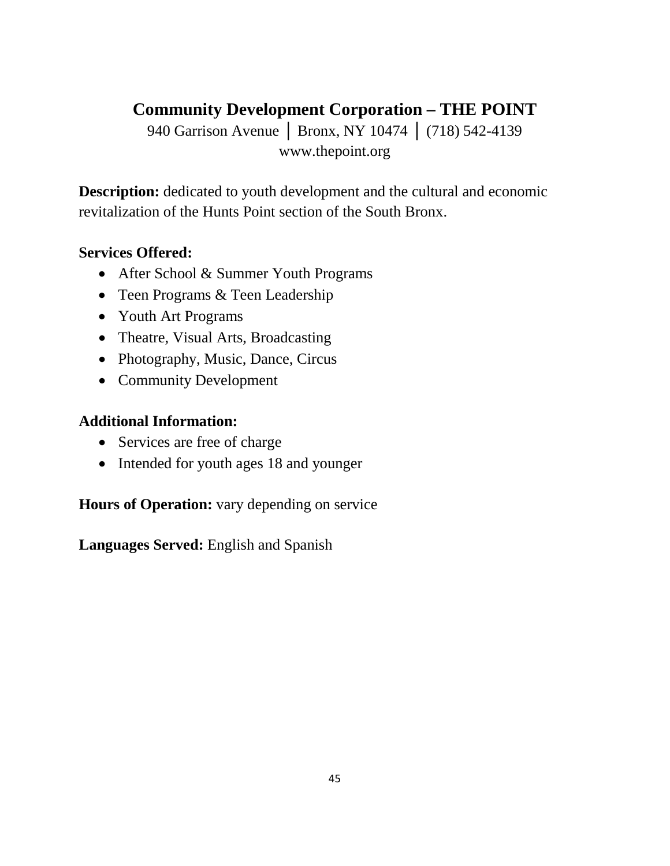# **Community Development Corporation – THE POINT**

940 Garrison Avenue | Bronx, NY 10474 | (718) 542-4139 www.thepoint.org

**Description:** dedicated to youth development and the cultural and economic revitalization of the Hunts Point section of the South Bronx.

#### **Services Offered:**

- After School & Summer Youth Programs
- Teen Programs & Teen Leadership
- Youth Art Programs
- Theatre, Visual Arts, Broadcasting
- Photography, Music, Dance, Circus
- Community Development

#### **Additional Information:**

- Services are free of charge
- Intended for youth ages 18 and younger

**Hours of Operation:** vary depending on service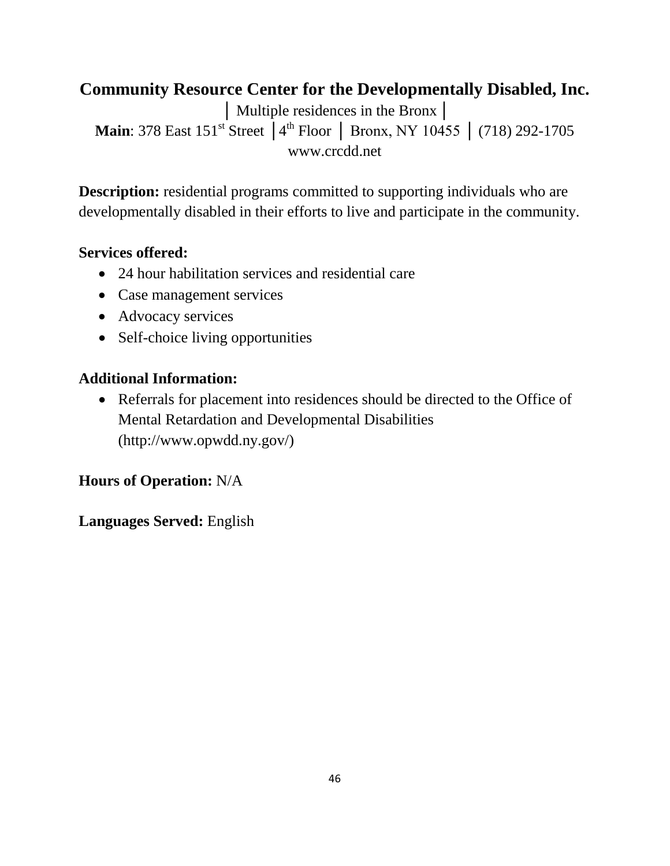# **Community Resource Center for the Developmentally Disabled, Inc.**

│ Multiple residences in the Bronx│ Main: 378 East 151<sup>st</sup> Street │4<sup>th</sup> Floor │ Bronx, NY 10455 │ (718) 292-1705 www.crcdd.net

**Description:** residential programs committed to supporting individuals who are developmentally disabled in their efforts to live and participate in the community.

#### **Services offered:**

- 24 hour habilitation services and residential care
- Case management services
- Advocacy services
- Self-choice living opportunities

#### **Additional Information:**

• Referrals for placement into residences should be directed to the Office of Mental Retardation and Developmental Disabilities (http://www.opwdd.ny.gov/)

### **Hours of Operation:** N/A

#### **Languages Served:** English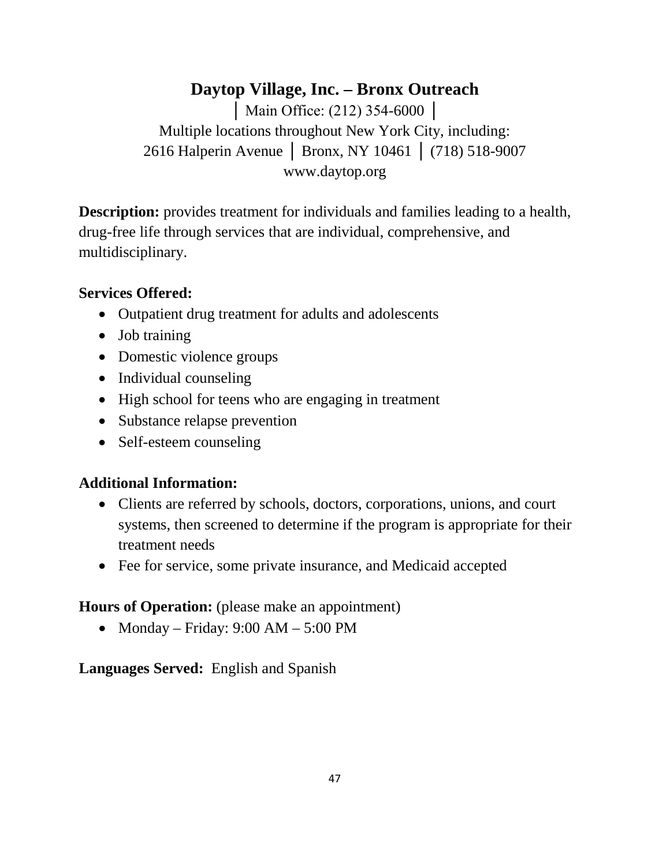## **Daytop Village, Inc. – Bronx Outreach** │ Main Office: (212) 354-6000 │ Multiple locations throughout New York City, including: 2616 Halperin Avenue │ Bronx, NY 10461 │ (718) 518-9007 www.daytop.org

**Description:** provides treatment for individuals and families leading to a health, drug-free life through services that are individual, comprehensive, and multidisciplinary.

### **Services Offered:**

- Outpatient drug treatment for adults and adolescents
- Job training
- Domestic violence groups
- Individual counseling
- High school for teens who are engaging in treatment
- Substance relapse prevention
- Self-esteem counseling

## **Additional Information:**

- Clients are referred by schools, doctors, corporations, unions, and court systems, then screened to determine if the program is appropriate for their treatment needs
- Fee for service, some private insurance, and Medicaid accepted

## **Hours of Operation:** (please make an appointment)

• Monday – Friday:  $9:00$  AM –  $5:00$  PM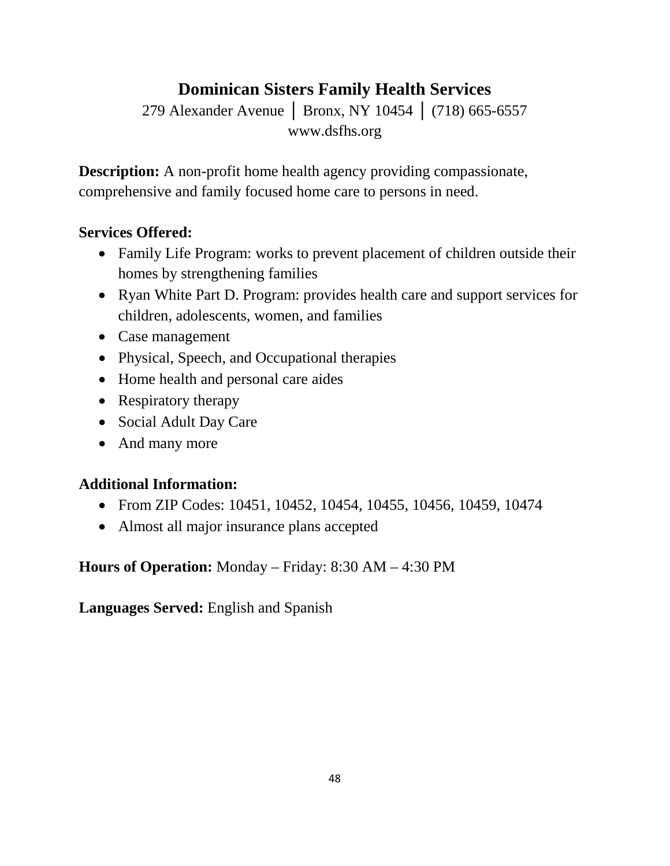# **Dominican Sisters Family Health Services**

279 Alexander Avenue | Bronx, NY 10454 | (718) 665-6557 www.dsfhs.org

**Description:** A non-profit home health agency providing compassionate, comprehensive and family focused home care to persons in need.

### **Services Offered:**

- Family Life Program: works to prevent placement of children outside their homes by strengthening families
- Ryan White Part D. Program: provides health care and support services for children, adolescents, women, and families
- Case management
- Physical, Speech, and Occupational therapies
- Home health and personal care aides
- Respiratory therapy
- Social Adult Day Care
- And many more

### **Additional Information:**

- From ZIP Codes: 10451, 10452, 10454, 10455, 10456, 10459, 10474
- Almost all major insurance plans accepted

**Hours of Operation:** Monday – Friday: 8:30 AM – 4:30 PM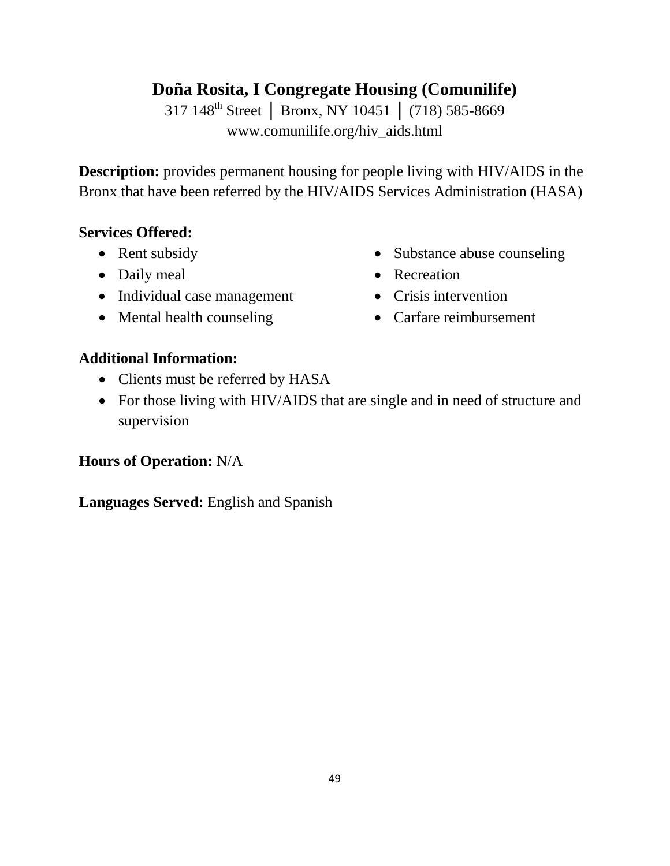# **Doña Rosita, I Congregate Housing (Comunilife)**

317 148th Street │ Bronx, NY 10451 │ (718) 585-8669 www.comunilife.org/hiv\_aids.html

**Description:** provides permanent housing for people living with HIV/AIDS in the Bronx that have been referred by the HIV/AIDS Services Administration (HASA)

#### **Services Offered:**

- Rent subsidy
- Daily meal
- Individual case management
- Mental health counseling
- Substance abuse counseling
- Recreation
- Crisis intervention
- Carfare reimbursement

### **Additional Information:**

- Clients must be referred by HASA
- For those living with HIV/AIDS that are single and in need of structure and supervision

### **Hours of Operation:** N/A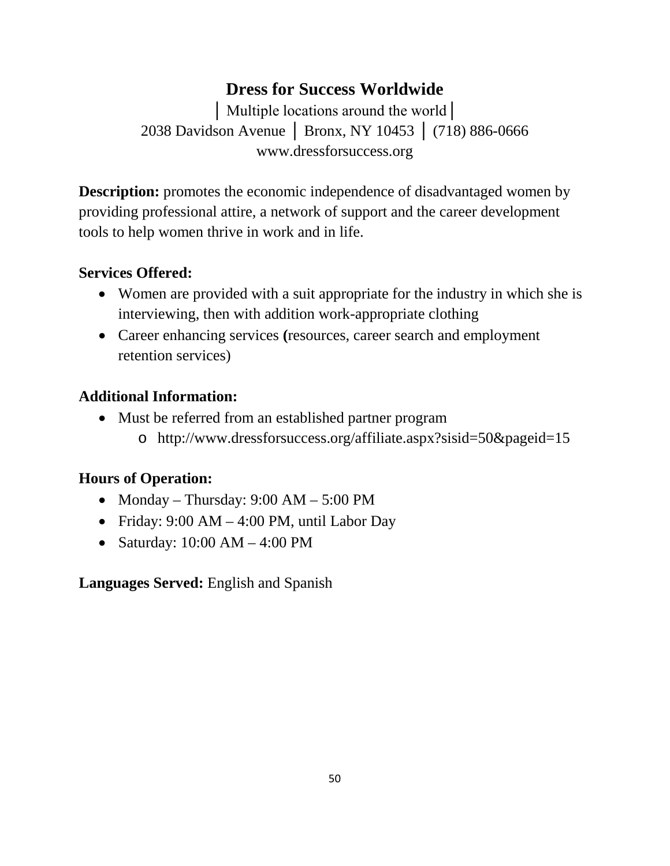## **Dress for Success Worldwide**

│ Multiple locations around the world│ 2038 Davidson Avenue │ Bronx, NY 10453 │ (718) 886-0666 www.dressforsuccess.org

**Description:** promotes the economic independence of disadvantaged women by providing professional attire, a network of support and the career development tools to help women thrive in work and in life.

#### **Services Offered:**

- Women are provided with a suit appropriate for the industry in which she is interviewing, then with addition work-appropriate clothing
- Career enhancing services **(**resources, career search and employment retention services)

#### **Additional Information:**

• Must be referred from an established partner program o http://www.dressforsuccess.org/affiliate.aspx?sisid=50&pageid=15

### **Hours of Operation:**

- Monday Thursday: 9:00 AM 5:00 PM
- Friday:  $9:00 AM 4:00 PM$ , until Labor Day
- Saturday: 10:00 AM 4:00 PM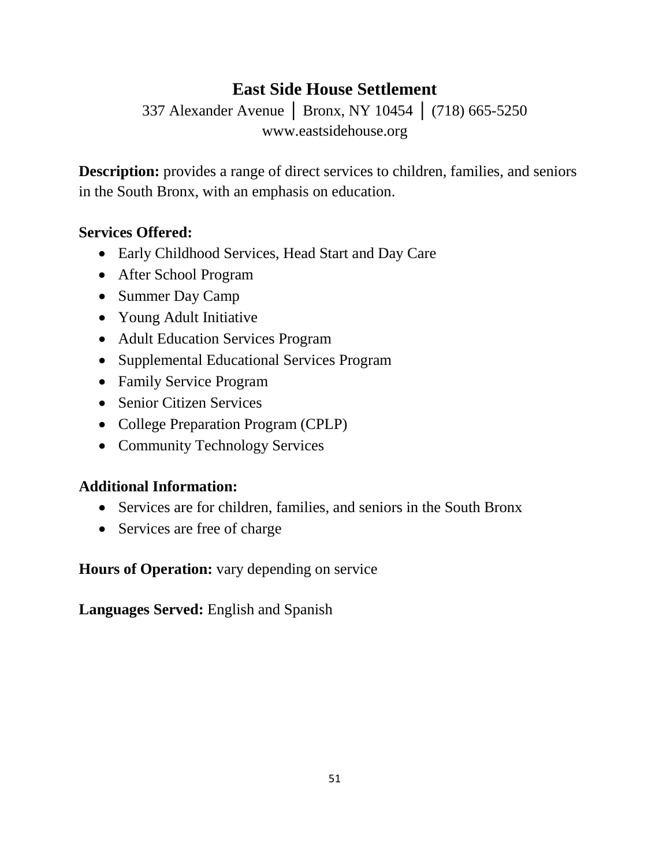# **East Side House Settlement**

337 Alexander Avenue │ Bronx, NY 10454 │ (718) 665-5250 www.eastsidehouse.org

**Description:** provides a range of direct services to children, families, and seniors in the South Bronx, with an emphasis on education.

#### **Services Offered:**

- Early Childhood Services, Head Start and Day Care
- After School Program
- Summer Day Camp
- Young Adult Initiative
- Adult Education Services Program
- Supplemental Educational Services Program
- Family Service Program
- Senior Citizen Services
- College Preparation Program (CPLP)
- Community Technology Services

### **Additional Information:**

- Services are for children, families, and seniors in the South Bronx
- Services are free of charge

**Hours of Operation:** vary depending on service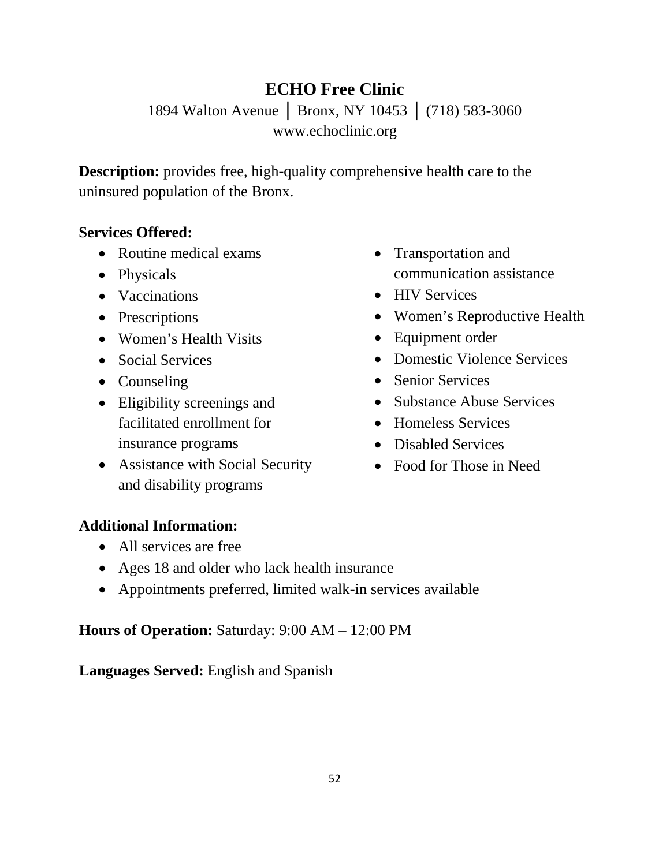# **ECHO Free Clinic**

1894 Walton Avenue │ Bronx, NY 10453 │ (718) 583-3060 www.echoclinic.org

**Description:** provides free, high-quality comprehensive health care to the uninsured population of the Bronx.

#### **Services Offered:**

- Routine medical exams
- Physicals
- Vaccinations
- Prescriptions
- Women's Health Visits
- Social Services
- Counseling
- Eligibility screenings and facilitated enrollment for insurance programs
- Assistance with Social Security and disability programs
- Transportation and communication assistance
- HIV Services
- Women's Reproductive Health
- Equipment order
- Domestic Violence Services
- Senior Services
- Substance Abuse Services
- Homeless Services
- Disabled Services
- Food for Those in Need

### **Additional Information:**

- All services are free
- Ages 18 and older who lack health insurance
- Appointments preferred, limited walk-in services available

#### **Hours of Operation:** Saturday: 9:00 AM – 12:00 PM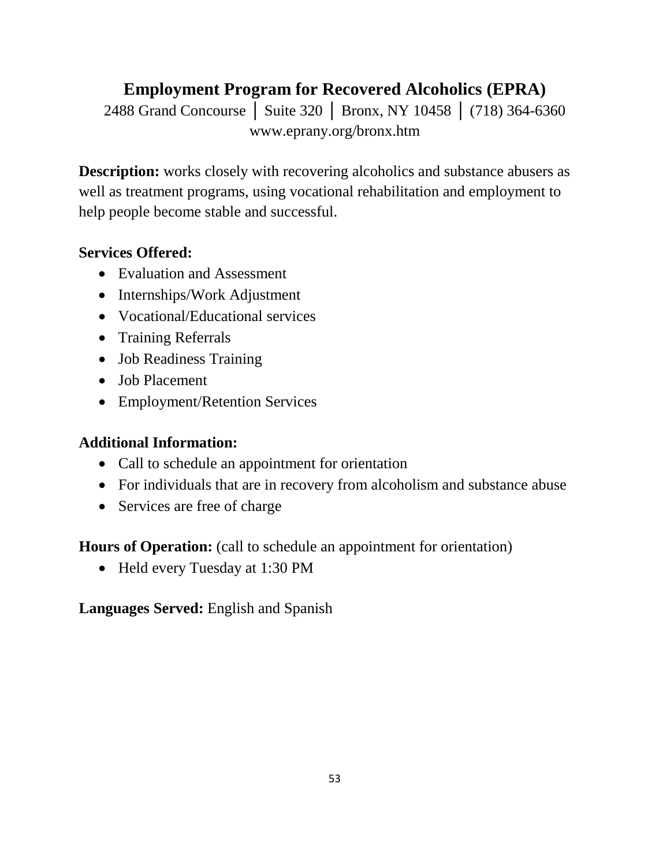# **Employment Program for Recovered Alcoholics (EPRA)**

2488 Grand Concourse | Suite 320 | Bronx, NY 10458 | (718) 364-6360 www.eprany.org/bronx.htm

**Description:** works closely with recovering alcoholics and substance abusers as well as treatment programs, using vocational rehabilitation and employment to help people become stable and successful.

### **Services Offered:**

- Evaluation and Assessment
- Internships/Work Adjustment
- Vocational/Educational services
- Training Referrals
- Job Readiness Training
- Job Placement
- Employment/Retention Services

### **Additional Information:**

- Call to schedule an appointment for orientation
- For individuals that are in recovery from alcoholism and substance abuse
- Services are free of charge

**Hours of Operation:** (call to schedule an appointment for orientation)

• Held every Tuesday at 1:30 PM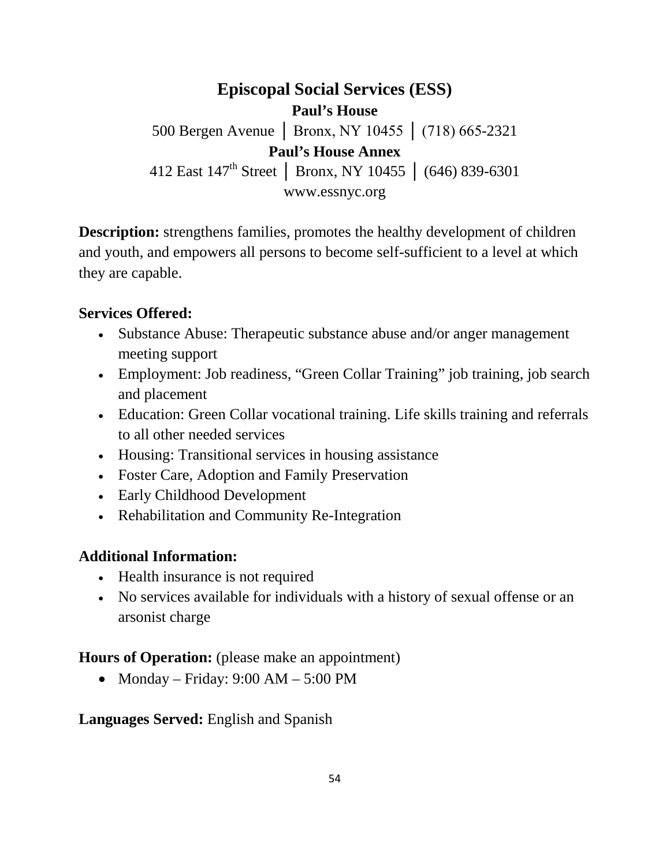**Episcopal Social Services (ESS) Paul's House** 500 Bergen Avenue │ Bronx, NY 10455 │ (718) 665-2321 **Paul's House Annex** 412 East 147th Street │ Bronx, NY 10455 │ (646) 839-6301 www.essnyc.org

**Description:** strengthens families, promotes the healthy development of children and youth, and empowers all persons to become self-sufficient to a level at which they are capable.

#### **Services Offered:**

- Substance Abuse: Therapeutic substance abuse and/or anger management meeting support
- Employment: Job readiness, "Green Collar Training" job training, job search and placement
- Education: Green Collar vocational training. Life skills training and referrals to all other needed services
- Housing: Transitional services in housing assistance
- Foster Care, Adoption and Family Preservation
- Early Childhood Development
- Rehabilitation and Community Re-Integration

#### **Additional Information:**

- Health insurance is not required
- No services available for individuals with a history of sexual offense or an arsonist charge

### **Hours of Operation:** (please make an appointment)

• Monday – Friday:  $9:00 \text{ AM} - 5:00 \text{ PM}$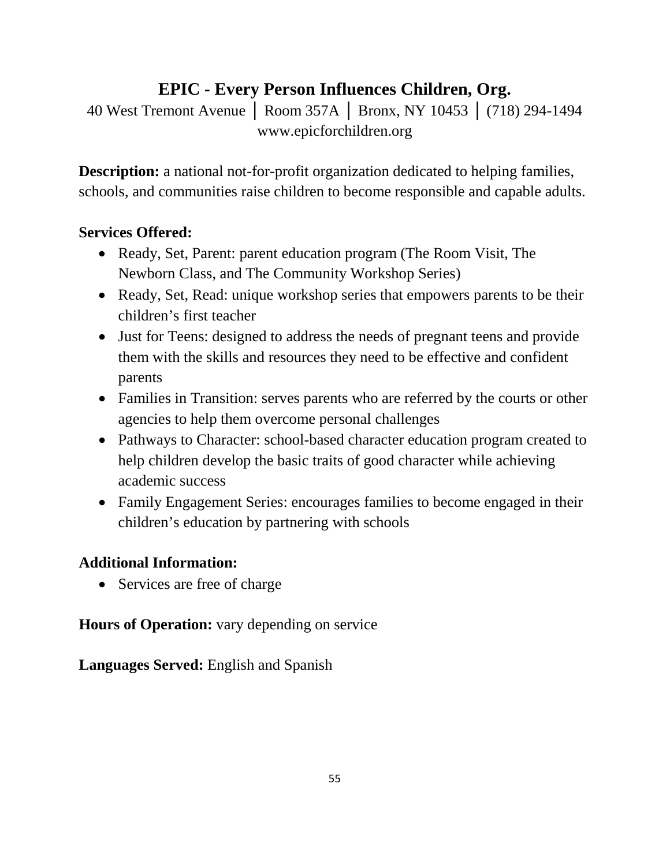# **EPIC - Every Person Influences Children, Org.**

40 West Tremont Avenue │ Room 357A │ Bronx, NY 10453 │ (718) 294-1494 www.epicforchildren.org

**Description:** a national not-for-profit organization dedicated to helping families, schools, and communities raise children to become responsible and capable adults.

### **Services Offered:**

- Ready, Set, Parent: parent education program (The Room Visit, The Newborn Class, and The Community Workshop Series)
- Ready, Set, Read: unique workshop series that empowers parents to be their children's first teacher
- Just for Teens: designed to address the needs of pregnant teens and provide them with the skills and resources they need to be effective and confident parents
- Families in Transition: serves parents who are referred by the courts or other agencies to help them overcome personal challenges
- Pathways to Character: school-based character education program created to help children develop the basic traits of good character while achieving academic success
- Family Engagement Series: encourages families to become engaged in their children's education by partnering with schools

## **Additional Information:**

• Services are free of charge

**Hours of Operation:** vary depending on service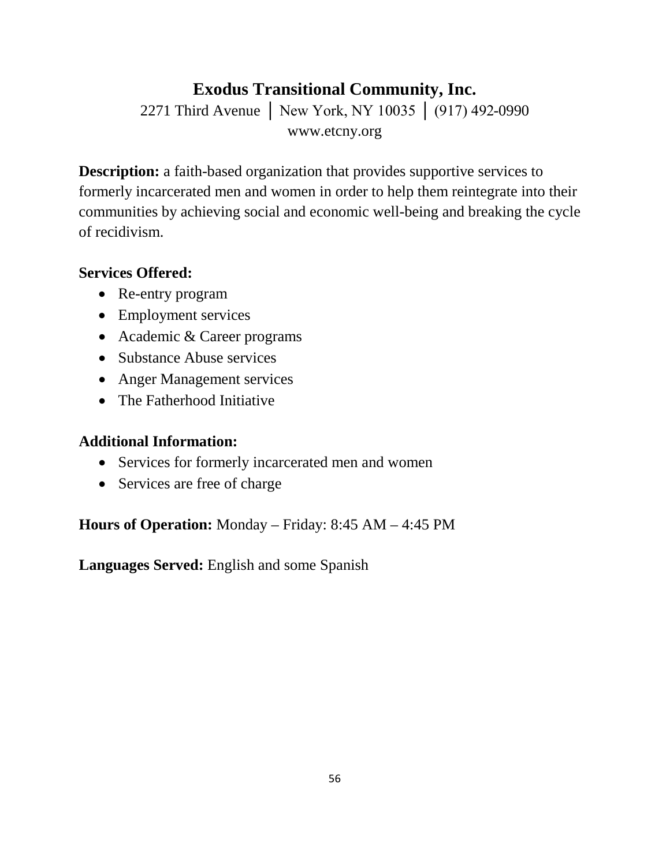# **Exodus Transitional Community, Inc.**

2271 Third Avenue │ New York, NY 10035 │ (917) 492-0990 www.etcny.org

**Description:** a faith-based organization that provides supportive services to formerly incarcerated men and women in order to help them reintegrate into their communities by achieving social and economic well-being and breaking the cycle of recidivism.

### **Services Offered:**

- Re-entry program
- Employment services
- Academic & Career programs
- Substance Abuse services
- Anger Management services
- The Fatherhood Initiative

### **Additional Information:**

- Services for formerly incarcerated men and women
- Services are free of charge

**Hours of Operation:** Monday – Friday: 8:45 AM – 4:45 PM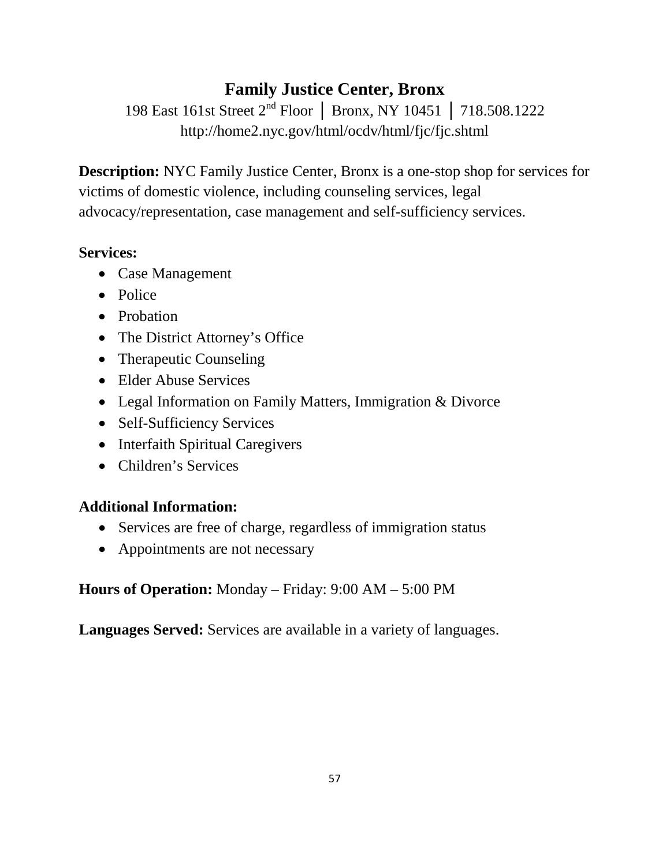# **Family Justice Center, Bronx**

198 East 161st Street 2nd Floor │ Bronx, NY 10451 │ 718.508.1222 http://home2.nyc.gov/html/ocdv/html/fjc/fjc.shtml

**Description:** NYC Family Justice Center, Bronx is a one-stop shop for services for victims of domestic violence, including counseling services, legal advocacy/representation, case management and self-sufficiency services.

### **Services:**

- Case Management
- Police
- Probation
- The District Attorney's Office
- Therapeutic Counseling
- Elder Abuse Services
- Legal Information on Family Matters, Immigration & Divorce
- Self-Sufficiency Services
- Interfaith Spiritual Caregivers
- Children's Services

## **Additional Information:**

- Services are free of charge, regardless of immigration status
- Appointments are not necessary

**Hours of Operation:** Monday – Friday: 9:00 AM – 5:00 PM

**Languages Served:** Services are available in a variety of languages.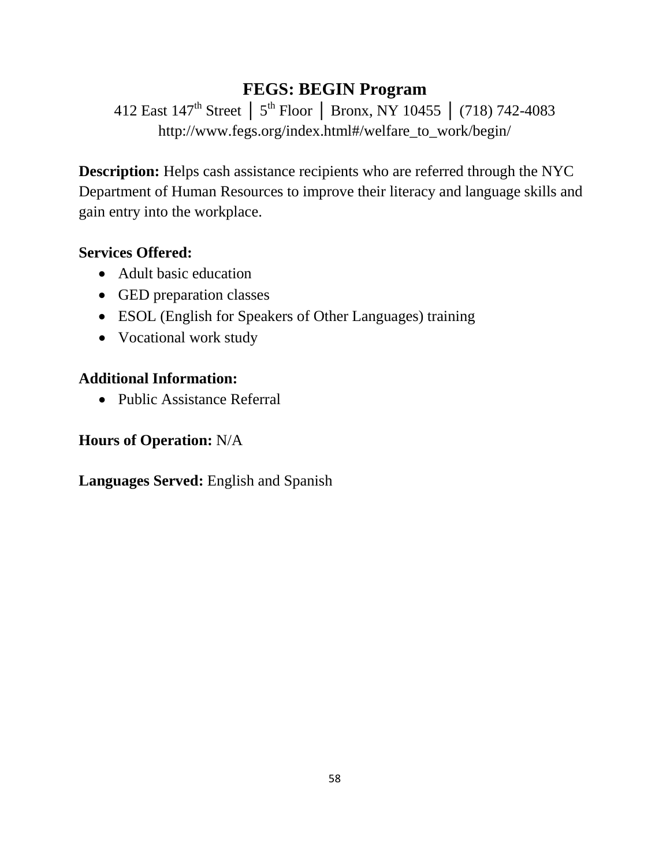# **FEGS: BEGIN Program**

412 East 147th Street │ 5th Floor │ Bronx, NY 10455 │ (718) 742-4083 http://www.fegs.org/index.html#/welfare\_to\_work/begin/

**Description:** Helps cash assistance recipients who are referred through the NYC Department of Human Resources to improve their literacy and language skills and gain entry into the workplace.

#### **Services Offered:**

- Adult basic education
- GED preparation classes
- ESOL (English for Speakers of Other Languages) training
- Vocational work study

#### **Additional Information:**

• Public Assistance Referral

#### **Hours of Operation:** N/A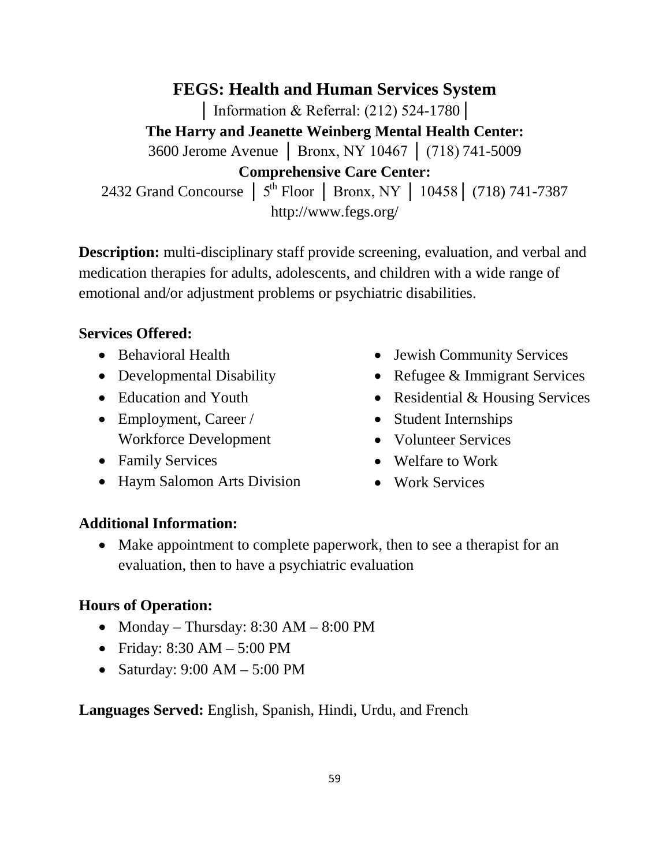**FEGS: Health and Human Services System** │ Information & Referral: (212) 524-1780│ **The Harry and Jeanette Weinberg Mental Health Center:** 3600 Jerome Avenue │ Bronx, NY 10467 │ (718) 741-5009 **Comprehensive Care Center:** 2432 Grand Concourse │ 5<sup>th</sup> Floor │ Bronx, NY │ 10458 │ (718) 741-7387 http://www.fegs.org/

**Description:** multi-disciplinary staff provide screening, evaluation, and verbal and medication therapies for adults, adolescents, and children with a wide range of emotional and/or adjustment problems or psychiatric disabilities.

#### **Services Offered:**

- Behavioral Health
- Developmental Disability
- Education and Youth
- Employment, Career / Workforce Development
- Family Services
- Haym Salomon Arts Division
- Jewish Community Services
- Refugee & Immigrant Services
- Residential & Housing Services
- Student Internships
- Volunteer Services
- Welfare to Work
- Work Services

#### **Additional Information:**

• Make appointment to complete paperwork, then to see a therapist for an evaluation, then to have a psychiatric evaluation

#### **Hours of Operation:**

- Monday Thursday: 8:30 AM 8:00 PM
- Friday: 8:30 AM 5:00 PM
- Saturday:  $9:00 \text{ AM} 5:00 \text{ PM}$

**Languages Served:** English, Spanish, Hindi, Urdu, and French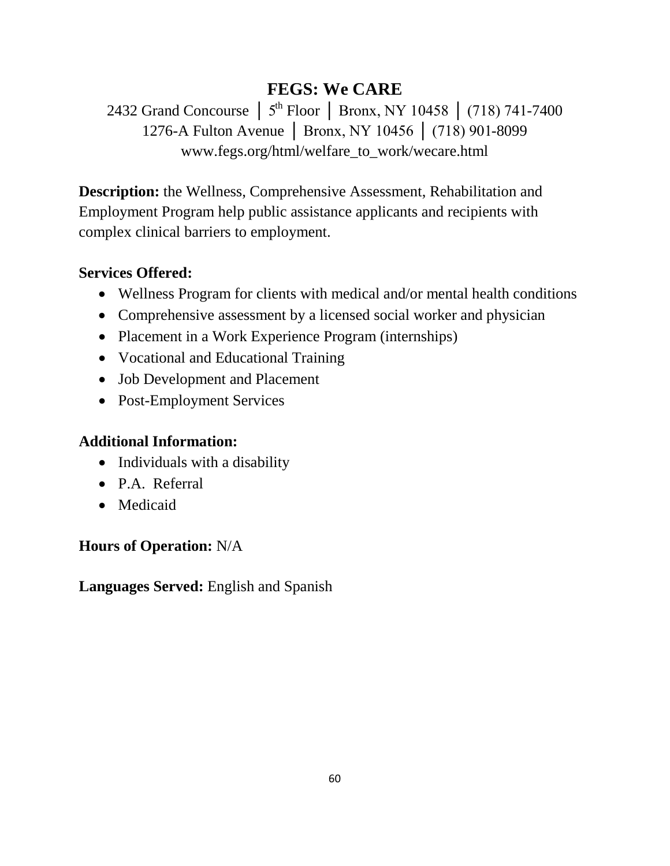# **FEGS: We CARE**

2432 Grand Concourse │ 5<sup>th</sup> Floor │ Bronx, NY 10458 │ (718) 741-7400 1276-A Fulton Avenue │ Bronx, NY 10456 │ (718) 901-8099 www.fegs.org/html/welfare\_to\_work/wecare.html

**Description:** the Wellness, Comprehensive Assessment, Rehabilitation and Employment Program help public assistance applicants and recipients with complex clinical barriers to employment.

## **Services Offered:**

- Wellness Program for clients with medical and/or mental health conditions
- Comprehensive assessment by a licensed social worker and physician
- Placement in a Work Experience Program (internships)
- Vocational and Educational Training
- Job Development and Placement
- Post-Employment Services

## **Additional Information:**

- Individuals with a disability
- P.A. Referral
- Medicaid

## **Hours of Operation:** N/A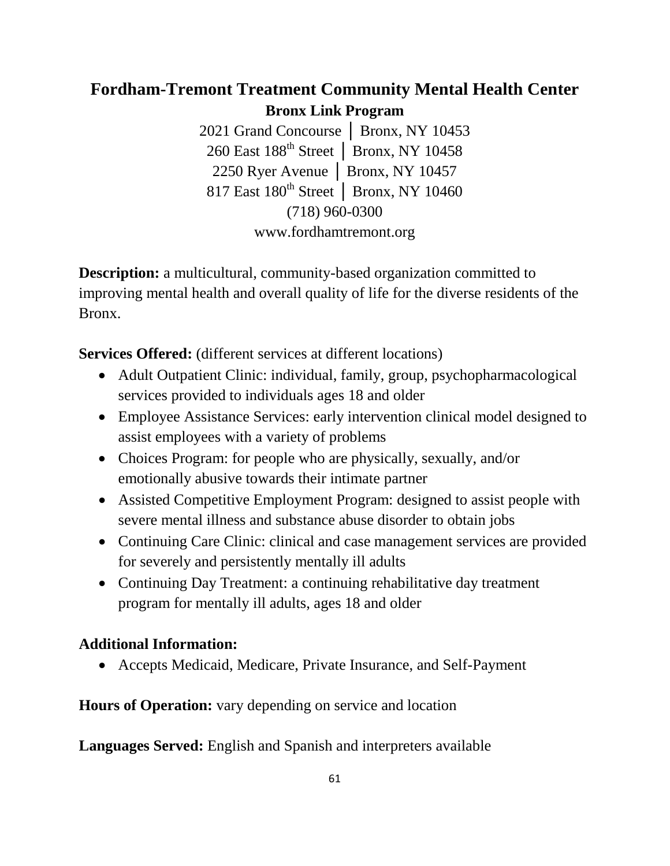## **Fordham-Tremont Treatment Community Mental Health Center Bronx Link Program**

2021 Grand Concourse │ Bronx, NY 10453 260 East 188<sup>th</sup> Street │ Bronx, NY 10458 2250 Ryer Avenue │ Bronx, NY 10457 817 East 180<sup>th</sup> Street | Bronx, NY 10460 (718) 960-0300 www.fordhamtremont.org

**Description:** a multicultural, community-based organization committed to improving mental health and overall quality of life for the diverse residents of the Bronx.

**Services Offered:** (different services at different locations)

- Adult Outpatient Clinic: individual, family, group, psychopharmacological services provided to individuals ages 18 and older
- Employee Assistance Services: early intervention clinical model designed to assist employees with a variety of problems
- Choices Program: for people who are physically, sexually, and/or emotionally abusive towards their intimate partner
- Assisted Competitive Employment Program: designed to assist people with severe mental illness and substance abuse disorder to obtain jobs
- Continuing Care Clinic: clinical and case management services are provided for severely and persistently mentally ill adults
- Continuing Day Treatment: a continuing rehabilitative day treatment program for mentally ill adults, ages 18 and older

### **Additional Information:**

• Accepts Medicaid, Medicare, Private Insurance, and Self-Payment

**Hours of Operation:** vary depending on service and location

**Languages Served:** English and Spanish and interpreters available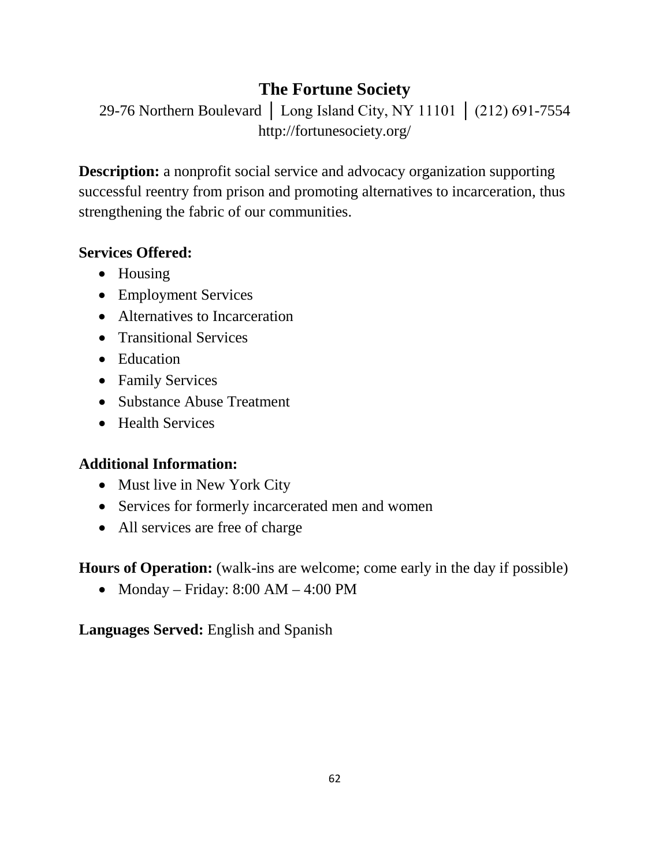# **The Fortune Society**

29-76 Northern Boulevard │ Long Island City, NY 11101 │ (212) 691-7554 http://fortunesociety.org/

**Description:** a nonprofit social service and advocacy organization supporting successful reentry from prison and promoting alternatives to incarceration, thus strengthening the fabric of our communities.

### **Services Offered:**

- Housing
- Employment Services
- Alternatives to Incarceration
- Transitional Services
- Education
- Family Services
- Substance Abuse Treatment
- Health Services

## **Additional Information:**

- Must live in New York City
- Services for formerly incarcerated men and women
- All services are free of charge

**Hours of Operation:** (walk-ins are welcome; come early in the day if possible)

• Monday – Friday:  $8:00$  AM –  $4:00$  PM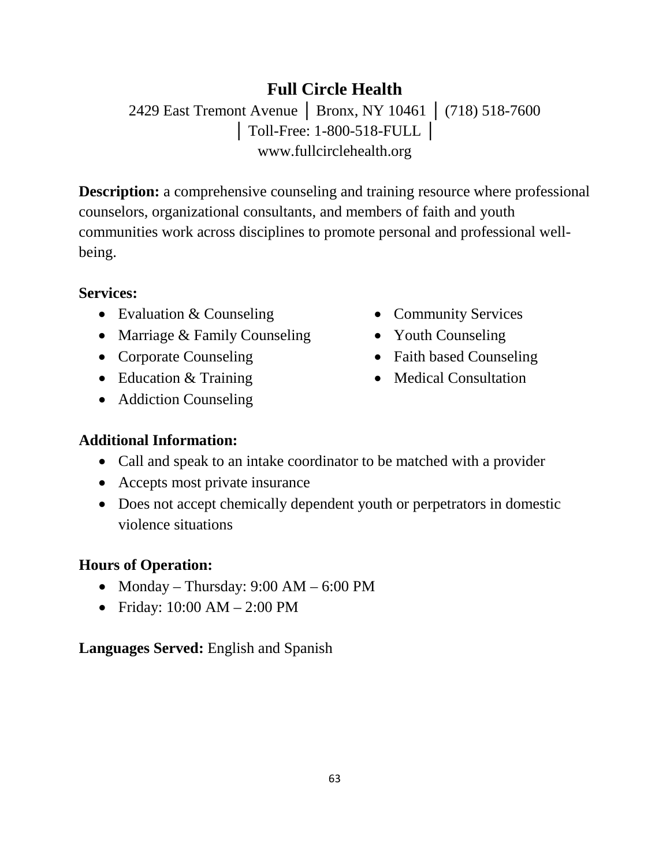# **Full Circle Health**

2429 East Tremont Avenue | Bronx, NY 10461 | (718) 518-7600 │ Toll-Free: 1-800-518-FULL │ www.fullcirclehealth.org

**Description:** a comprehensive counseling and training resource where professional counselors, organizational consultants, and members of faith and youth communities work across disciplines to promote personal and professional wellbeing.

#### **Services:**

- Evaluation & Counseling
- Marriage & Family Counseling
- Corporate Counseling
- Education & Training
- Addiction Counseling
- Community Services
- Youth Counseling
- Faith based Counseling
- Medical Consultation

### **Additional Information:**

- Call and speak to an intake coordinator to be matched with a provider
- Accepts most private insurance
- Does not accept chemically dependent youth or perpetrators in domestic violence situations

### **Hours of Operation:**

- Monday Thursday:  $9:00 AM 6:00 PM$
- Friday: 10:00 AM 2:00 PM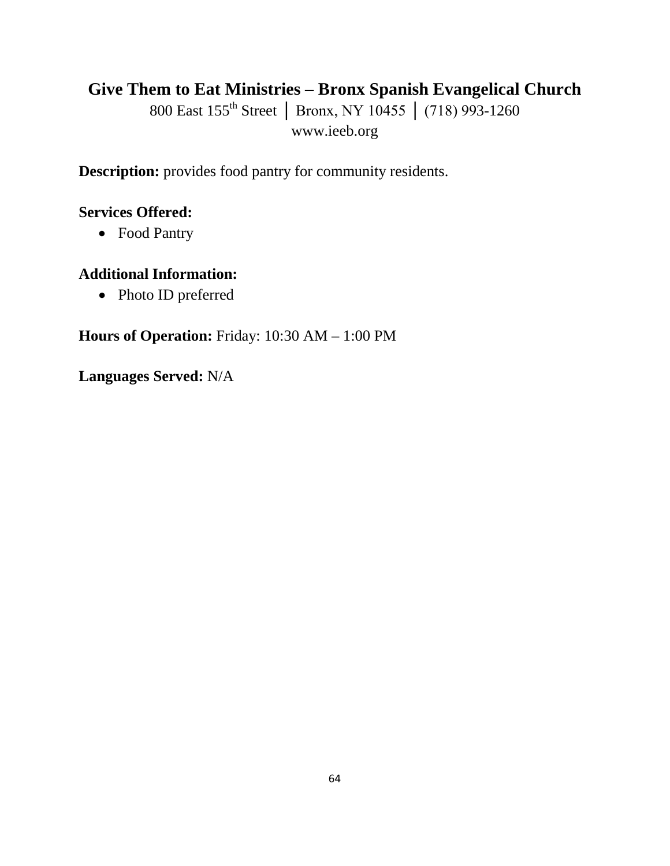## **Give Them to Eat Ministries – Bronx Spanish Evangelical Church**

800 East 155<sup>th</sup> Street | Bronx, NY 10455 | (718) 993-1260 www.ieeb.org

**Description:** provides food pantry for community residents.

#### **Services Offered:**

• Food Pantry

### **Additional Information:**

• Photo ID preferred

**Hours of Operation:** Friday: 10:30 AM – 1:00 PM

**Languages Served:** N/A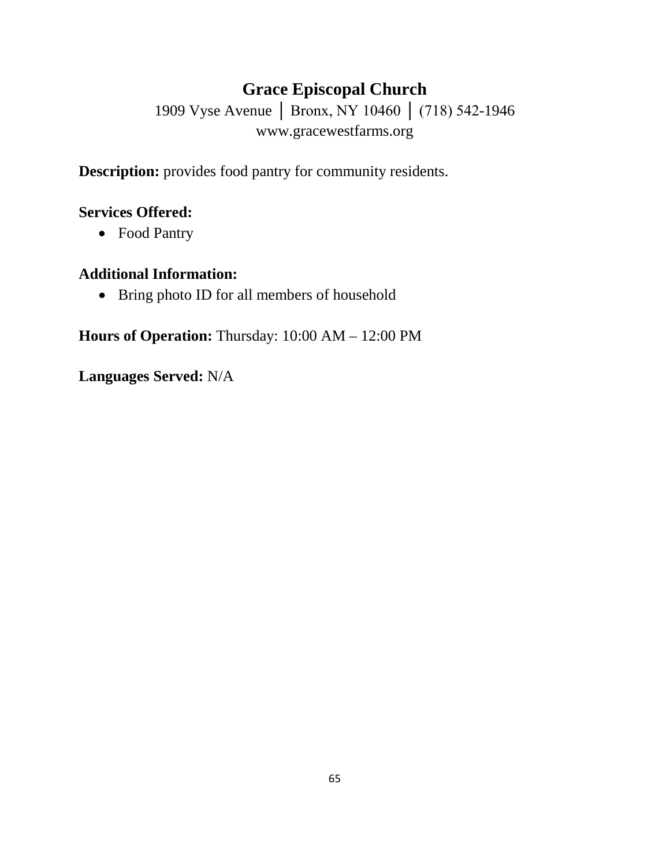# **Grace Episcopal Church**

1909 Vyse Avenue │ Bronx, NY 10460 │ (718) 542-1946 www.gracewestfarms.org

**Description:** provides food pantry for community residents.

### **Services Offered:**

• Food Pantry

### **Additional Information:**

• Bring photo ID for all members of household

**Hours of Operation:** Thursday: 10:00 AM – 12:00 PM

**Languages Served:** N/A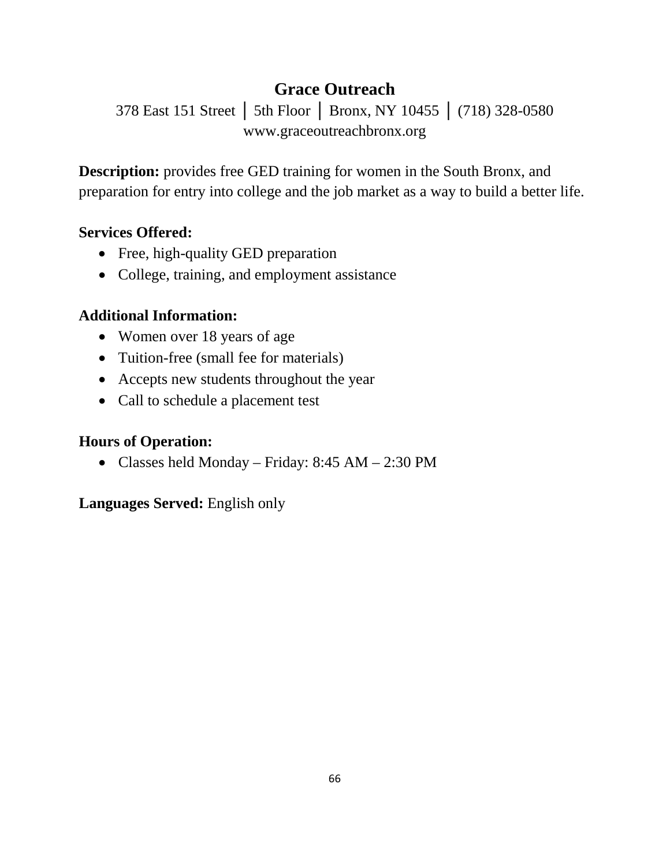# **Grace Outreach**

378 East 151 Street │ 5th Floor │ Bronx, NY 10455 │ (718) 328-0580 www.graceoutreachbronx.org

**Description:** provides free GED training for women in the South Bronx, and preparation for entry into college and the job market as a way to build a better life.

### **Services Offered:**

- Free, high-quality GED preparation
- College, training, and employment assistance

### **Additional Information:**

- Women over 18 years of age
- Tuition-free (small fee for materials)
- Accepts new students throughout the year
- Call to schedule a placement test

### **Hours of Operation:**

• Classes held Monday – Friday: 8:45 AM – 2:30 PM

### **Languages Served:** English only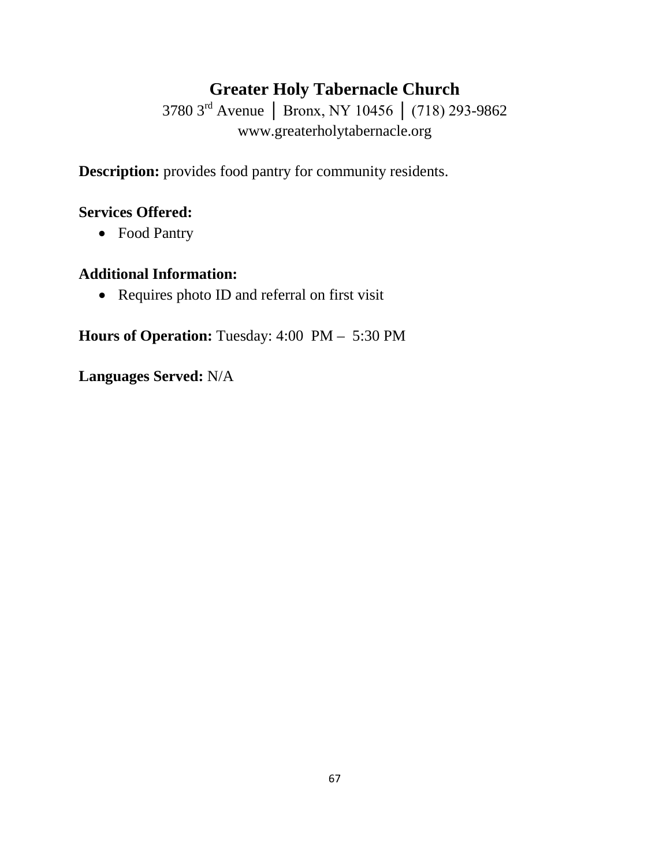# **Greater Holy Tabernacle Church**

3780 3rd Avenue │ Bronx, NY 10456 │ (718) 293-9862 www.greaterholytabernacle.org

**Description:** provides food pantry for community residents.

### **Services Offered:**

• Food Pantry

### **Additional Information:**

• Requires photo ID and referral on first visit

**Hours of Operation:** Tuesday: 4:00 PM – 5:30 PM

**Languages Served:** N/A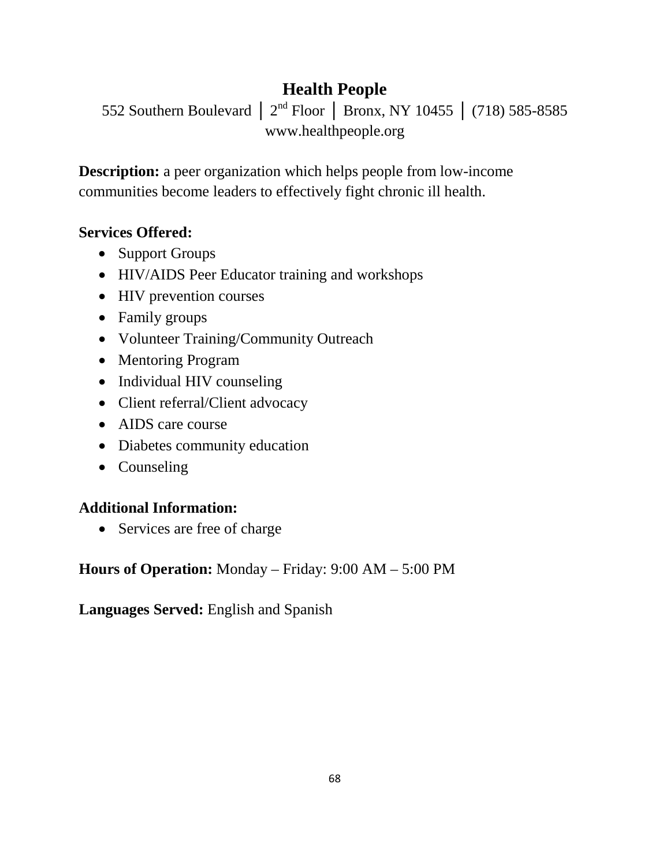# **Health People**

552 Southern Boulevard │ 2nd Floor │ Bronx, NY 10455 │ (718) 585-8585 www.healthpeople.org

**Description:** a peer organization which helps people from low-income communities become leaders to effectively fight chronic ill health.

### **Services Offered:**

- Support Groups
- HIV/AIDS Peer Educator training and workshops
- HIV prevention courses
- Family groups
- Volunteer Training/Community Outreach
- Mentoring Program
- Individual HIV counseling
- Client referral/Client advocacy
- AIDS care course
- Diabetes community education
- Counseling

### **Additional Information:**

• Services are free of charge

**Hours of Operation:** Monday – Friday: 9:00 AM – 5:00 PM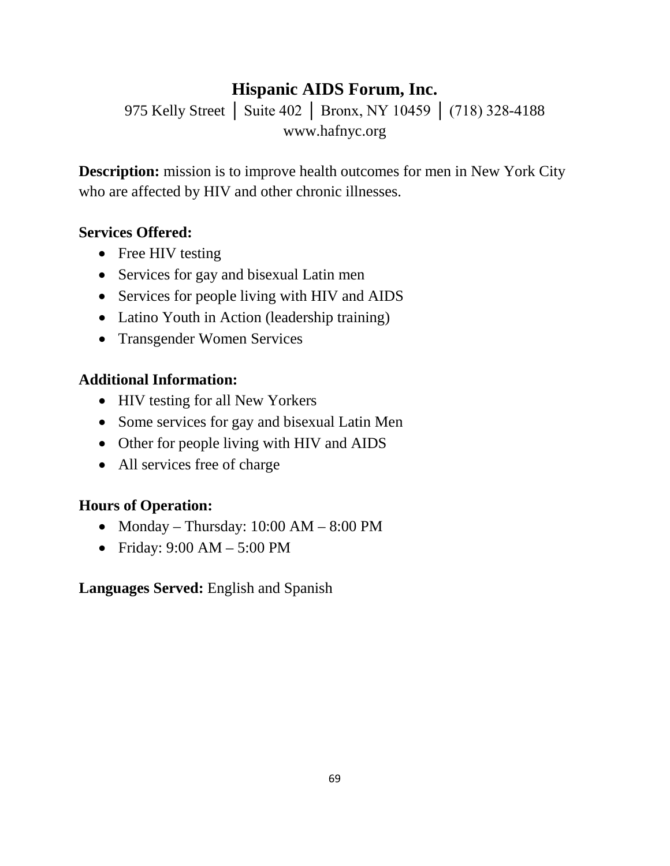# **Hispanic AIDS Forum, Inc.**

975 Kelly Street | Suite 402 | Bronx, NY 10459 | (718) 328-4188 www.hafnyc.org

**Description:** mission is to improve health outcomes for men in New York City who are affected by HIV and other chronic illnesses.

#### **Services Offered:**

- Free HIV testing
- Services for gay and bisexual Latin men
- Services for people living with HIV and AIDS
- Latino Youth in Action (leadership training)
- Transgender Women Services

#### **Additional Information:**

- HIV testing for all New Yorkers
- Some services for gay and bisexual Latin Men
- Other for people living with HIV and AIDS
- All services free of charge

#### **Hours of Operation:**

- Monday Thursday:  $10:00$  AM  $8:00$  PM
- Friday: 9:00 AM 5:00 PM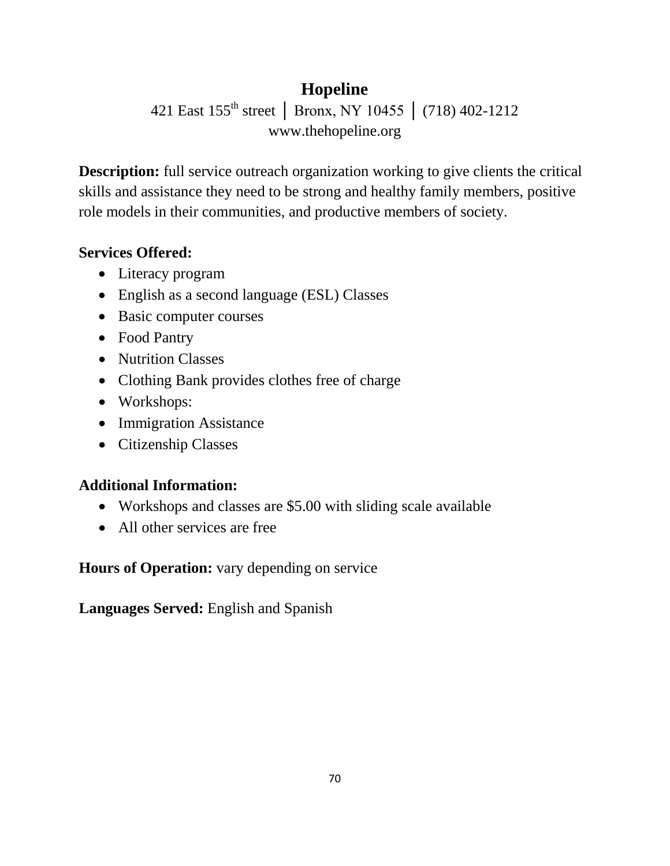# **Hopeline**

421 East 155th street │ Bronx, NY 10455 │ (718) 402-1212 www.thehopeline.org

**Description:** full service outreach organization working to give clients the critical skills and assistance they need to be strong and healthy family members, positive role models in their communities, and productive members of society.

## **Services Offered:**

- Literacy program
- English as a second language (ESL) Classes
- Basic computer courses
- Food Pantry
- Nutrition Classes
- Clothing Bank provides clothes free of charge
- Workshops:
- Immigration Assistance
- Citizenship Classes

## **Additional Information:**

- Workshops and classes are \$5.00 with sliding scale available
- All other services are free

**Hours of Operation:** vary depending on service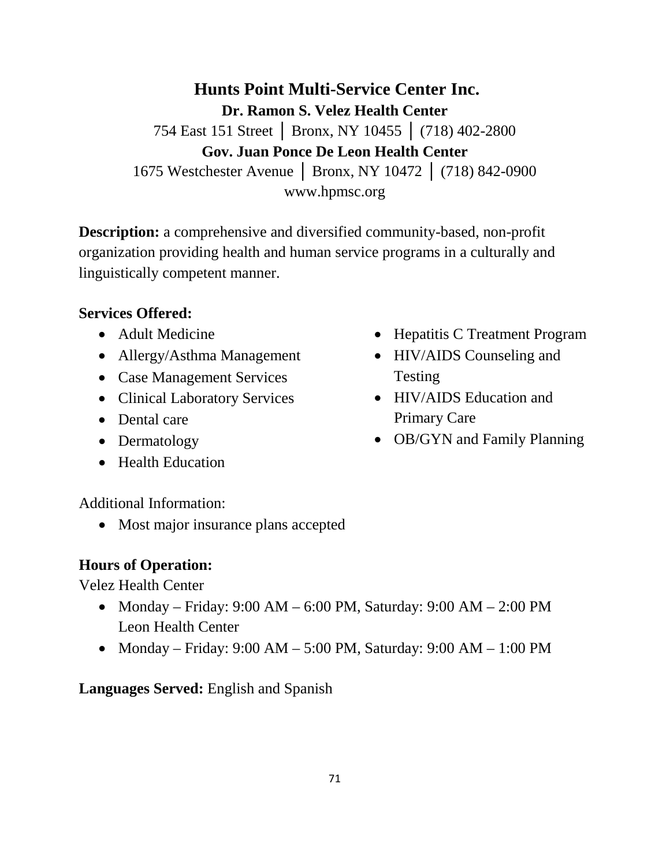**Hunts Point Multi-Service Center Inc. Dr. Ramon S. Velez Health Center** 754 East 151 Street │ Bronx, NY 10455 │ (718) 402-2800 **Gov. Juan Ponce De Leon Health Center** 1675 Westchester Avenue │ Bronx, NY 10472 │ (718) 842-0900 www.hpmsc.org

**Description:** a comprehensive and diversified community-based, non-profit organization providing health and human service programs in a culturally and linguistically competent manner.

#### **Services Offered:**

- Adult Medicine
- Allergy/Asthma Management
- Case Management Services
- Clinical Laboratory Services
- Dental care
- Dermatology
- Health Education
- Hepatitis C Treatment Program
- HIV/AIDS Counseling and Testing
- HIV/AIDS Education and Primary Care
- OB/GYN and Family Planning

Additional Information:

• Most major insurance plans accepted

#### **Hours of Operation:**

Velez Health Center

- Monday Friday: 9:00 AM 6:00 PM, Saturday: 9:00 AM 2:00 PM Leon Health Center
- Monday Friday:  $9:00 \text{ AM} 5:00 \text{ PM}$ , Saturday:  $9:00 \text{ AM} 1:00 \text{ PM}$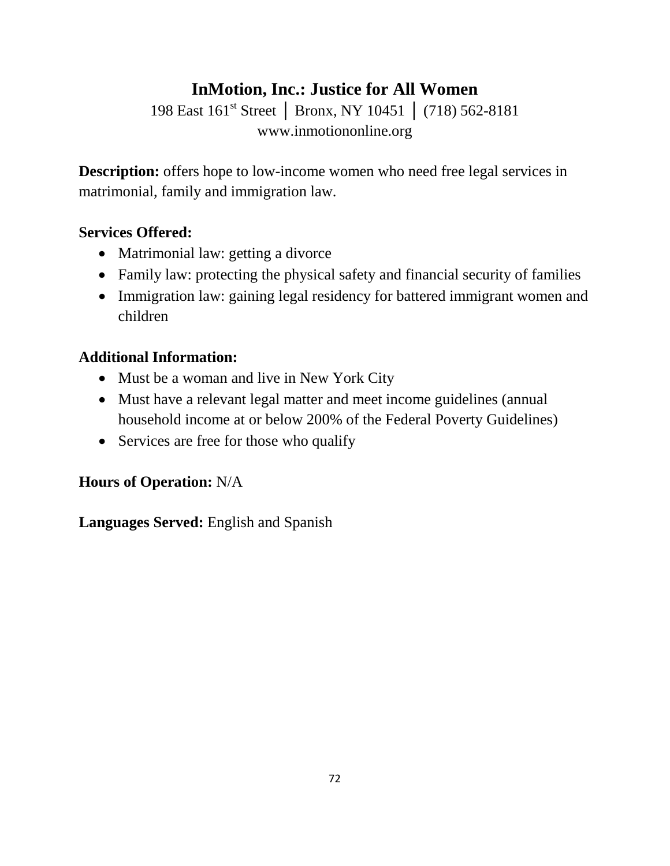## **InMotion, Inc.: Justice for All Women**

198 East 161st Street │ Bronx, NY 10451 │ (718) 562-8181 www.inmotiononline.org

**Description:** offers hope to low-income women who need free legal services in matrimonial, family and immigration law.

## **Services Offered:**

- Matrimonial law: getting a divorce
- Family law: protecting the physical safety and financial security of families
- Immigration law: gaining legal residency for battered immigrant women and children

## **Additional Information:**

- Must be a woman and live in New York City
- Must have a relevant legal matter and meet income guidelines (annual household income at or below 200% of the Federal Poverty Guidelines)
- Services are free for those who qualify

## **Hours of Operation:** N/A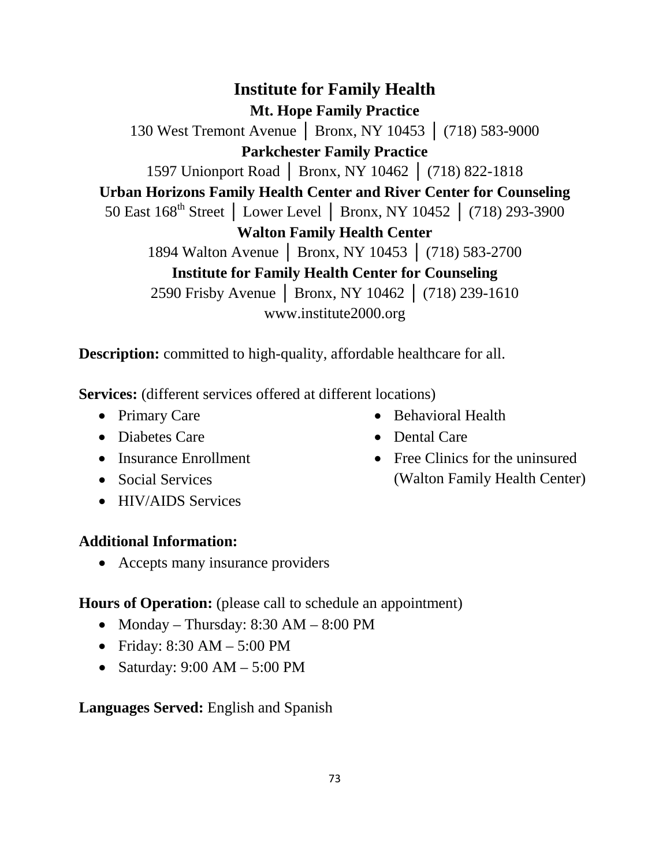**Institute for Family Health Mt. Hope Family Practice** 130 West Tremont Avenue │ Bronx, NY 10453 │ (718) 583-9000 **Parkchester Family Practice** 1597 Unionport Road │ Bronx, NY 10462 │ (718) 822-1818 **Urban Horizons Family Health Center and River Center for Counseling** 50 East 168<sup>th</sup> Street │ Lower Level │ Bronx, NY 10452 │ (718) 293-3900 **Walton Family Health Center** 1894 Walton Avenue │ Bronx, NY 10453 │ (718) 583-2700 **Institute for Family Health Center for Counseling** 2590 Frisby Avenue │ Bronx, NY 10462 │ (718) 239-1610 www.institute2000.org

**Description:** committed to high-quality, affordable healthcare for all.

**Services:** (different services offered at different locations)

- Primary Care
- Diabetes Care
- Insurance Enrollment
- Social Services
- HIV/AIDS Services

#### **Additional Information:**

• Accepts many insurance providers

## **Hours of Operation:** (please call to schedule an appointment)

- Monday Thursday: 8:30 AM 8:00 PM
- Friday: 8:30 AM 5:00 PM
- Saturday: 9:00 AM 5:00 PM

## **Languages Served:** English and Spanish

73

- Behavioral Health
- Dental Care
- Free Clinics for the uninsured (Walton Family Health Center)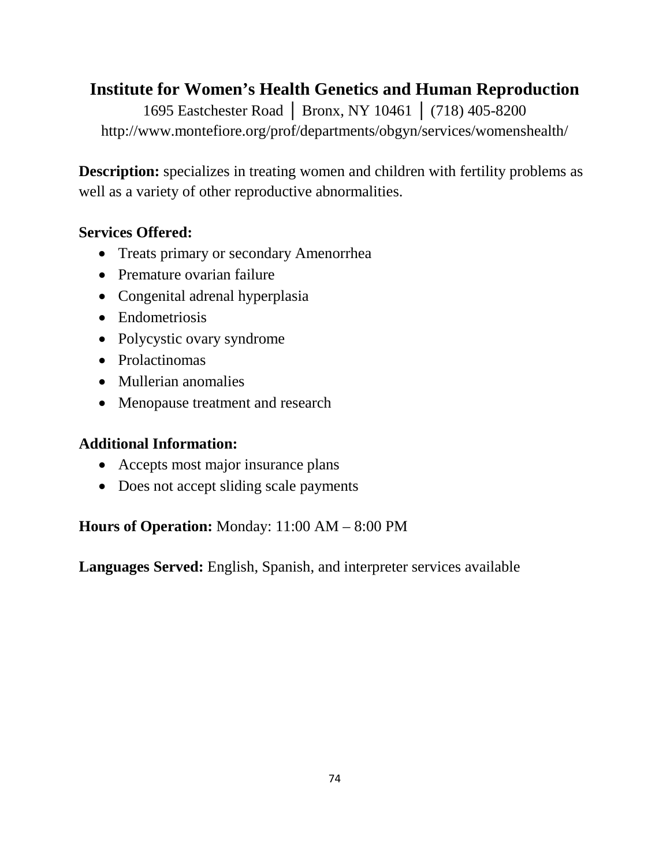## **Institute for Women's Health Genetics and Human Reproduction**

1695 Eastchester Road │ Bronx, NY 10461 │ (718) 405-8200 http://www.montefiore.org/prof/departments/obgyn/services/womenshealth/

**Description:** specializes in treating women and children with fertility problems as well as a variety of other reproductive abnormalities.

## **Services Offered:**

- Treats primary or secondary Amenorrhea
- Premature ovarian failure
- Congenital adrenal hyperplasia
- Endometriosis
- Polycystic ovary syndrome
- Prolactinomas
- Mullerian anomalies
- Menopause treatment and research

## **Additional Information:**

- Accepts most major insurance plans
- Does not accept sliding scale payments

**Hours of Operation:** Monday: 11:00 AM – 8:00 PM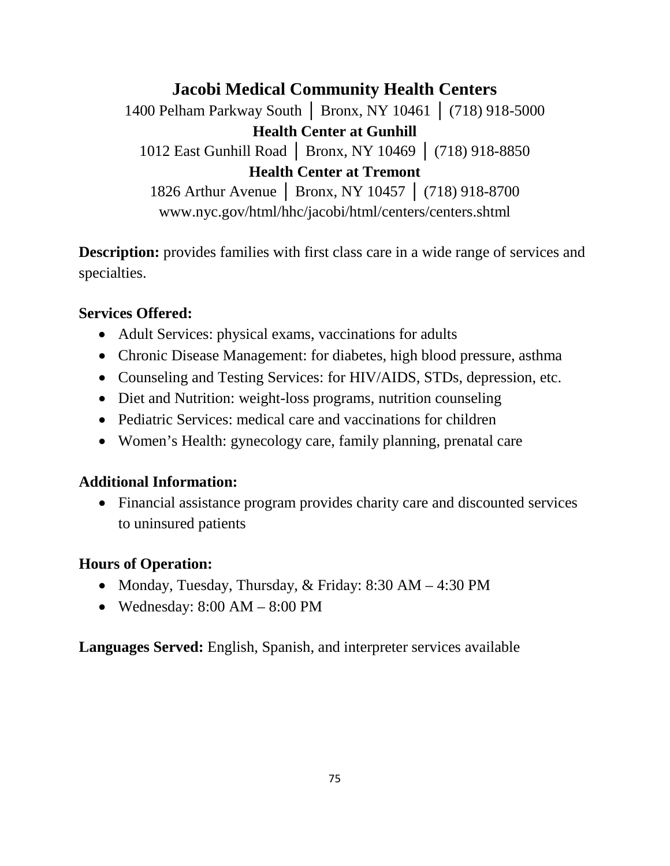**Jacobi Medical Community Health Centers** 1400 Pelham Parkway South │ Bronx, NY 10461 │ (718) 918-5000 **Health Center at Gunhill** 1012 East Gunhill Road │ Bronx, NY 10469 │ (718) 918-8850 **Health Center at Tremont** 1826 Arthur Avenue │ Bronx, NY 10457 │ (718) 918-8700 www.nyc.gov/html/hhc/jacobi/html/centers/centers.shtml

**Description:** provides families with first class care in a wide range of services and specialties.

#### **Services Offered:**

- Adult Services: physical exams, vaccinations for adults
- Chronic Disease Management: for diabetes, high blood pressure, asthma
- Counseling and Testing Services: for HIV/AIDS, STDs, depression, etc.
- Diet and Nutrition: weight-loss programs, nutrition counseling
- Pediatric Services: medical care and vaccinations for children
- Women's Health: gynecology care, family planning, prenatal care

#### **Additional Information:**

• Financial assistance program provides charity care and discounted services to uninsured patients

## **Hours of Operation:**

- Monday, Tuesday, Thursday, & Friday: 8:30 AM 4:30 PM
- Wednesday:  $8:00 \text{ AM} 8:00 \text{ PM}$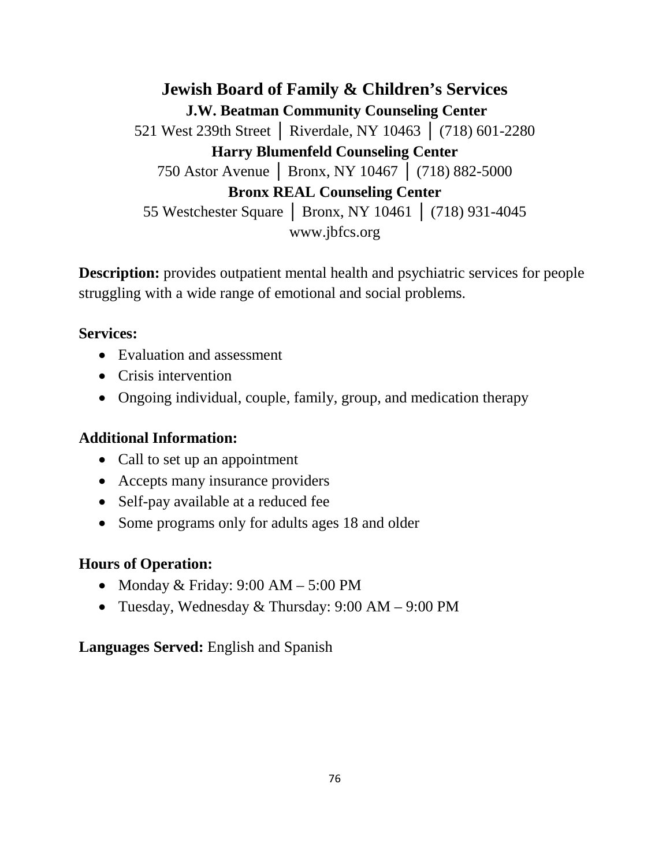**Jewish Board of Family & Children's Services [J.W. Beatman Community Counseling Center](http://www.jbfcs.org/programs.php?id=263)**  521 West 239th Street │ Riverdale, NY 10463 │ (718) 601-2280 **Harry Blumenfeld Counseling Center** 750 Astor Avenue │ Bronx, NY 10467 │ (718) 882-5000 **Bronx REAL Counseling Center** 55 Westchester Square │ Bronx, NY 10461 │ (718) 931-4045 www.jbfcs.org

**Description:** provides outpatient mental health and psychiatric services for people struggling with a wide range of emotional and social problems.

#### **Services:**

- Evaluation and assessment
- Crisis intervention
- Ongoing individual, couple, family, group, and medication therapy

#### **Additional Information:**

- Call to set up an appointment
- Accepts many insurance providers
- Self-pay available at a reduced fee
- Some programs only for adults ages 18 and older

#### **Hours of Operation:**

- Monday & Friday:  $9:00$  AM  $5:00$  PM
- Tuesday, Wednesday & Thursday: 9:00 AM 9:00 PM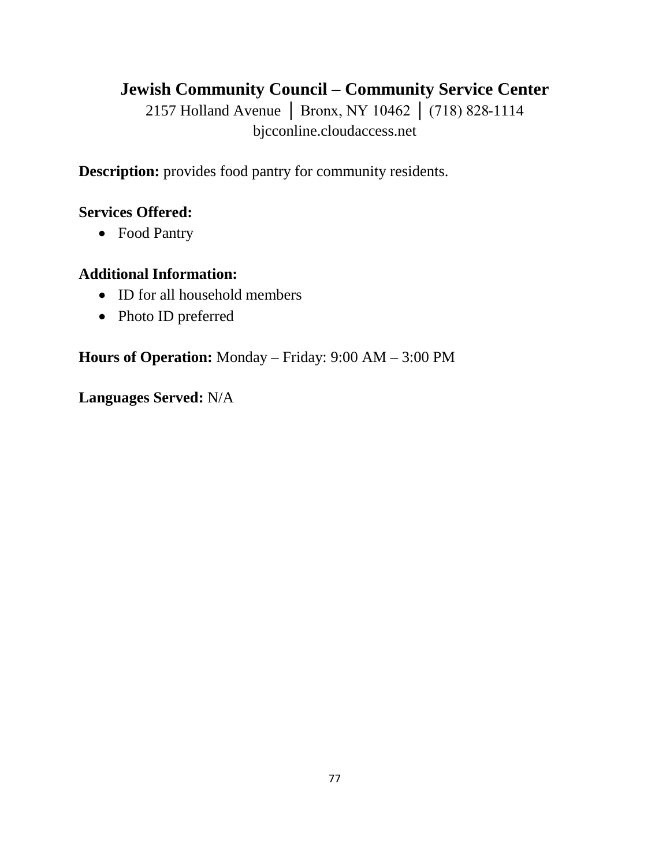## **Jewish Community Council – Community Service Center**

2157 Holland Avenue | Bronx, NY 10462 | (718) 828-1114 bjcconline.cloudaccess.net

**Description:** provides food pantry for community residents.

#### **Services Offered:**

• Food Pantry

#### **Additional Information:**

- ID for all household members
- Photo ID preferred

**Hours of Operation:** Monday – Friday: 9:00 AM – 3:00 PM

**Languages Served:** N/A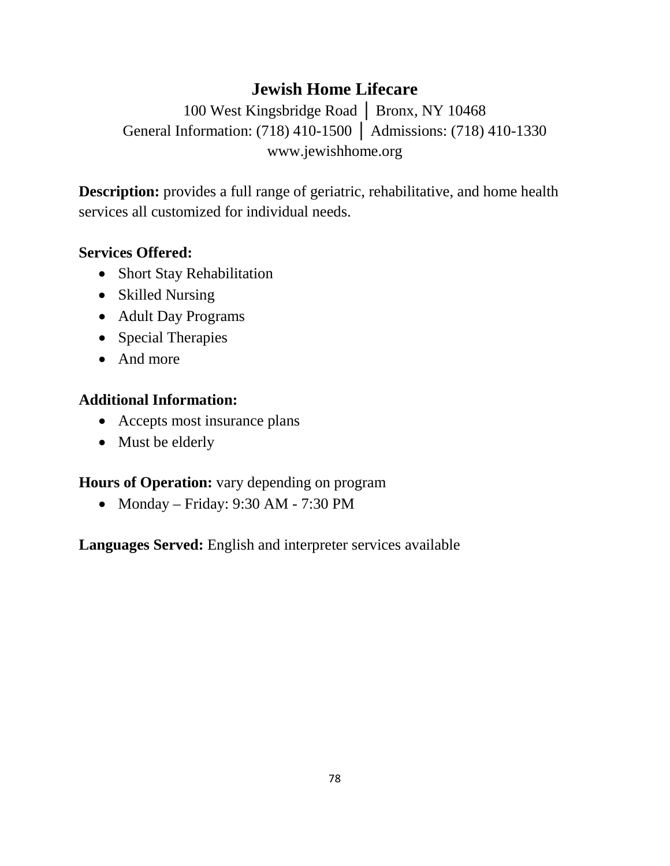## **Jewish Home Lifecare**

100 West Kingsbridge Road │ Bronx, NY 10468 General Information: (718) 410-1500 │ Admissions: (718) 410-1330 www.jewishhome.org

**Description:** provides a full range of geriatric, rehabilitative, and home health services all customized for individual needs.

## **Services Offered:**

- Short Stay Rehabilitation
- Skilled Nursing
- Adult Day Programs
- Special Therapies
- And more

## **Additional Information:**

- Accepts most insurance plans
- Must be elderly

## **Hours of Operation:** vary depending on program

• Monday – Friday: 9:30 AM - 7:30 PM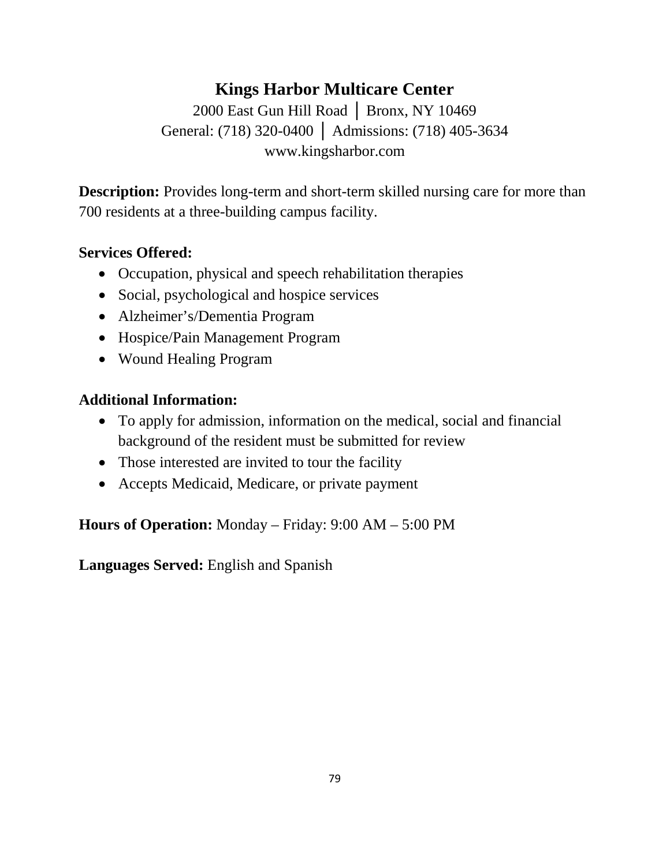## **Kings Harbor Multicare Center**

2000 East Gun Hill Road │ Bronx, NY 10469 General: (718) 320-0400 │ Admissions: (718) 405-3634 www.kingsharbor.com

**Description:** Provides long-term and short-term skilled nursing care for more than 700 residents at a three-building campus facility.

## **Services Offered:**

- Occupation, physical and speech rehabilitation therapies
- Social, psychological and hospice services
- Alzheimer's/Dementia Program
- Hospice/Pain Management Program
- Wound Healing Program

#### **Additional Information:**

- To apply for admission, information on the medical, social and financial background of the resident must be submitted for review
- Those interested are invited to tour the facility
- Accepts Medicaid, Medicare, or private payment

**Hours of Operation:** Monday – Friday: 9:00 AM – 5:00 PM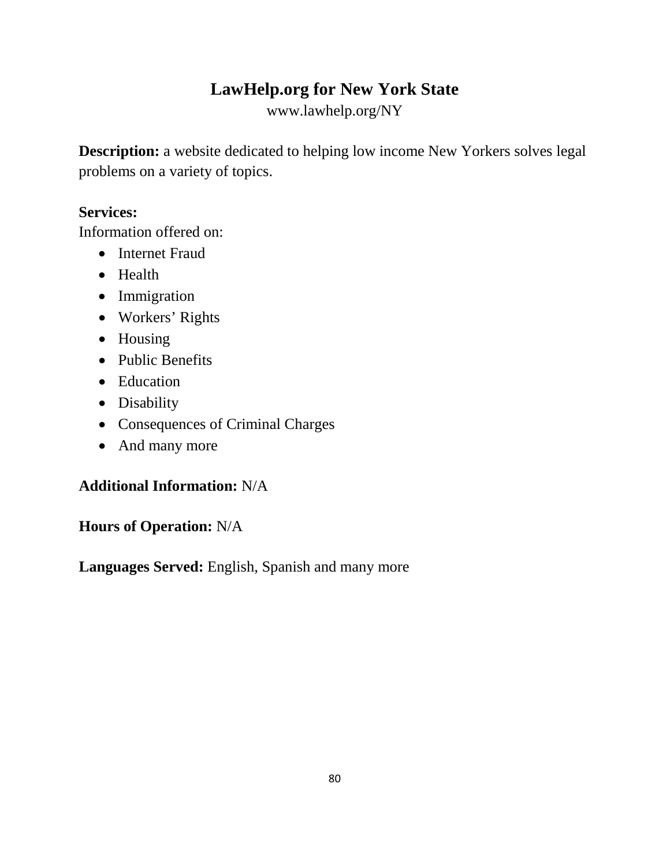## **LawHelp.org for New York State**

www.lawhelp.org/NY

**Description:** a website dedicated to helping low income New Yorkers solves legal problems on a variety of topics.

## **Services:**

Information offered on:

- Internet Fraud
- Health
- Immigration
- Workers' Rights
- Housing
- Public Benefits
- Education
- Disability
- Consequences of Criminal Charges
- And many more

## **Additional Information:** N/A

**Hours of Operation:** N/A

**Languages Served:** English, Spanish and many more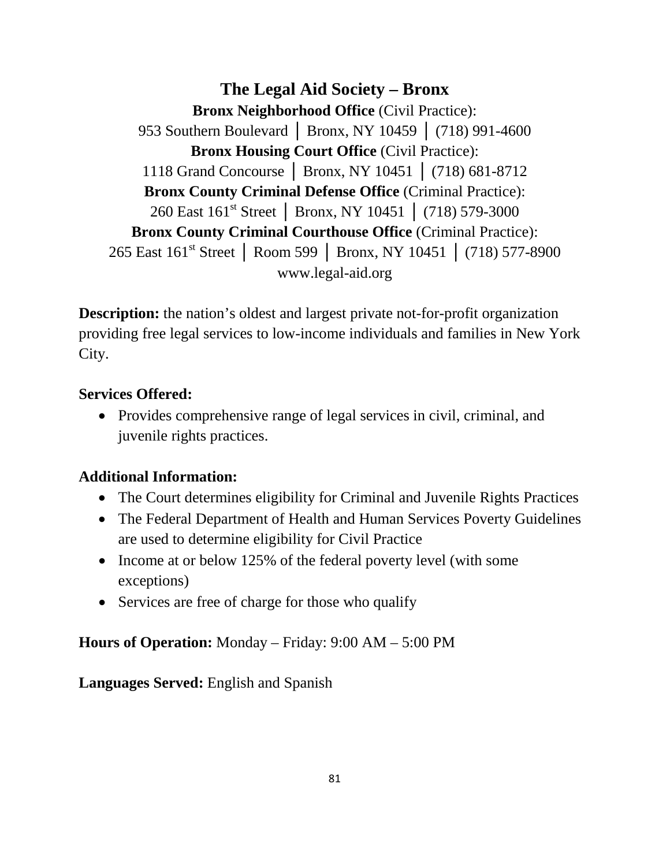**The Legal Aid Society – Bronx Bronx Neighborhood Office** (Civil Practice): 953 Southern Boulevard | Bronx, NY 10459 | (718) 991-4600 **Bronx Housing Court Office** (Civil Practice): 1118 Grand Concourse │ Bronx, NY 10451 │ (718) 681-8712 **Bronx County Criminal Defense Office** (Criminal Practice): 260 East 161st Street │ Bronx, NY 10451 │ (718) 579-3000 **Bronx County Criminal Courthouse Office** (Criminal Practice): 265 East 161<sup>st</sup> Street | Room 599 | Bronx, NY 10451 | (718) 577-8900 www.legal-aid.org

**Description:** the nation's oldest and largest private not-for-profit organization providing free legal services to low-income individuals and families in New York City.

#### **Services Offered:**

• Provides comprehensive range of legal services in civil, criminal, and juvenile rights practices.

## **Additional Information:**

- The Court determines eligibility for Criminal and Juvenile Rights Practices
- The Federal Department of Health and Human Services Poverty Guidelines are used to determine eligibility for Civil Practice
- Income at or below 125% of the federal poverty level (with some exceptions)
- Services are free of charge for those who qualify

#### **Hours of Operation:** Monday – Friday: 9:00 AM – 5:00 PM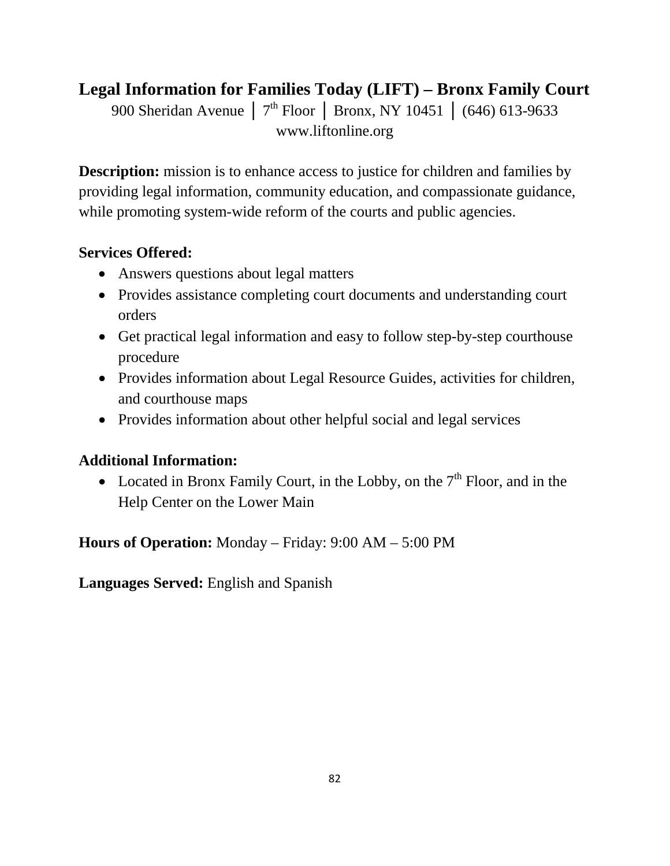## **Legal Information for Families Today (LIFT) – Bronx Family Court**

900 Sheridan Avenue │ 7<sup>th</sup> Floor │ Bronx, NY 10451 │ (646) 613-9633 www.liftonline.org

**Description:** mission is to enhance access to justice for children and families by providing legal information, community education, and compassionate guidance, while promoting system-wide reform of the courts and public agencies.

## **Services Offered:**

- Answers questions about legal matters
- Provides assistance completing court documents and understanding court orders
- Get practical legal information and easy to follow step-by-step courthouse procedure
- Provides information about Legal Resource Guides, activities for children, and courthouse maps
- Provides information about other helpful social and legal services

## **Additional Information:**

• Located in Bronx Family Court, in the Lobby, on the  $7<sup>th</sup>$  Floor, and in the Help Center on the Lower Main

**Hours of Operation:** Monday – Friday: 9:00 AM – 5:00 PM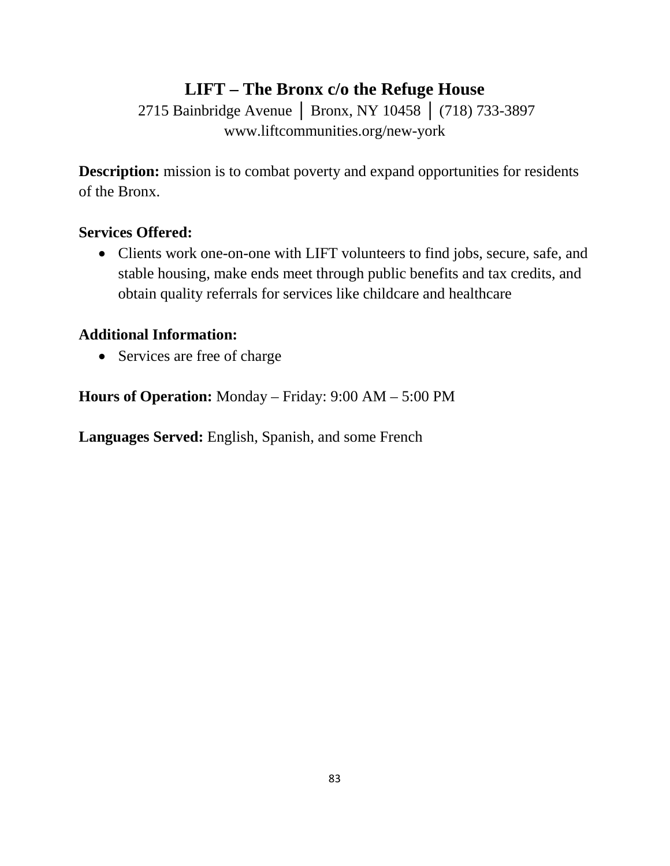# **LIFT – The Bronx c/o the Refuge House**

2715 Bainbridge Avenue | Bronx, NY 10458 | (718) 733-3897 www.liftcommunities.org/new-york

**Description:** mission is to combat poverty and expand opportunities for residents of the Bronx.

#### **Services Offered:**

• Clients work one-on-one with LIFT volunteers to find jobs, secure, safe, and stable housing, make ends meet through public benefits and tax credits, and obtain quality referrals for services like childcare and healthcare

#### **Additional Information:**

• Services are free of charge

**Hours of Operation:** Monday – Friday: 9:00 AM – 5:00 PM

**Languages Served:** English, Spanish, and some French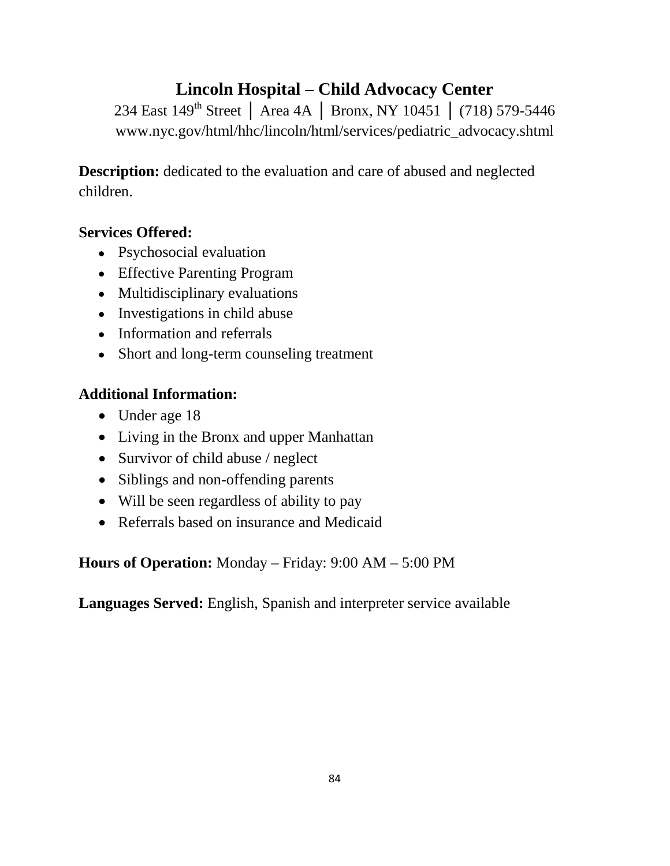## **Lincoln Hospital – Child Advocacy Center**

234 East 149<sup>th</sup> Street │ Area 4A │ Bronx, NY 10451 │ (718) 579-5446 www.nyc.gov/html/hhc/lincoln/html/services/pediatric\_advocacy.shtml

**Description:** dedicated to the evaluation and care of abused and neglected children.

## **Services Offered:**

- Psychosocial evaluation
- Effective Parenting Program
- Multidisciplinary evaluations
- Investigations in child abuse
- Information and referrals
- Short and long-term counseling treatment

## **Additional Information:**

- Under age 18
- Living in the Bronx and upper Manhattan
- Survivor of child abuse / neglect
- Siblings and non-offending parents
- Will be seen regardless of ability to pay
- Referrals based on insurance and Medicaid

**Hours of Operation:** Monday – Friday: 9:00 AM – 5:00 PM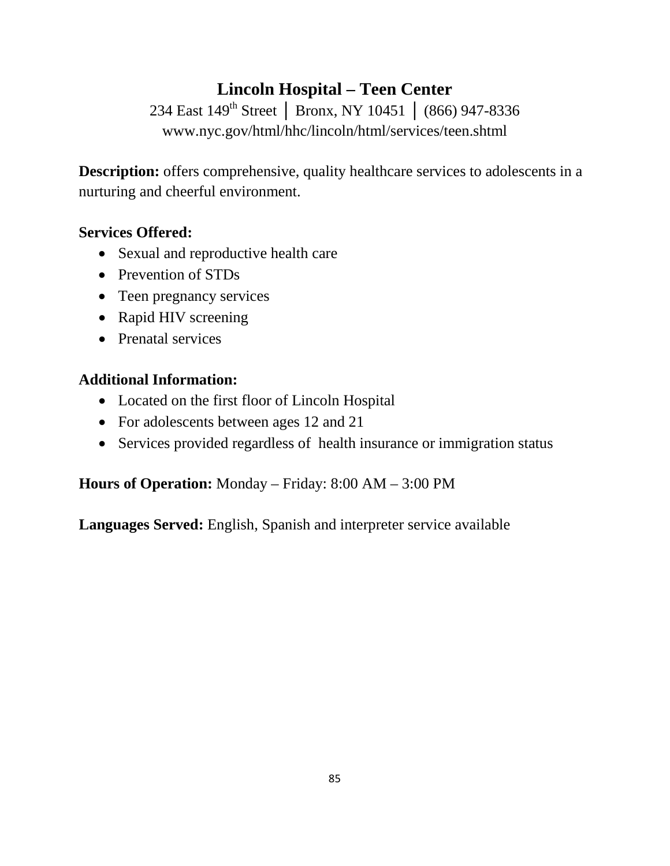## **Lincoln Hospital – Teen Center**

234 East 149<sup>th</sup> Street | Bronx, NY 10451 | (866) 947-8336 www.nyc.gov/html/hhc/lincoln/html/services/teen.shtml

**Description:** offers comprehensive, quality healthcare services to adolescents in a nurturing and cheerful environment.

## **Services Offered:**

- Sexual and reproductive health care
- Prevention of STDs
- Teen pregnancy services
- Rapid HIV screening
- Prenatal services

## **Additional Information:**

- Located on the first floor of Lincoln Hospital
- For adolescents between ages 12 and 21
- Services provided regardless of health insurance or immigration status

## **Hours of Operation:** Monday – Friday: 8:00 AM – 3:00 PM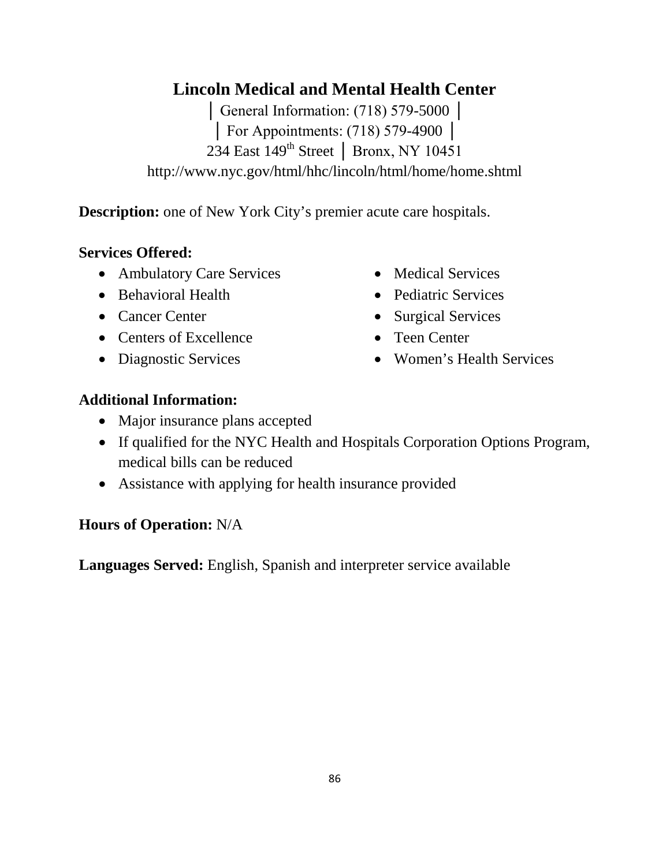## **Lincoln Medical and Mental Health Center**

│ General Information: (718) 579-5000 │ │ For Appointments: (718) 579-4900 │ 234 East 149<sup>th</sup> Street | Bronx, NY 10451 http://www.nyc.gov/html/hhc/lincoln/html/home/home.shtml

**Description:** one of New York City's premier acute care hospitals.

#### **Services Offered:**

- Ambulatory Care Services
- Behavioral Health
- Cancer Center
- Centers of Excellence
- Diagnostic Services
- Medical Services
- Pediatric Services
- Surgical Services
- Teen Center
- Women's Health Services

#### **Additional Information:**

- Major insurance plans accepted
- If qualified for the NYC Health and Hospitals Corporation Options Program, medical bills can be reduced
- Assistance with applying for health insurance provided

#### **Hours of Operation:** N/A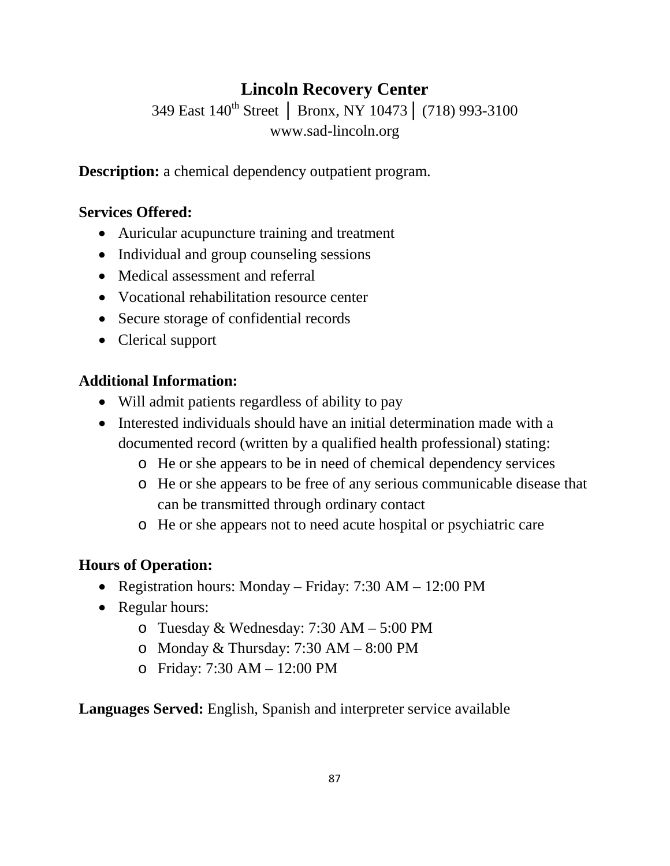# **Lincoln Recovery Center**

349 East 140<sup>th</sup> Street | Bronx, NY 10473 | (718) 993-3100 www.sad-lincoln.org

**Description:** a chemical dependency outpatient program.

## **Services Offered:**

- Auricular acupuncture training and treatment
- Individual and group counseling sessions
- Medical assessment and referral
- Vocational rehabilitation resource center
- Secure storage of confidential records
- Clerical support

## **Additional Information:**

- Will admit patients regardless of ability to pay
- Interested individuals should have an initial determination made with a documented record (written by a qualified health professional) stating:
	- o He or she appears to be in need of chemical dependency services
	- o He or she appears to be free of any serious communicable disease that can be transmitted through ordinary contact
	- o He or she appears not to need acute hospital or psychiatric care

## **Hours of Operation:**

- Registration hours: Monday Friday: 7:30 AM 12:00 PM
- Regular hours:
	- o Tuesday & Wednesday: 7:30 AM 5:00 PM
	- o Monday & Thursday:  $7:30 AM 8:00 PM$
	- o Friday: 7:30 AM 12:00 PM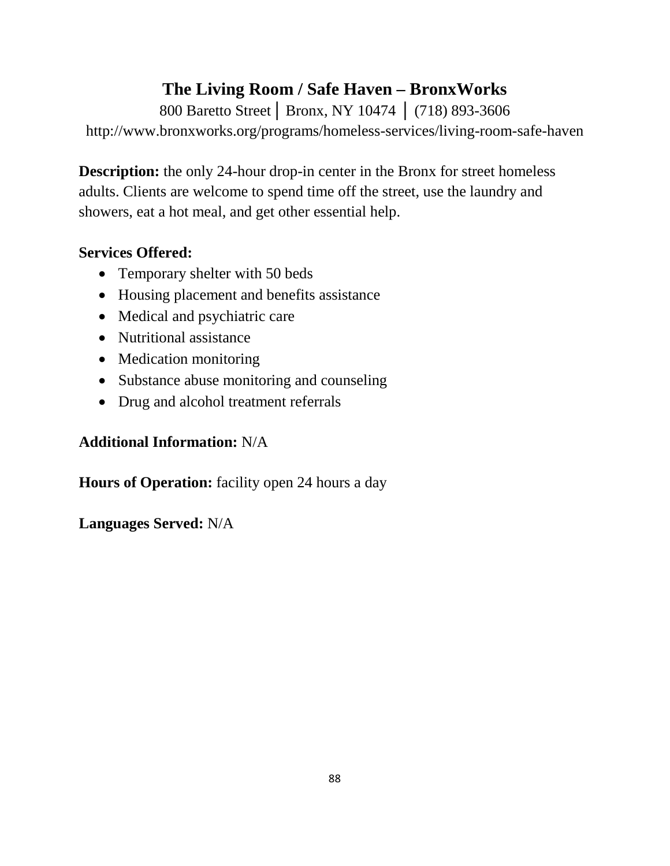# **The Living Room / Safe Haven – BronxWorks**

800 Baretto Street│ Bronx, NY 10474 │ (718) 893-3606 http://www.bronxworks.org/programs/homeless-services/living-room-safe-haven

**Description:** the only 24-hour drop-in center in the Bronx for street homeless adults. Clients are welcome to spend time off the street, use the laundry and showers, eat a hot meal, and get other essential help.

## **Services Offered:**

- Temporary shelter with 50 beds
- Housing placement and benefits assistance
- Medical and psychiatric care
- Nutritional assistance
- Medication monitoring
- Substance abuse monitoring and counseling
- Drug and alcohol treatment referrals

## **Additional Information:** N/A

**Hours of Operation:** facility open 24 hours a day

**Languages Served:** N/A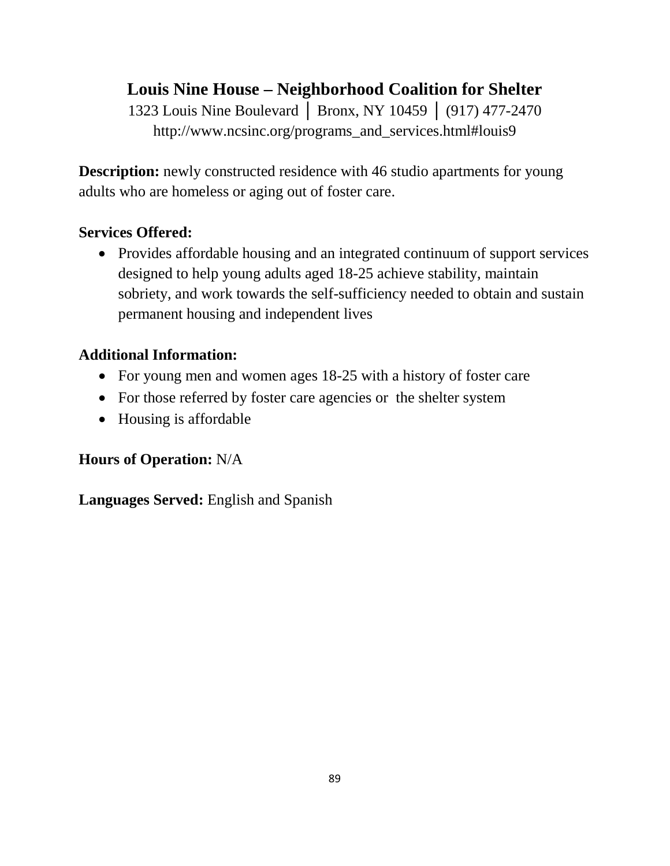## **Louis Nine House – Neighborhood Coalition for Shelter**

1323 Louis Nine Boulevard | Bronx, NY 10459 | (917) 477-2470 http://www.ncsinc.org/programs\_and\_services.html#louis9

**Description:** newly constructed residence with 46 studio apartments for young adults who are homeless or aging out of foster care.

## **Services Offered:**

• Provides affordable housing and an integrated continuum of support services designed to help young adults aged 18-25 achieve stability, maintain sobriety, and work towards the self-sufficiency needed to obtain and sustain permanent housing and independent lives

#### **Additional Information:**

- For young men and women ages 18-25 with a history of foster care
- For those referred by foster care agencies or the shelter system
- Housing is affordable

## **Hours of Operation:** N/A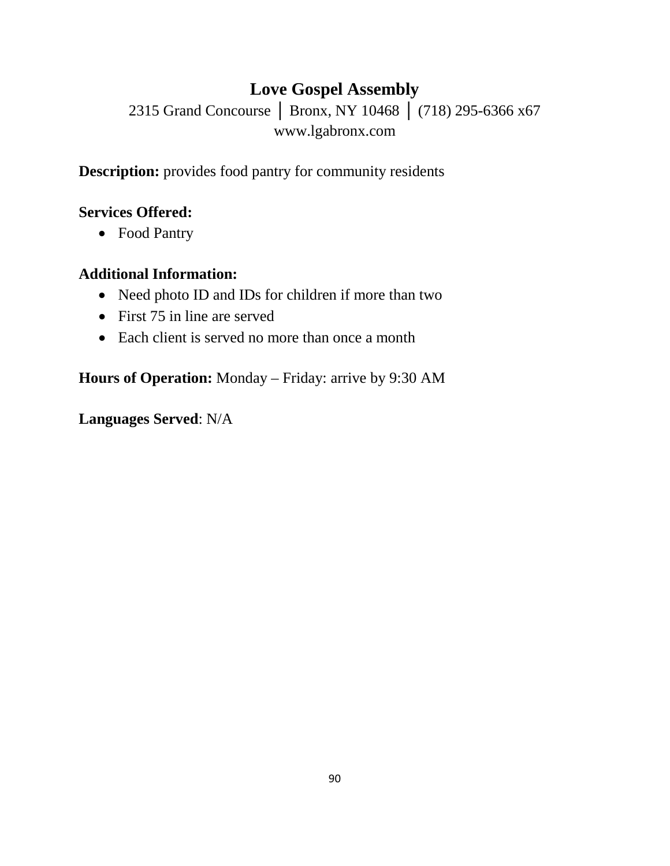# **Love Gospel Assembly**

2315 Grand Concourse | Bronx, NY 10468 | (718) 295-6366 x67 www.lgabronx.com

**Description:** provides food pantry for community residents

## **Services Offered:**

• Food Pantry

## **Additional Information:**

- Need photo ID and IDs for children if more than two
- First 75 in line are served
- Each client is served no more than once a month

**Hours of Operation:** Monday – Friday: arrive by 9:30 AM

**Languages Served**: N/A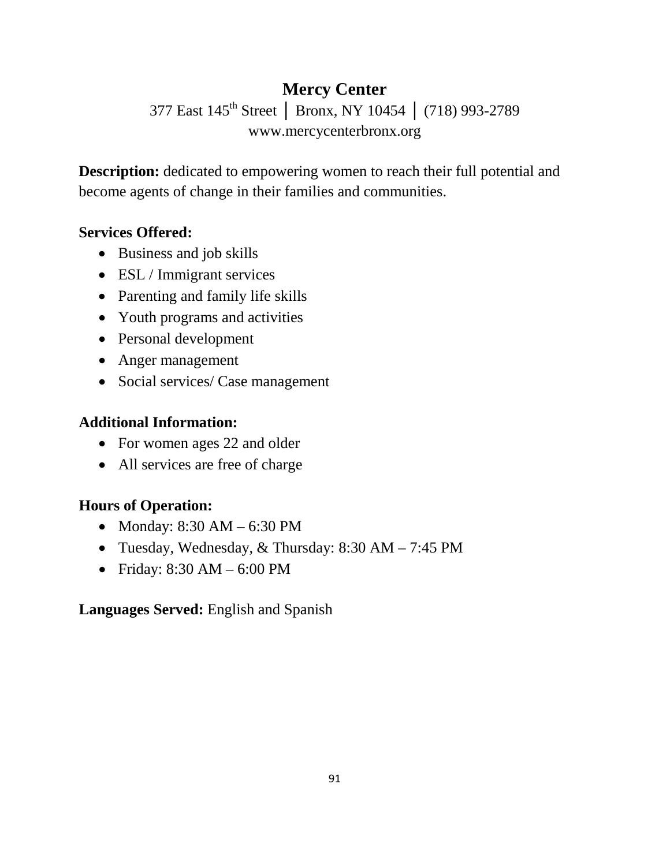# **Mercy Center** 377 East 145th Street │ Bronx, NY 10454 │ (718) 993-2789 www.mercycenterbronx.org

**Description:** dedicated to empowering women to reach their full potential and become agents of change in their families and communities.

#### **Services Offered:**

- Business and job skills
- ESL / Immigrant services
- Parenting and family life skills
- Youth programs and activities
- Personal development
- Anger management
- Social services/ Case management

#### **Additional Information:**

- For women ages 22 and older
- All services are free of charge

#### **Hours of Operation:**

- Monday: 8:30 AM 6:30 PM
- Tuesday, Wednesday, & Thursday: 8:30 AM 7:45 PM
- Friday: 8:30 AM 6:00 PM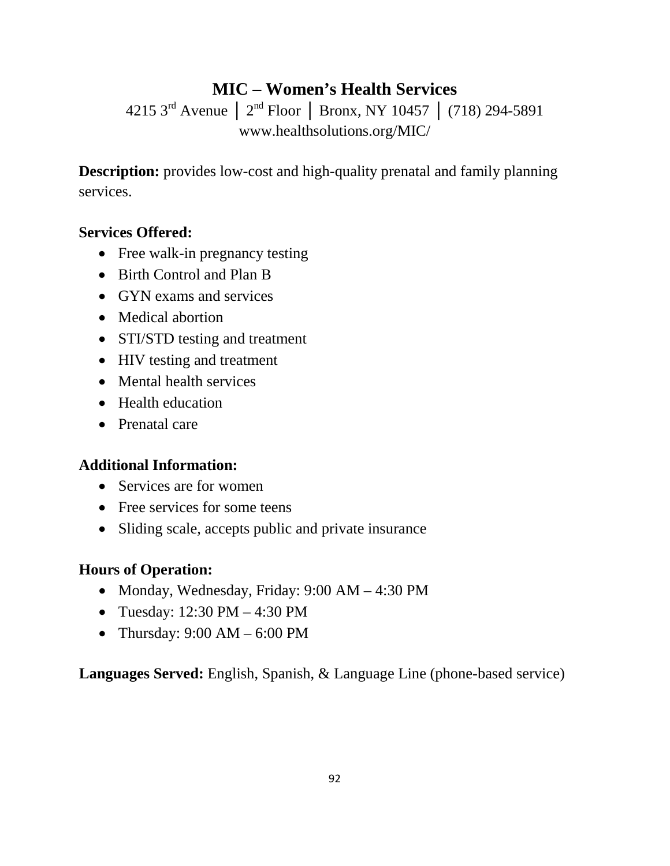# **MIC – Women's Health Services**

4215 3rd Avenue │ 2nd Floor │ Bronx, NY 10457 │ (718) 294-5891 www.healthsolutions.org/MIC/

**Description:** provides low-cost and high-quality prenatal and family planning services.

#### **Services Offered:**

- Free walk-in pregnancy testing
- Birth Control and Plan B
- GYN exams and services
- Medical abortion
- STI/STD testing and treatment
- HIV testing and treatment
- Mental health services
- Health education
- Prenatal care

## **Additional Information:**

- Services are for women
- Free services for some teens
- Sliding scale, accepts public and private insurance

## **Hours of Operation:**

- Monday, Wednesday, Friday: 9:00 AM 4:30 PM
- Tuesday: 12:30 PM 4:30 PM
- Thursday:  $9:00 AM 6:00 PM$

**Languages Served:** English, Spanish, & Language Line (phone-based service)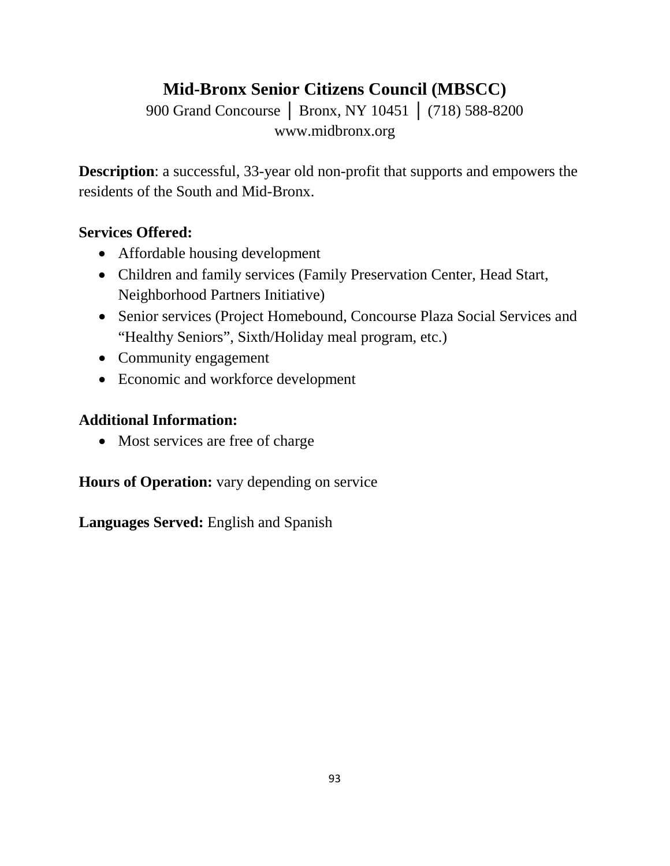# **Mid-Bronx Senior Citizens Council (MBSCC)**

900 Grand Concourse │ Bronx, NY 10451 │ (718) 588-8200 www.midbronx.org

**Description**: a successful, 33-year old non-profit that supports and empowers the residents of the South and Mid-Bronx.

## **Services Offered:**

- Affordable housing development
- Children and family services (Family Preservation Center, Head Start, Neighborhood Partners Initiative)
- Senior services (Project Homebound, Concourse Plaza Social Services and "Healthy Seniors", Sixth/Holiday meal program, etc.)
- Community engagement
- Economic and workforce development

## **Additional Information:**

• Most services are free of charge

**Hours of Operation:** vary depending on service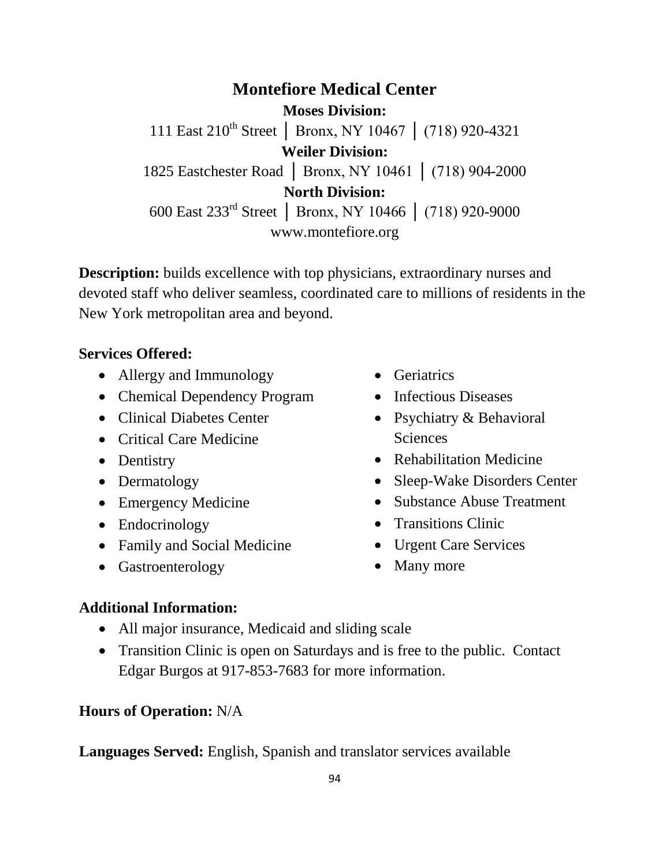**Montefiore Medical Center Moses Division:** 111 East 210th Street │ Bronx, NY 10467 │ (718) 920-4321 **Weiler Division:** 1825 Eastchester Road │ Bronx, NY 10461 │ (718) 904-2000 **North Division:** 600 East 233rd Street │ Bronx, NY 10466 │ (718) 920-9000 www.montefiore.org

**Description:** builds excellence with top physicians, extraordinary nurses and devoted staff who deliver seamless, coordinated care to millions of residents in the New York metropolitan area and beyond.

#### **Services Offered:**

- [Allergy and Immunology](http://www.montefiore.org/services/allergy_immunology/)
- [Chemical Dependency Program](http://www.montefiore.org/services/psychiatry/chemical_dependency_program/)
- [Clinical Diabetes Center](http://www.montefiore.org/services/diabetes/)
- [Critical Care Medicine](http://www.montefiore.org/services/criticalcare/)
- [Dentistry](http://www.montefiore.org/services/dentistry/)
- [Dermatology](http://www.montefiore.org/services/dermatology)
- [Emergency Medicine](http://www.montefiore.org/services/emergencymedicine/)
- [Endocrinology](http://www.montefiore.org/endocrinology)
- [Family and Social Medicine](http://www.montefiore.org/services/family_social_medicine/)
- [Gastroenterology](http://www.montefiore.org/services/gastroenterology/)
- [Geriatrics](http://www.montefiore.org/services/geriatrics/)
- [Infectious Diseases](http://www.montefiore.org/services/infectious_diseases/)
- [Psychiatry &](http://www.montefiore.org/services/psychiatry/) Behavioral **[Sciences](http://www.montefiore.org/services/psychiatry/)**
- [Rehabilitation Medicine](http://www.montefiore.org/rehab/)
- [Sleep-Wake Disorders Center](http://www.montefiore.org/services/sleepdisorders/)
- Substance Abuse Treatment
- Transitions Clinic
- [Urgent Care Services](http://www.montefiore.org/services/urgent_care/)
- Many more

#### **Additional Information:**

- All major insurance, Medicaid and sliding scale
- Transition Clinic is open on Saturdays and is free to the public. Contact Edgar Burgos at 917-853-7683 for more information.

#### **Hours of Operation:** N/A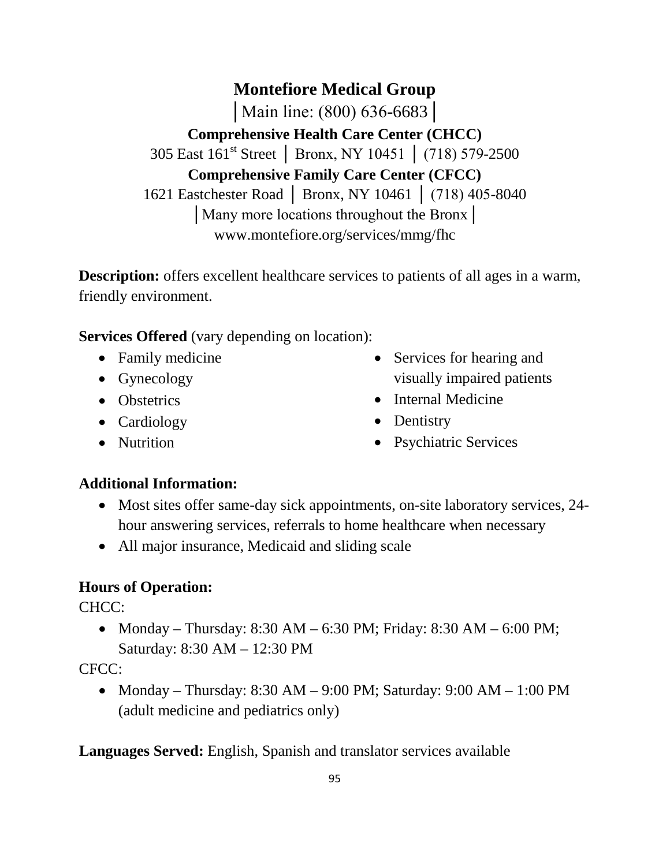**Montefiore Medical Group** │Main line: (800) 636-6683│ **Comprehensive Health Care Center (CHCC)** 305 East 161st Street │ Bronx, NY 10451 │ (718) 579-2500 **Comprehensive Family Care Center (CFCC)** 1621 Eastchester Road │ Bronx, NY 10461 │ (718) 405-8040 │Many more locations throughout the Bronx│ www.montefiore.org/services/mmg/fhc

**Description:** offers excellent healthcare services to patients of all ages in a warm, friendly environment.

**Services Offered** (vary depending on location):

- Family medicine
- Gynecology
- Obstetrics
- Cardiology
- Nutrition
- Services for hearing and visually impaired patients
- Internal Medicine
- Dentistry
- Psychiatric Services

## **Additional Information:**

- Most sites offer same-day sick appointments, on-site laboratory services, 24hour answering services, referrals to home healthcare when necessary
- All major insurance, Medicaid and sliding scale

## **Hours of Operation:**

CHCC:

• Monday – Thursday:  $8:30$  AM –  $6:30$  PM; Friday:  $8:30$  AM –  $6:00$  PM; Saturday: 8:30 AM – 12:30 PM

CFCC:

• Monday – Thursday:  $8:30$  AM –  $9:00$  PM; Saturday:  $9:00$  AM –  $1:00$  PM (adult medicine and pediatrics only)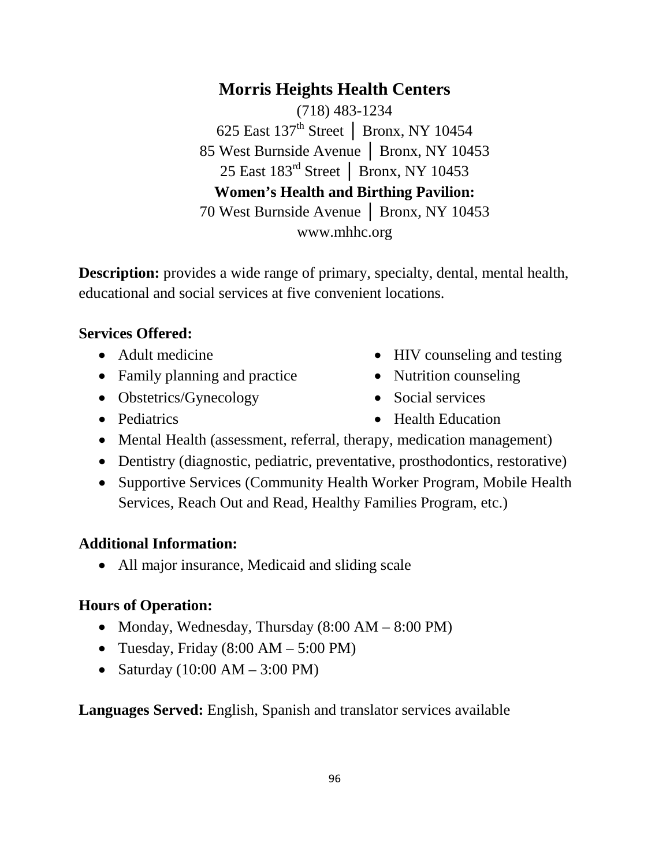**Morris Heights Health Centers** (718) 483-1234 625 East 137th Street │ Bronx, NY 10454 85 West Burnside Avenue │ Bronx, NY 10453 25 East 183rd Street │ Bronx, NY 10453 **Women's Health and Birthing Pavilion:** 70 West Burnside Avenue │ Bronx, NY 10453 www.mhhc.org

**Description:** provides a wide range of primary, specialty, dental, mental health, educational and social services at five convenient locations.

#### **Services Offered:**

- Adult medicine
- Family planning and practice
- Obstetrics/Gynecology
- Pediatrics
- HIV counseling and testing
- Nutrition counseling
- Social services
- Health Education
- Mental Health (assessment, referral, therapy, medication management)
- Dentistry (diagnostic, pediatric, preventative, prosthodontics, restorative)
- Supportive Services (Community Health Worker Program, Mobile Health Services, Reach Out and Read, Healthy Families Program, etc.)

## **Additional Information:**

• All major insurance, Medicaid and sliding scale

## **Hours of Operation:**

- Monday, Wednesday, Thursday  $(8:00 \text{ AM} 8:00 \text{ PM})$
- Tuesday, Friday  $(8:00 \text{ AM} 5:00 \text{ PM})$
- Saturday  $(10:00 \text{ AM} 3:00 \text{ PM})$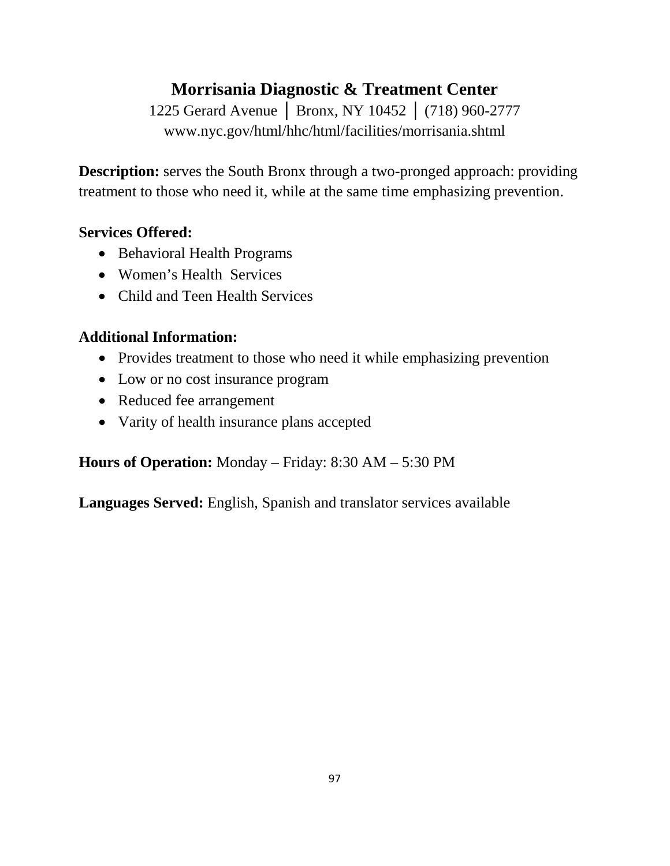## **Morrisania Diagnostic & Treatment Center**

1225 Gerard Avenue | Bronx, NY 10452 | (718) 960-2777 www.nyc.gov/html/hhc/html/facilities/morrisania.shtml

**Description:** serves the South Bronx through a two-pronged approach: providing treatment to those who need it, while at the same time emphasizing prevention.

## **Services Offered:**

- Behavioral Health Programs
- Women's Health Services
- Child and Teen Health Services

## **Additional Information:**

- Provides treatment to those who need it while emphasizing prevention
- Low or no cost insurance program
- Reduced fee arrangement
- Varity of health insurance plans accepted

**Hours of Operation:** Monday – Friday: 8:30 AM – 5:30 PM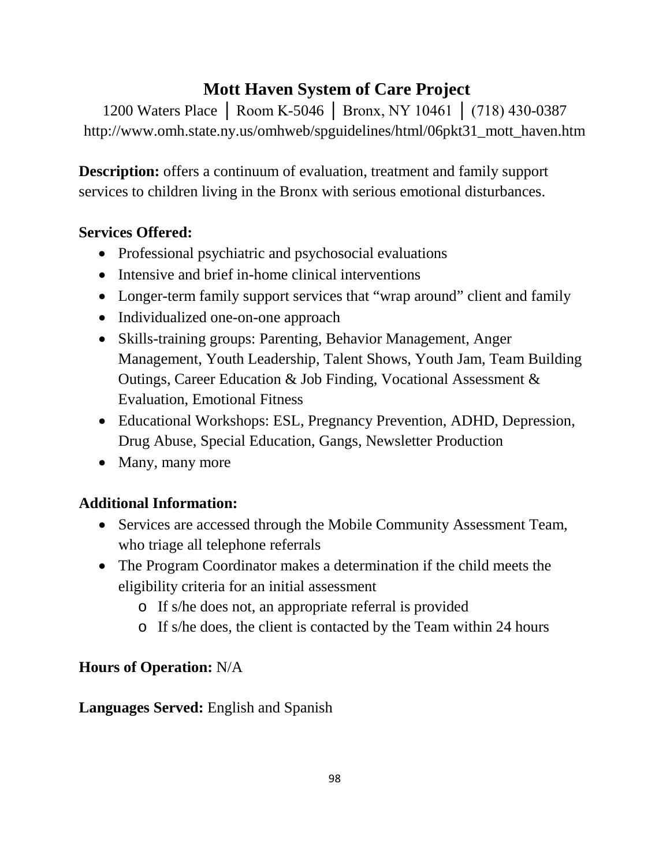## **Mott Haven System of Care Project**

1200 Waters Place │ Room K-5046 │ Bronx, NY 10461 │ (718) 430-0387 http://www.omh.state.ny.us/omhweb/spguidelines/html/06pkt31\_mott\_haven.htm

**Description:** offers a continuum of evaluation, treatment and family support services to children living in the Bronx with serious emotional disturbances.

## **Services Offered:**

- Professional psychiatric and psychosocial evaluations
- Intensive and brief in-home clinical interventions
- Longer-term family support services that "wrap around" client and family
- Individualized one-on-one approach
- Skills-training groups: Parenting, Behavior Management, Anger Management, Youth Leadership, Talent Shows, Youth Jam, Team Building Outings, Career Education & Job Finding, Vocational Assessment & Evaluation, Emotional Fitness
- Educational Workshops: ESL, Pregnancy Prevention, ADHD, Depression, Drug Abuse, Special Education, Gangs, Newsletter Production
- Many, many more

## **Additional Information:**

- Services are accessed through the Mobile Community Assessment Team, who triage all telephone referrals
- The Program Coordinator makes a determination if the child meets the eligibility criteria for an initial assessment
	- o If s/he does not, an appropriate referral is provided
	- o If s/he does, the client is contacted by the Team within 24 hours

## **Hours of Operation:** N/A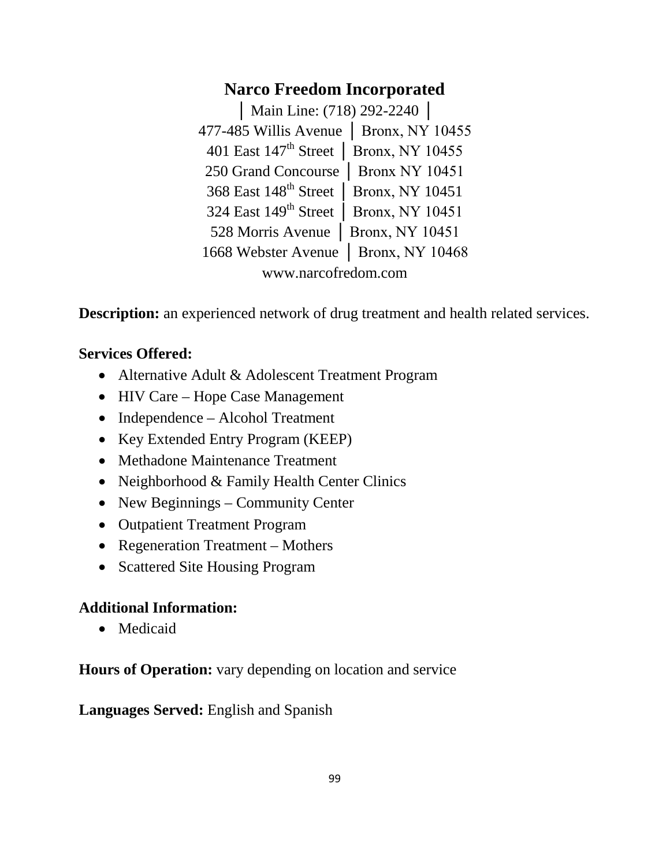## **Narco Freedom Incorporated**

**│** Main Line: (718) 292-2240 │ 477-485 Willis Avenue │ Bronx, NY 10455 401 East 147th Street │ Bronx, NY 10455 250 Grand Concourse │ Bronx NY 10451 368 East 148<sup>th</sup> Street | Bronx, NY 10451 324 East 149<sup>th</sup> Street | Bronx, NY 10451 528 Morris Avenue │ Bronx, NY 10451 1668 Webster Avenue │ Bronx, NY 10468 www.narcofredom.com

**Description:** an experienced network of drug treatment and health related services.

## **Services Offered:**

- Alternative Adult & Adolescent Treatment Program
- HIV Care Hope Case Management
- Independence Alcohol Treatment
- Key Extended Entry Program (KEEP)
- Methadone Maintenance Treatment
- Neighborhood & Family Health Center Clinics
- New Beginnings Community Center
- Outpatient Treatment Program
- Regeneration Treatment Mothers
- Scattered Site Housing Program

## **Additional Information:**

• Medicaid

**Hours of Operation:** vary depending on location and service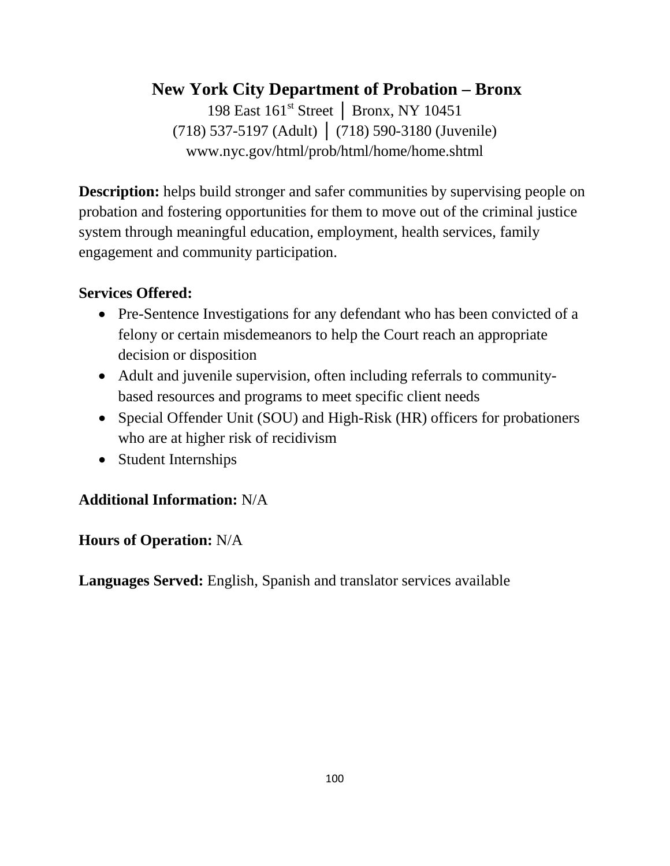# **New York City Department of Probation – Bronx**

198 East 161st Street │ Bronx, NY 10451 (718) 537-5197 (Adult) │ (718) 590-3180 (Juvenile) www.nyc.gov/html/prob/html/home/home.shtml

**Description:** helps build stronger and safer communities by supervising people on probation and fostering opportunities for them to move out of the criminal justice system through meaningful education, employment, health services, family engagement and community participation.

#### **Services Offered:**

- Pre-Sentence Investigations for any defendant who has been convicted of a felony or certain misdemeanors to help the Court reach an appropriate decision or disposition
- Adult and juvenile supervision, often including referrals to communitybased resources and programs to meet specific client needs
- Special Offender Unit (SOU) and High-Risk (HR) officers for probationers who are at higher risk of recidivism
- Student Internships

## **Additional Information:** N/A

#### **Hours of Operation:** N/A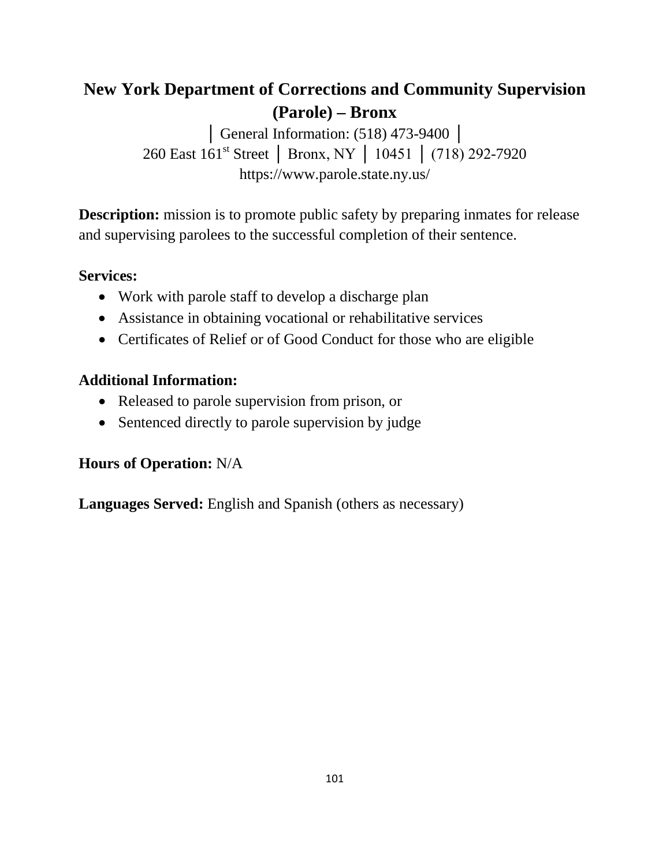# **New York Department of Corrections and Community Supervision (Parole) – Bronx**

**│** General Information: (518) 473-9400 │ 260 East 161<sup>st</sup> Street | Bronx, NY | 10451 | (718) 292-7920 https://www.parole.state.ny.us/

**Description:** mission is to promote public safety by preparing inmates for release and supervising parolees to the successful completion of their sentence.

#### **Services:**

- Work with parole staff to develop a discharge plan
- Assistance in obtaining vocational or rehabilitative services
- Certificates of Relief or of Good Conduct for those who are eligible

## **Additional Information:**

- Released to parole supervision from prison, or
- Sentenced directly to parole supervision by judge

## **Hours of Operation:** N/A

**Languages Served:** English and Spanish (others as necessary)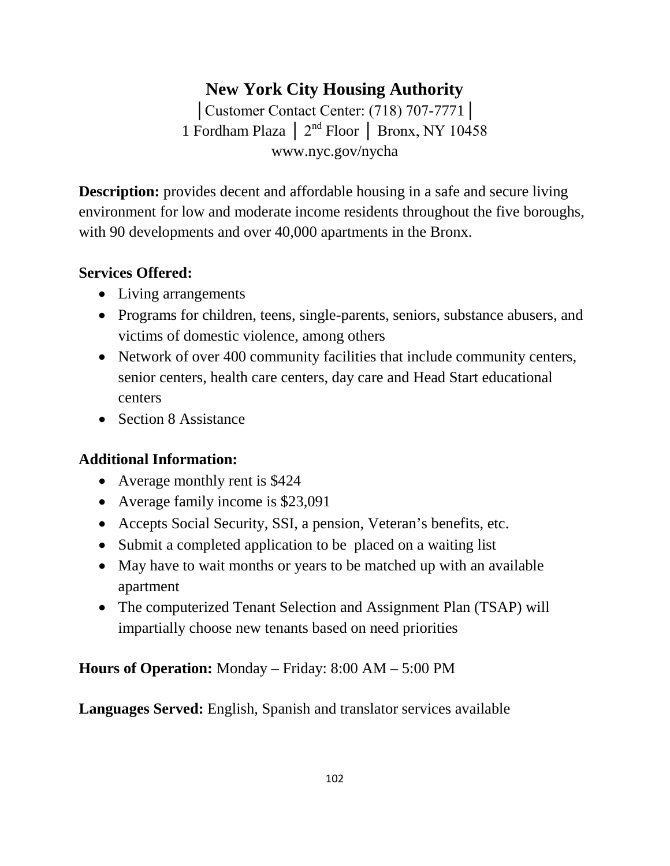## **New York City Housing Authority**

│Customer Contact Center: (718) 707-7771│ 1 Fordham Plaza │ 2nd Floor │ Bronx, NY 10458 www.nyc.gov/nycha

**Description:** provides decent and affordable housing in a safe and secure living environment for low and moderate income residents throughout the five boroughs, with 90 developments and over 40,000 apartments in the Bronx.

## **Services Offered:**

- Living arrangements
- Programs for children, teens, single-parents, seniors, substance abusers, and victims of domestic violence, among others
- Network of over 400 community facilities that include community centers, senior centers, health care centers, day care and Head Start educational centers
- Section 8 Assistance

## **Additional Information:**

- Average monthly rent is \$424
- Average family income is \$23,091
- Accepts Social Security, SSI, a pension, Veteran's benefits, etc.
- Submit a completed application to be placed on a waiting list
- May have to wait months or years to be matched up with an available apartment
- The computerized Tenant Selection and Assignment Plan (TSAP) will impartially choose new tenants based on need priorities

**Hours of Operation:** Monday – Friday: 8:00 AM – 5:00 PM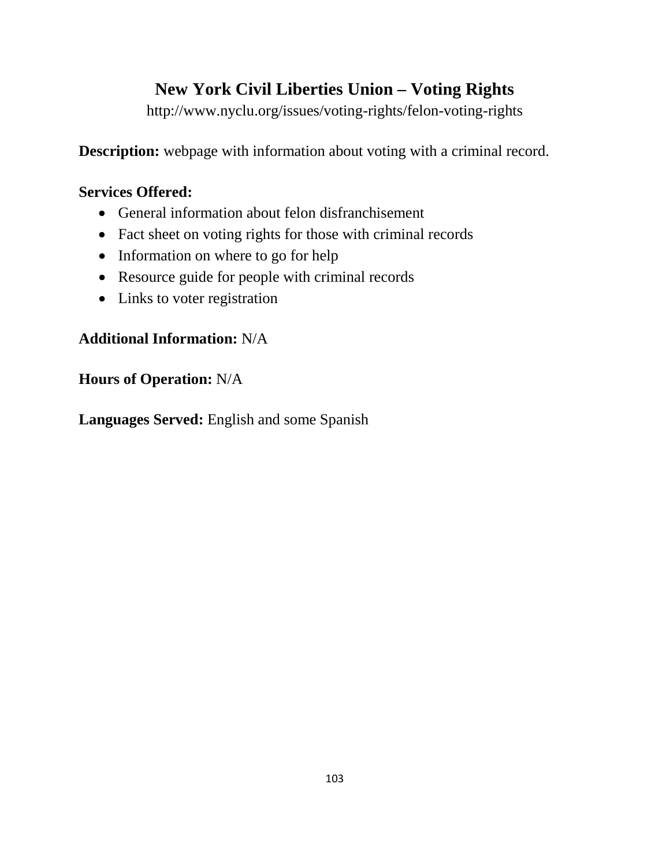# **New York Civil Liberties Union – Voting Rights**

http://www.nyclu.org/issues/voting-rights/felon-voting-rights

**Description:** webpage with information about voting with a criminal record.

## **Services Offered:**

- General information about felon disfranchisement
- Fact sheet on voting rights for those with criminal records
- Information on where to go for help
- Resource guide for people with criminal records
- Links to voter registration

## **Additional Information:** N/A

## **Hours of Operation:** N/A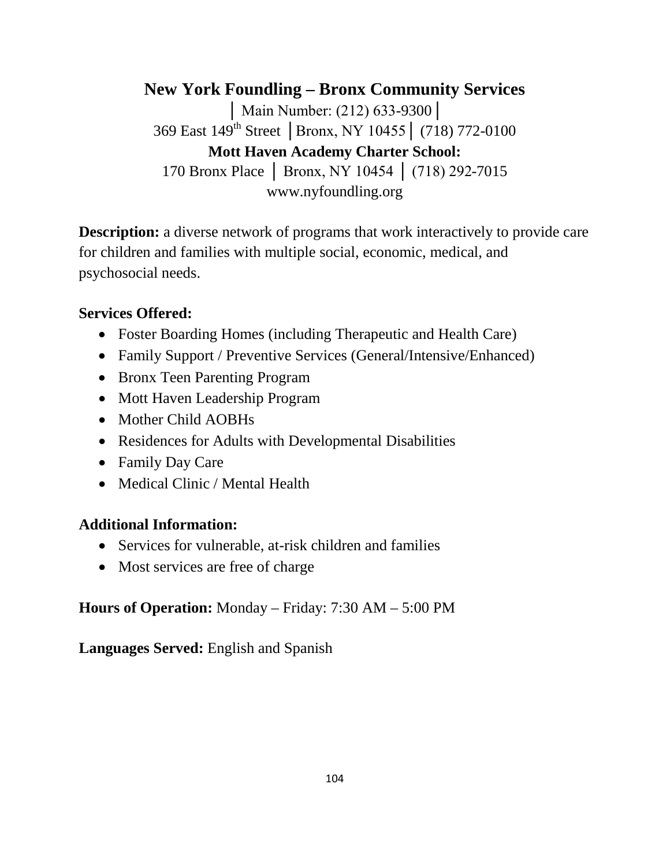**New York Foundling – Bronx Community Services** │ Main Number: (212) 633-9300│ 369 East 149th Street │Bronx, NY 10455│ (718) 772-0100 **Mott Haven Academy Charter School:** 170 Bronx Place │ Bronx, NY 10454 │ (718) 292-7015 www.nyfoundling.org

**Description:** a diverse network of programs that work interactively to provide care for children and families with multiple social, economic, medical, and psychosocial needs.

#### **Services Offered:**

- Foster Boarding Homes (including Therapeutic and Health Care)
- Family Support / Preventive Services (General/Intensive/Enhanced)
- Bronx Teen Parenting Program
- Mott Haven Leadership Program
- Mother Child AOBHs
- Residences for Adults with Developmental Disabilities
- Family Day Care
- Medical Clinic / Mental Health

## **Additional Information:**

- Services for vulnerable, at-risk children and families
- Most services are free of charge

## **Hours of Operation:** Monday – Friday: 7:30 AM – 5:00 PM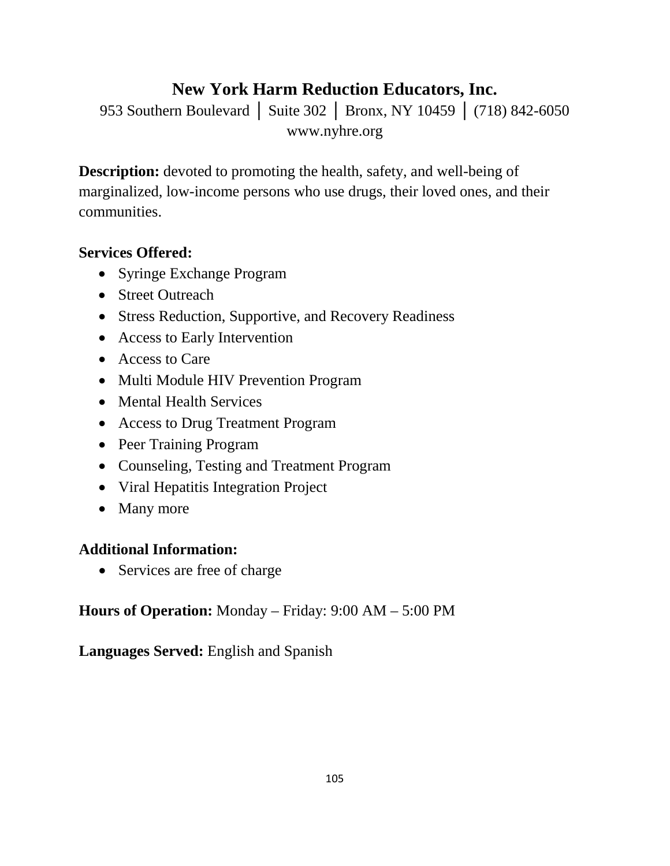# **New York Harm Reduction Educators, Inc.**

953 Southern Boulevard | Suite 302 | Bronx, NY 10459 | (718) 842-6050 www.nyhre.org

**Description:** devoted to promoting the health, safety, and well-being of marginalized, low-income persons who use drugs, their loved ones, and their communities.

## **Services Offered:**

- Syringe Exchange Program
- Street Outreach
- Stress Reduction, Supportive, and Recovery Readiness
- Access to Early Intervention
- Access to Care
- Multi Module HIV Prevention Program
- Mental Health Services
- Access to Drug Treatment Program
- Peer Training Program
- Counseling, Testing and Treatment Program
- Viral Hepatitis Integration Project
- Many more

## **Additional Information:**

• Services are free of charge

**Hours of Operation:** Monday – Friday: 9:00 AM – 5:00 PM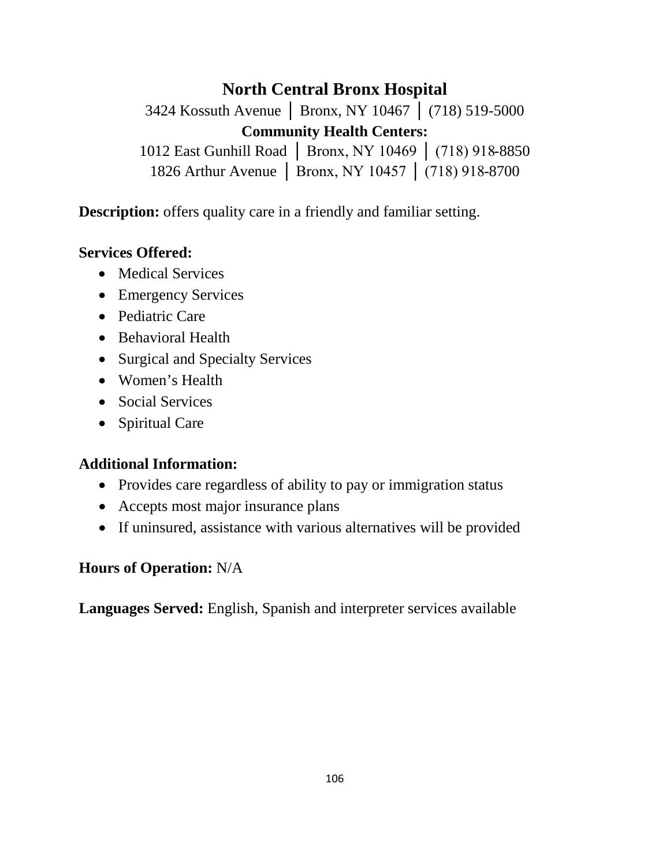## **North Central Bronx Hospital**

3424 Kossuth Avenue │ Bronx, NY 10467 │ (718) 519-5000 **Community Health Centers:**

1012 East Gunhill Road │ Bronx, NY 10469 │ (718) 918-8850 1826 Arthur Avenue | Bronx, NY 10457 | (718) 918-8700

**Description:** offers quality care in a friendly and familiar setting.

#### **Services Offered:**

- Medical Services
- Emergency Services
- Pediatric Care
- Behavioral Health
- Surgical and Specialty Services
- Women's Health
- Social Services
- Spiritual Care

#### **Additional Information:**

- Provides care regardless of ability to pay or immigration status
- Accepts most major insurance plans
- If uninsured, assistance with various alternatives will be provided

#### **Hours of Operation:** N/A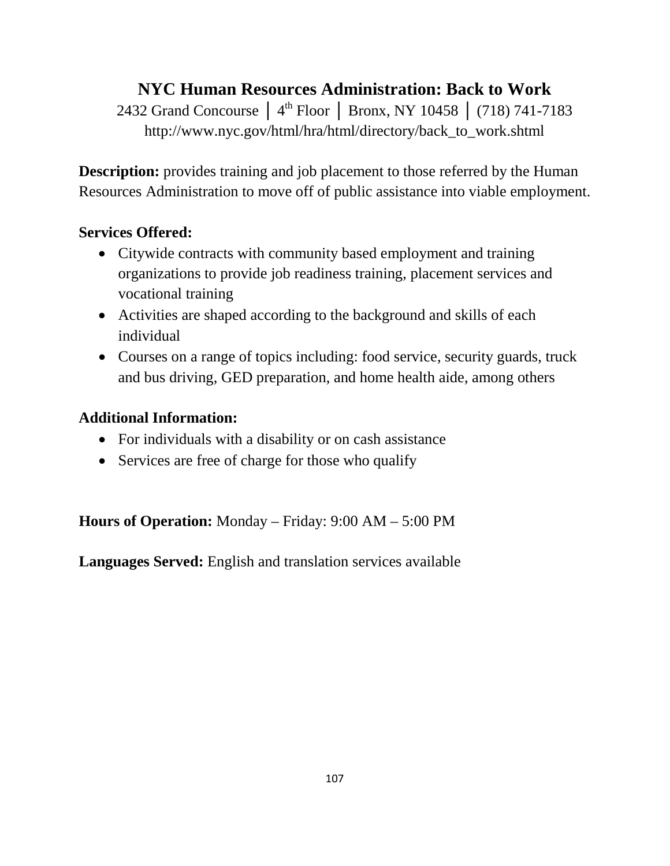# **NYC Human Resources Administration: Back to Work**

2432 Grand Concourse │ 4<sup>th</sup> Floor │ Bronx, NY 10458 │ (718) 741-7183 http://www.nyc.gov/html/hra/html/directory/back\_to\_work.shtml

**Description:** provides training and job placement to those referred by the Human Resources Administration to move off of public assistance into viable employment.

## **Services Offered:**

- Citywide contracts with community based employment and training organizations to provide job readiness training, placement services and vocational training
- Activities are shaped according to the background and skills of each individual
- Courses on a range of topics including: food service, security guards, truck and bus driving, GED preparation, and home health aide, among others

#### **Additional Information:**

- For individuals with a disability or on cash assistance
- Services are free of charge for those who qualify

**Hours of Operation:** Monday – Friday: 9:00 AM – 5:00 PM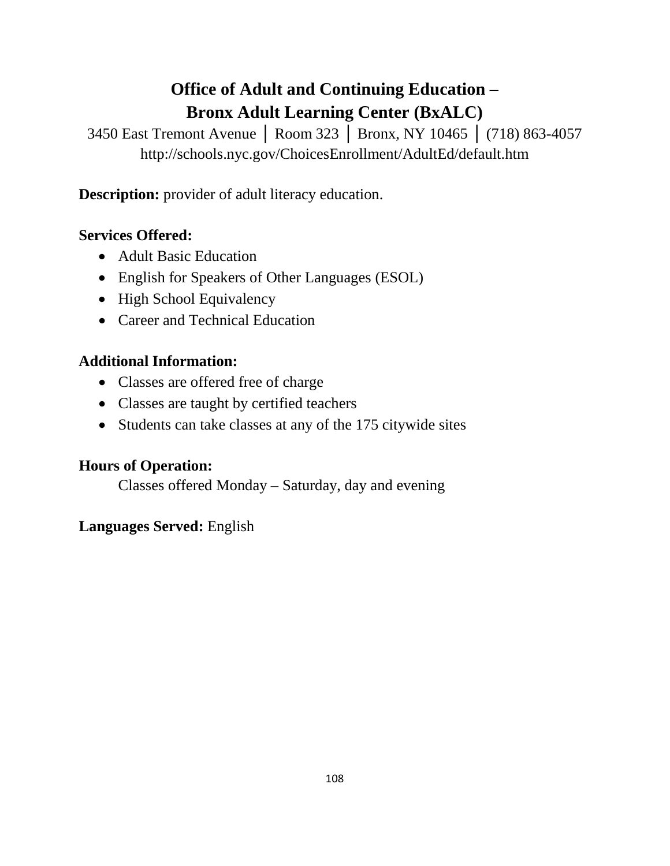## **Office of Adult and Continuing Education – Bronx Adult Learning Center (BxALC)**

3450 East Tremont Avenue │ Room 323 │ Bronx, NY 10465 │ (718) 863-4057 http://schools.nyc.gov/ChoicesEnrollment/AdultEd/default.htm

**Description:** provider of adult literacy education.

#### **Services Offered:**

- Adult Basic Education
- English for Speakers of Other Languages (ESOL)
- High School Equivalency
- Career and Technical Education

#### **Additional Information:**

- Classes are offered free of charge
- Classes are taught by certified teachers
- Students can take classes at any of the 175 citywide sites

#### **Hours of Operation:**

Classes offered Monday – Saturday, day and evening

#### **Languages Served:** English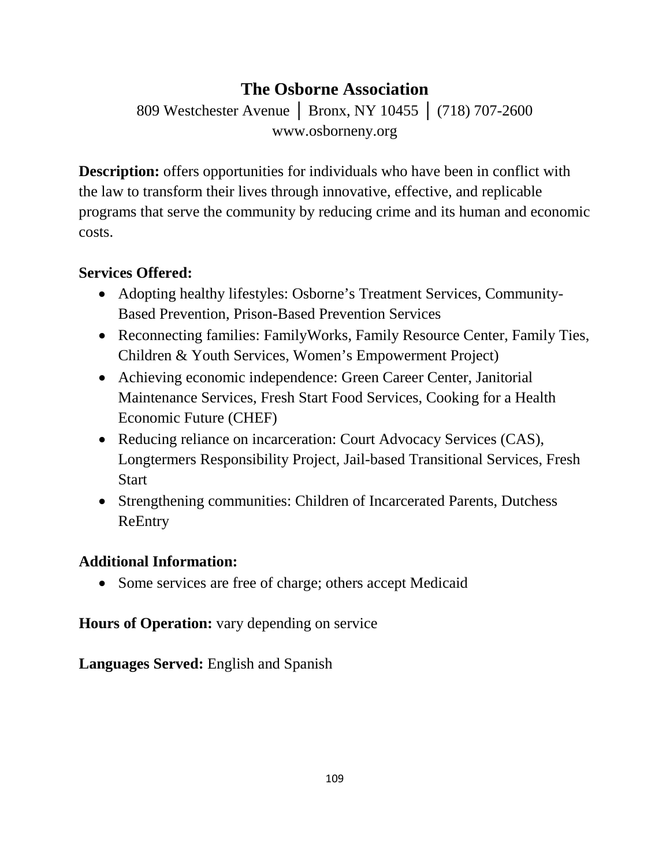## **The Osborne Association**

809 Westchester Avenue │ Bronx, NY 10455 │ (718) 707-2600 www.osborneny.org

**Description:** offers opportunities for individuals who have been in conflict with the law to transform their lives through innovative, effective, and replicable programs that serve the community by reducing crime and its human and economic costs.

### **Services Offered:**

- Adopting healthy lifestyles: Osborne's Treatment Services, Community-Based Prevention, Prison-Based Prevention Services
- Reconnecting families: FamilyWorks, Family Resource Center, Family Ties, Children & Youth Services, Women's Empowerment Project)
- Achieving economic independence: Green Career Center, Janitorial Maintenance Services, Fresh Start Food Services, Cooking for a Health Economic Future (CHEF)
- Reducing reliance on incarceration: Court Advocacy Services (CAS), Longtermers Responsibility Project, Jail-based Transitional Services, Fresh Start
- Strengthening communities: Children of Incarcerated Parents, Dutchess ReEntry

#### **Additional Information:**

• Some services are free of charge; others accept Medicaid

**Hours of Operation:** vary depending on service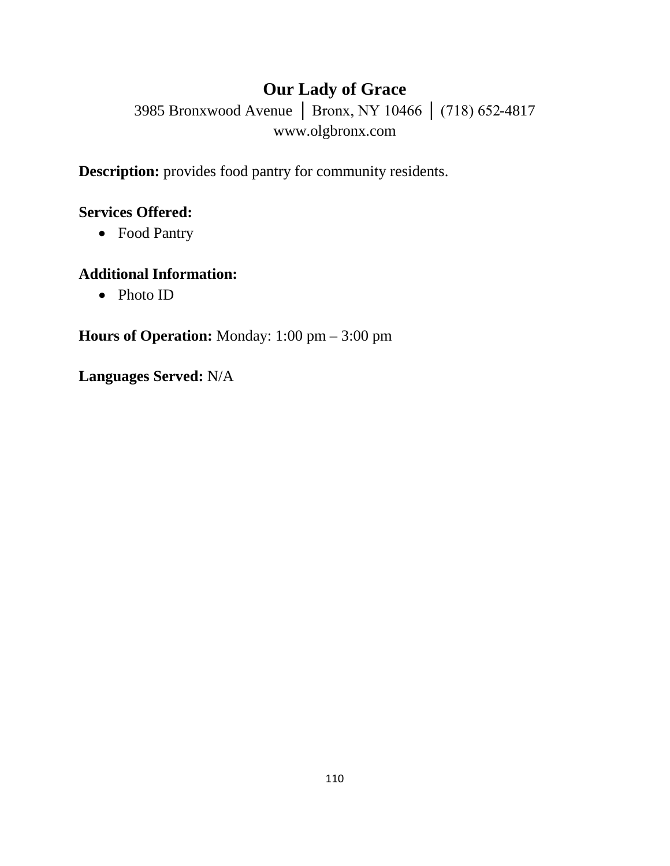## **Our Lady of Grace**

3985 Bronxwood Avenue │ Bronx, NY 10466 │ (718) 652-4817 www.olgbronx.com

**Description:** provides food pantry for community residents.

#### **Services Offered:**

• Food Pantry

#### **Additional Information:**

• Photo ID

**Hours of Operation:** Monday: 1:00 pm – 3:00 pm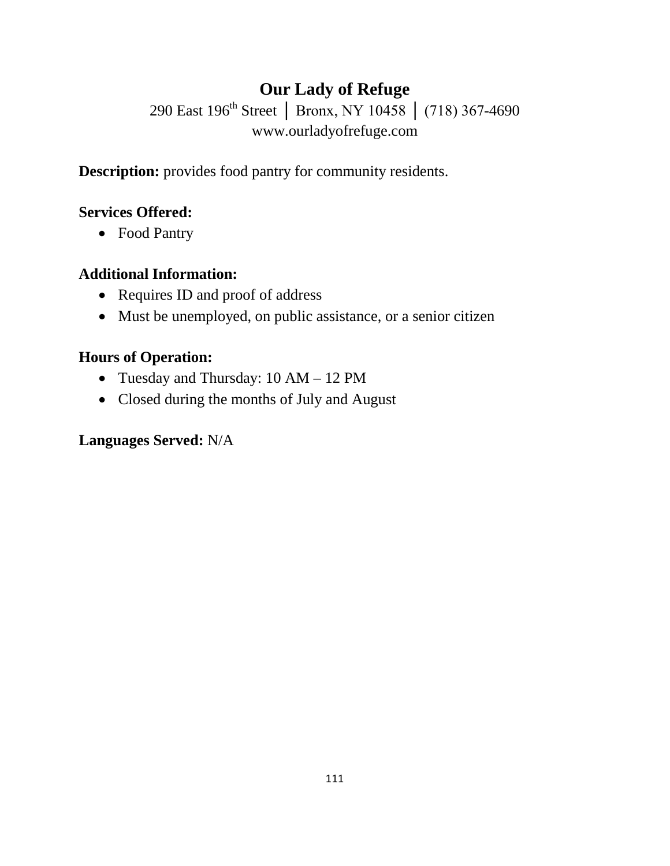## **Our Lady of Refuge**

290 East 196<sup>th</sup> Street │ Bronx, NY 10458 │ (718) 367-4690 www.ourladyofrefuge.com

**Description:** provides food pantry for community residents.

#### **Services Offered:**

• Food Pantry

#### **Additional Information:**

- Requires ID and proof of address
- Must be unemployed, on public assistance, or a senior citizen

#### **Hours of Operation:**

- Tuesday and Thursday: 10 AM 12 PM
- Closed during the months of July and August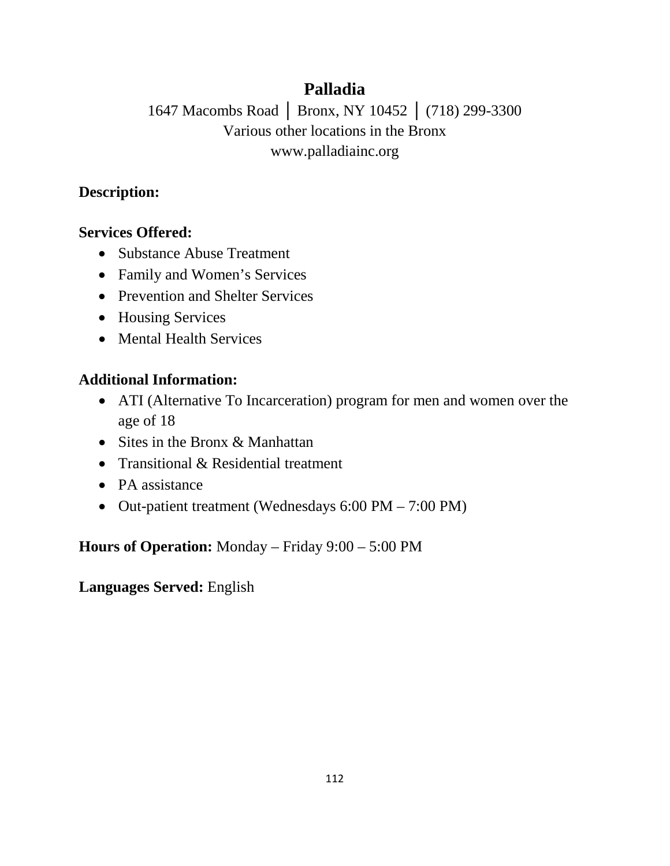## **Palladia**

## 1647 Macombs Road │ Bronx, NY 10452 │ (718) 299-3300 Various other locations in the Bronx www.palladiainc.org

### **Description:**

### **Services Offered:**

- Substance Abuse Treatment
- Family and Women's Services
- Prevention and Shelter Services
- Housing Services
- Mental Health Services

### **Additional Information:**

- ATI (Alternative To Incarceration) program for men and women over the age of 18
- Sites in the Bronx & Manhattan
- Transitional & Residential treatment
- PA assistance
- Out-patient treatment (Wednesdays 6:00 PM 7:00 PM)

**Hours of Operation:** Monday – Friday 9:00 – 5:00 PM

**Languages Served:** English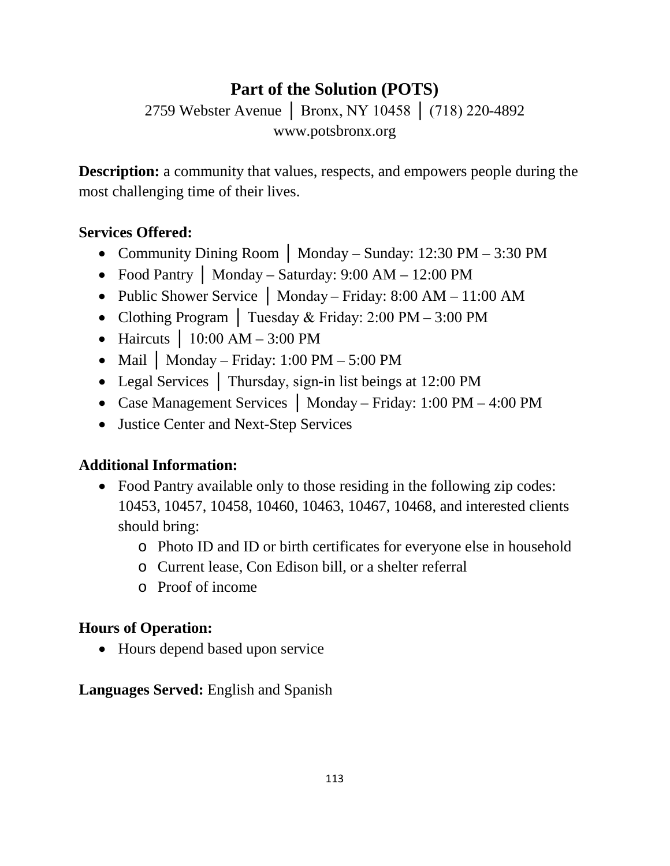## **Part of the Solution (POTS)**

2759 Webster Avenue | Bronx, NY 10458 | (718) 220-4892 www.potsbronx.org

**Description:** a community that values, respects, and empowers people during the most challenging time of their lives.

### **Services Offered:**

- Community Dining Room **│** Monday Sunday: 12:30 PM 3:30 PM
- Food Pantry **│** Monday Saturday: 9:00 AM 12:00 PM
- Public Shower Service │ Monday Friday: 8:00 AM 11:00 AM
- Clothing Program │ Tuesday & Friday: 2:00 PM 3:00 PM
- Haircuts  $\vert$  10:00 AM 3:00 PM
- Mail | Monday Friday: 1:00 PM 5:00 PM
- Legal Services | Thursday, sign-in list beings at 12:00 PM
- Case Management Services │ Monday Friday: 1:00 PM 4:00 PM
- Justice Center and Next-Step Services

### **Additional Information:**

- Food Pantry available only to those residing in the following zip codes: 10453, 10457, 10458, 10460, 10463, 10467, 10468, and interested clients should bring:
	- o Photo ID and ID or birth certificates for everyone else in household
	- o Current lease, Con Edison bill, or a shelter referral
	- o Proof of income

### **Hours of Operation:**

• Hours depend based upon service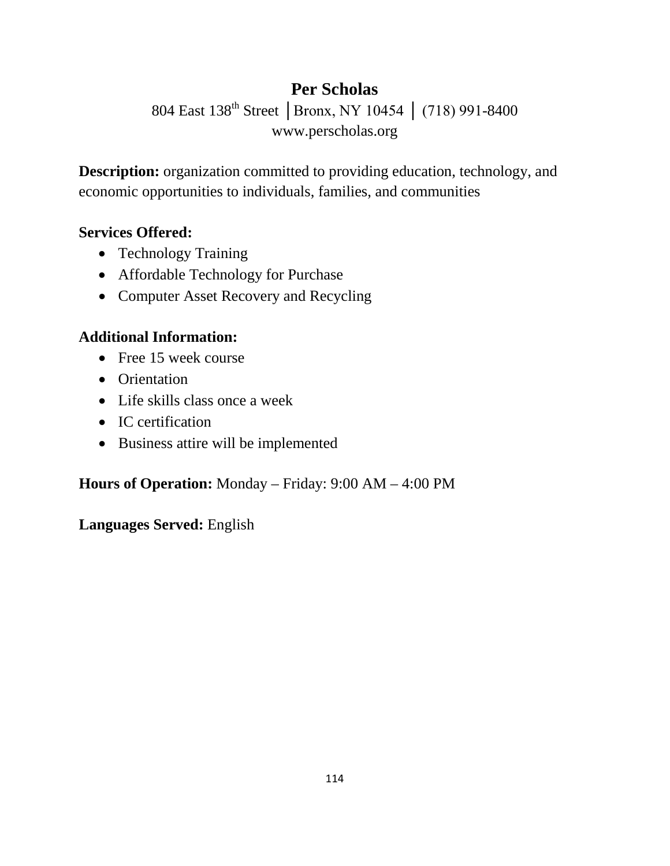## **Per Scholas**

804 East 138<sup>th</sup> Street | Bronx, NY 10454 | (718) 991-8400 www.perscholas.org

**Description:** organization committed to providing education, technology, and economic opportunities to individuals, families, and communities

#### **Services Offered:**

- Technology Training
- Affordable Technology for Purchase
- Computer Asset Recovery and Recycling

### **Additional Information:**

- Free 15 week course
- Orientation
- Life skills class once a week
- IC certification
- Business attire will be implemented

**Hours of Operation:** Monday – Friday: 9:00 AM – 4:00 PM

#### **Languages Served:** English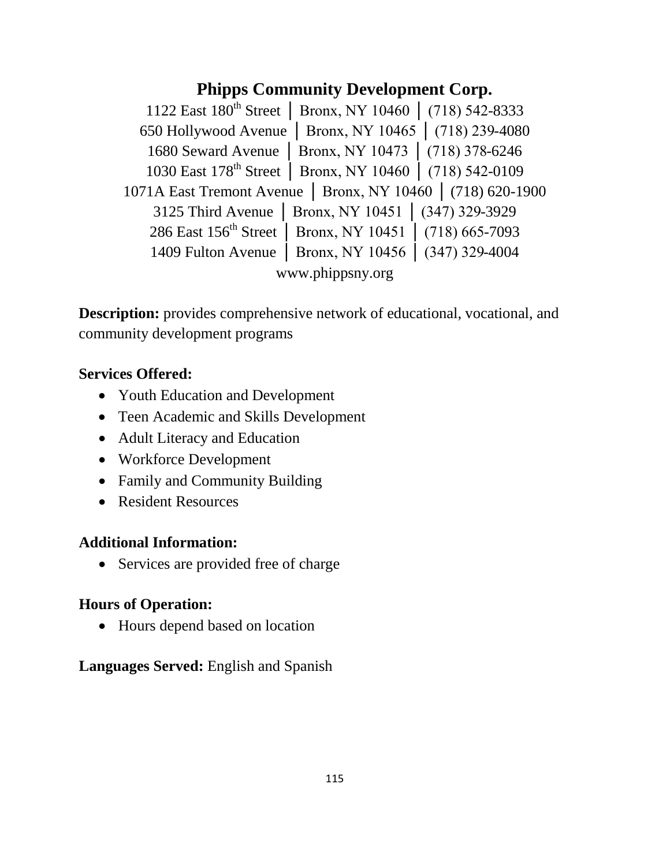### **Phipps Community Development Corp.**

1122 East 180th Street │ Bronx, NY 10460 │ (718) 542-8333 650 Hollywood Avenue │ Bronx, NY 10465 │ (718) 239-4080 1680 Seward Avenue │ Bronx, NY 10473 │ (718) 378-6246 1030 East 178th Street │ Bronx, NY 10460 │ (718) 542-0109 1071A East Tremont Avenue │ Bronx, NY 10460 │ (718) 620-1900 3125 Third Avenue │ Bronx, NY 10451 │ (347) 329-3929 286 East 156<sup>th</sup> Street | Bronx, NY 10451 | (718) 665-7093 1409 Fulton Avenue │ Bronx, NY 10456 │ (347) 329-4004 www.phippsny.org

**Description:** provides comprehensive network of educational, vocational, and community development programs

#### **Services Offered:**

- Youth Education and Development
- Teen Academic and Skills Development
- Adult Literacy and Education
- Workforce Development
- Family and Community Building
- Resident Resources

#### **Additional Information:**

• Services are provided free of charge

#### **Hours of Operation:**

• Hours depend based on location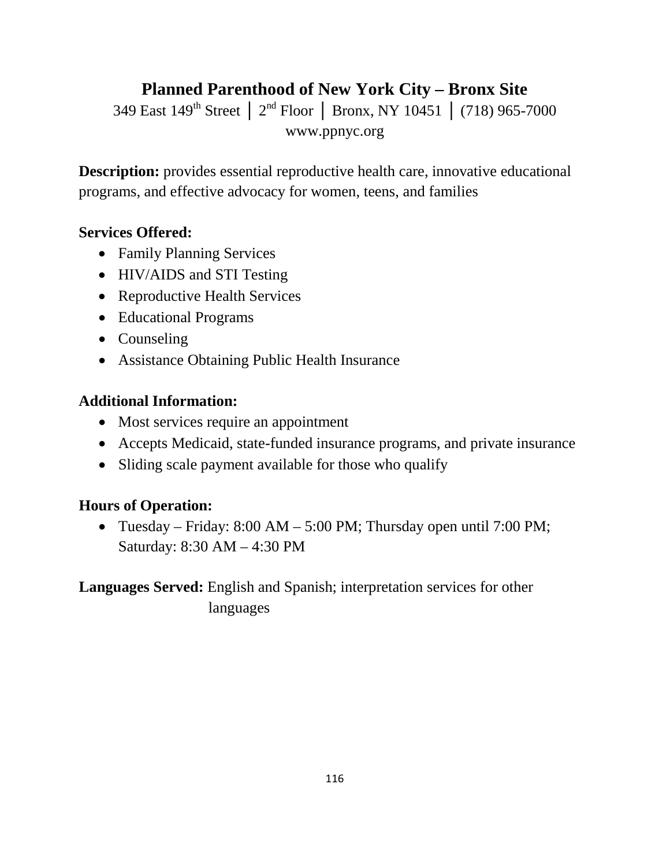## **Planned Parenthood of New York City – Bronx Site**

349 East 149th Street │ 2nd Floor │ Bronx, NY 10451 │ (718) 965-7000 www.ppnyc.org

**Description:** provides essential reproductive health care, innovative educational programs, and effective advocacy for women, teens, and families

#### **Services Offered:**

- Family Planning Services
- HIV/AIDS and STI Testing
- Reproductive Health Services
- Educational Programs
- Counseling
- Assistance Obtaining Public Health Insurance

#### **Additional Information:**

- Most services require an appointment
- Accepts Medicaid, state-funded insurance programs, and private insurance
- Sliding scale payment available for those who qualify

#### **Hours of Operation:**

• Tuesday – Friday: 8:00 AM – 5:00 PM; Thursday open until 7:00 PM; Saturday: 8:30 AM – 4:30 PM

### **Languages Served:** English and Spanish; interpretation services for other languages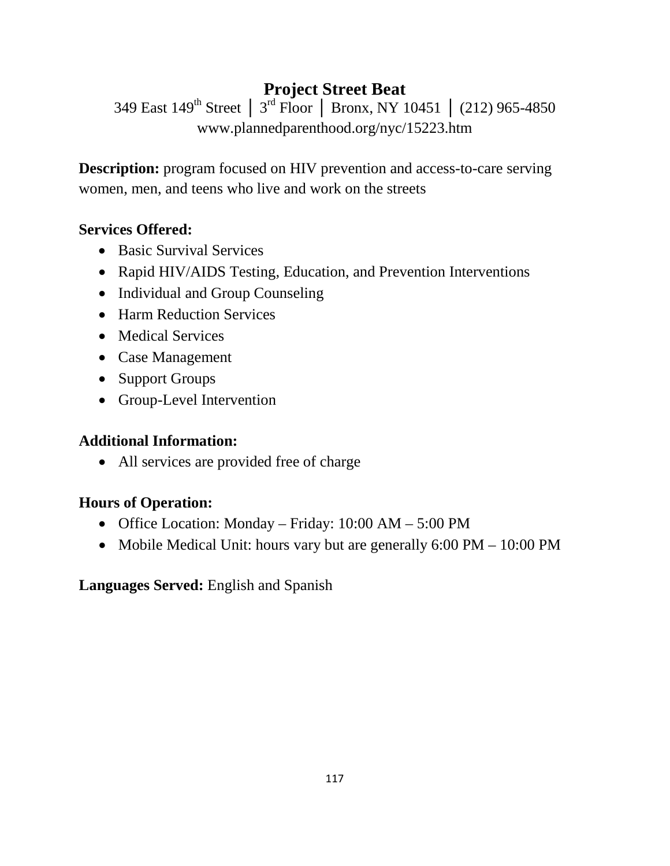## **Project Street Beat**

349 East 149th Street │ 3rd Floor │ Bronx, NY 10451 │ (212) 965-4850 www.plannedparenthood.org/nyc/15223.htm

**Description:** program focused on HIV prevention and access-to-care serving women, men, and teens who live and work on the streets

#### **Services Offered:**

- Basic Survival Services
- Rapid HIV/AIDS Testing, Education, and Prevention Interventions
- Individual and Group Counseling
- Harm Reduction Services
- Medical Services
- Case Management
- Support Groups
- Group-Level Intervention

#### **Additional Information:**

• All services are provided free of charge

#### **Hours of Operation:**

- Office Location: Monday Friday: 10:00 AM 5:00 PM
- Mobile Medical Unit: hours vary but are generally 6:00 PM 10:00 PM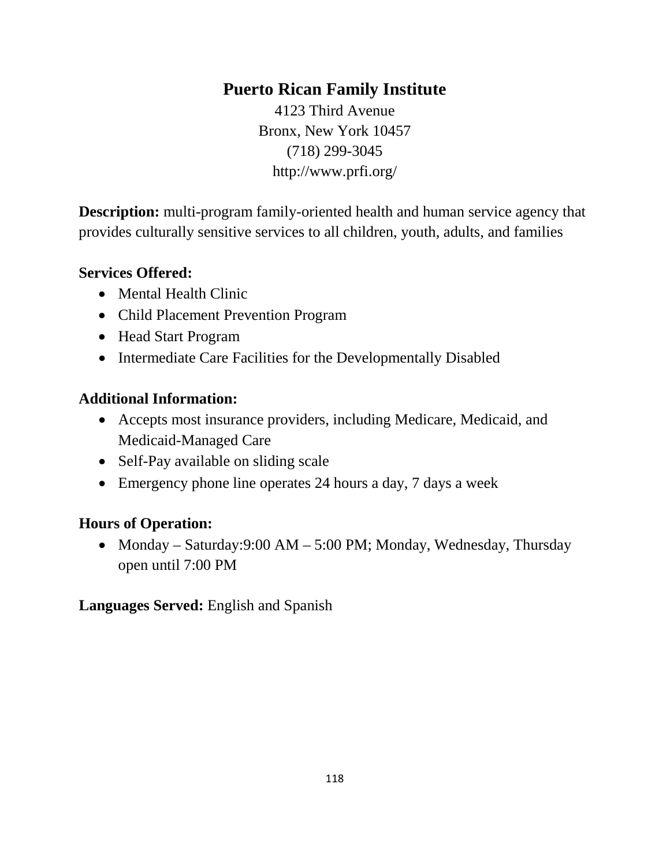### **Puerto Rican Family Institute**

4123 Third Avenue Bronx, New York 10457 (718) 299-3045 http://www.prfi.org/

**Description:** multi-program family-oriented health and human service agency that provides culturally sensitive services to all children, youth, adults, and families

#### **Services Offered:**

- Mental Health Clinic
- Child Placement Prevention Program
- Head Start Program
- Intermediate Care Facilities for the Developmentally Disabled

#### **Additional Information:**

- Accepts most insurance providers, including Medicare, Medicaid, and Medicaid-Managed Care
- Self-Pay available on sliding scale
- Emergency phone line operates 24 hours a day, 7 days a week

#### **Hours of Operation:**

• Monday – Saturday: 9:00 AM – 5:00 PM; Monday, Wednesday, Thursday open until 7:00 PM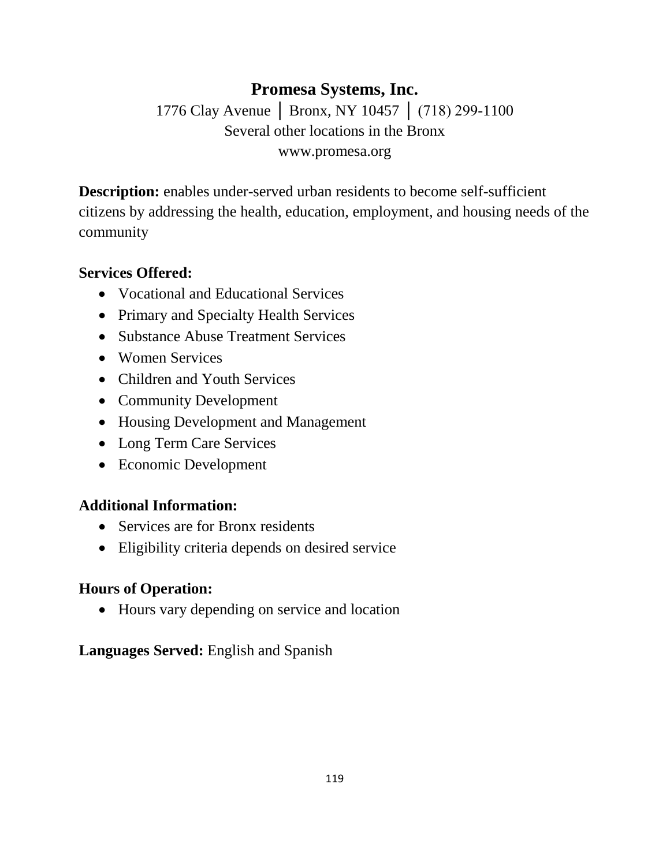## **Promesa Systems, Inc.** 1776 Clay Avenue | Bronx, NY 10457 | (718) 299-1100 Several other locations in the Bronx www.promesa.org

**Description:** enables under-served urban residents to become self-sufficient citizens by addressing the health, education, employment, and housing needs of the community

#### **Services Offered:**

- Vocational and Educational Services
- Primary and Specialty Health Services
- Substance Abuse Treatment Services
- Women Services
- Children and Youth Services
- Community Development
- Housing Development and Management
- Long Term Care Services
- Economic Development

#### **Additional Information:**

- Services are for Bronx residents
- Eligibility criteria depends on desired service

#### **Hours of Operation:**

• Hours vary depending on service and location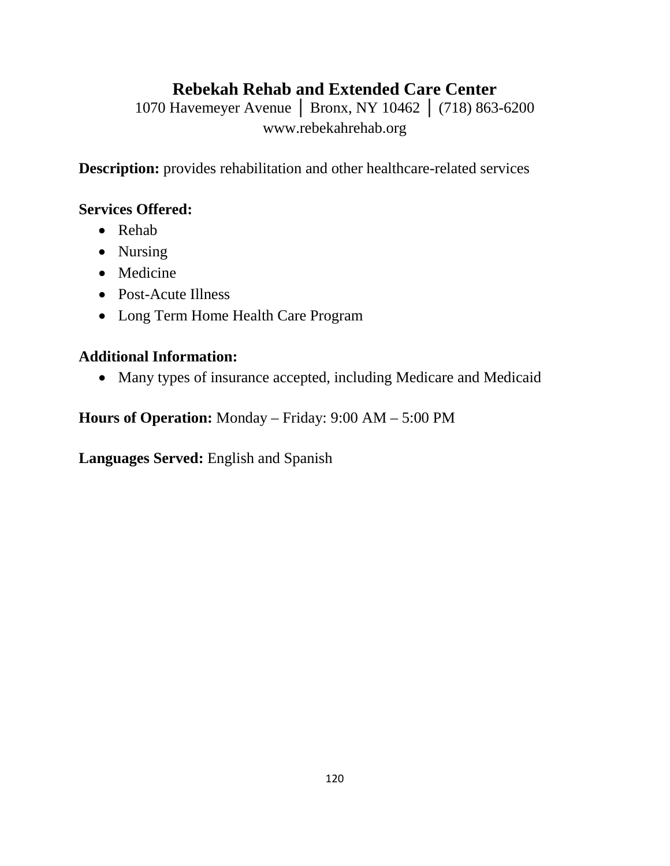## **Rebekah Rehab and Extended Care Center**

1070 Havemeyer Avenue │ Bronx, NY 10462 │ (718) 863-6200 www.rebekahrehab.org

**Description:** provides rehabilitation and other healthcare-related services

#### **Services Offered:**

- Rehab
- Nursing
- Medicine
- Post-Acute Illness
- Long Term Home Health Care Program

### **Additional Information:**

• Many types of insurance accepted, including Medicare and Medicaid

**Hours of Operation:** Monday – Friday: 9:00 AM – 5:00 PM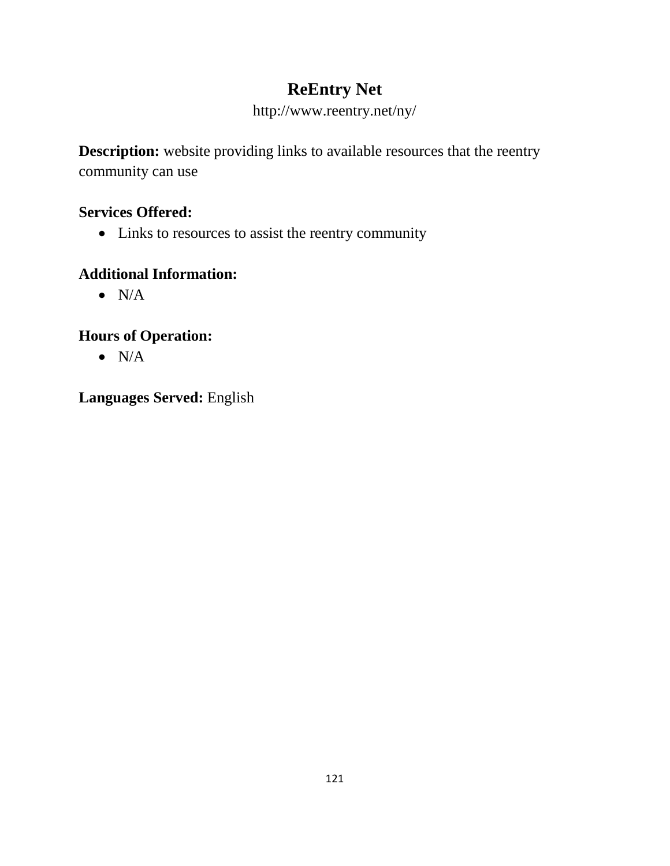## **ReEntry Net**

### http://www.reentry.net/ny/

**Description:** website providing links to available resources that the reentry community can use

### **Services Offered:**

• Links to resources to assist the reentry community

### **Additional Information:**

 $\bullet$  N/A

### **Hours of Operation:**

 $\bullet$  N/A

### **Languages Served:** English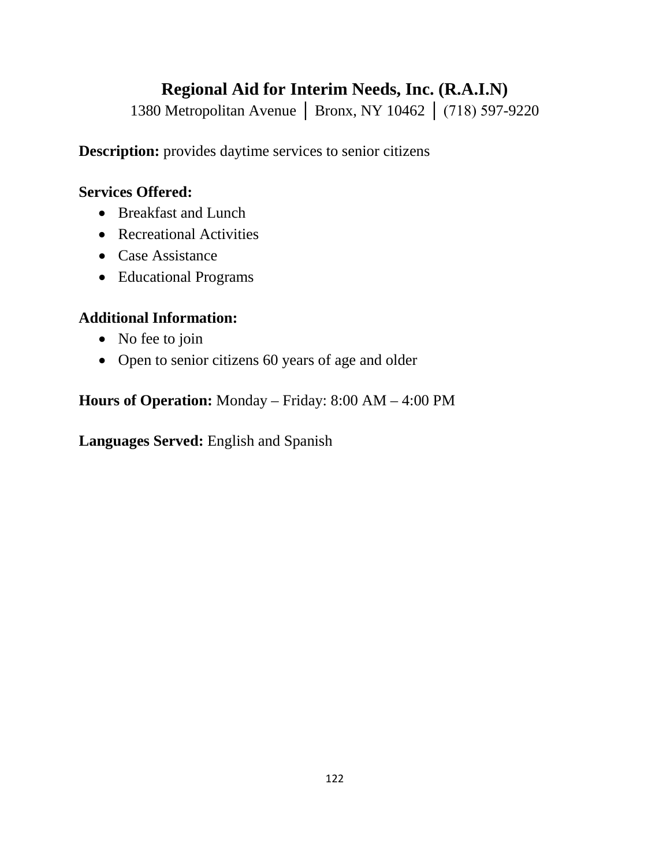## **Regional Aid for Interim Needs, Inc. (R.A.I.N)**

1380 Metropolitan Avenue │ Bronx, NY 10462 │ (718) 597-9220

**Description:** provides daytime services to senior citizens

### **Services Offered:**

- Breakfast and Lunch
- Recreational Activities
- Case Assistance
- Educational Programs

### **Additional Information:**

- No fee to join
- Open to senior citizens 60 years of age and older

**Hours of Operation:** Monday – Friday: 8:00 AM – 4:00 PM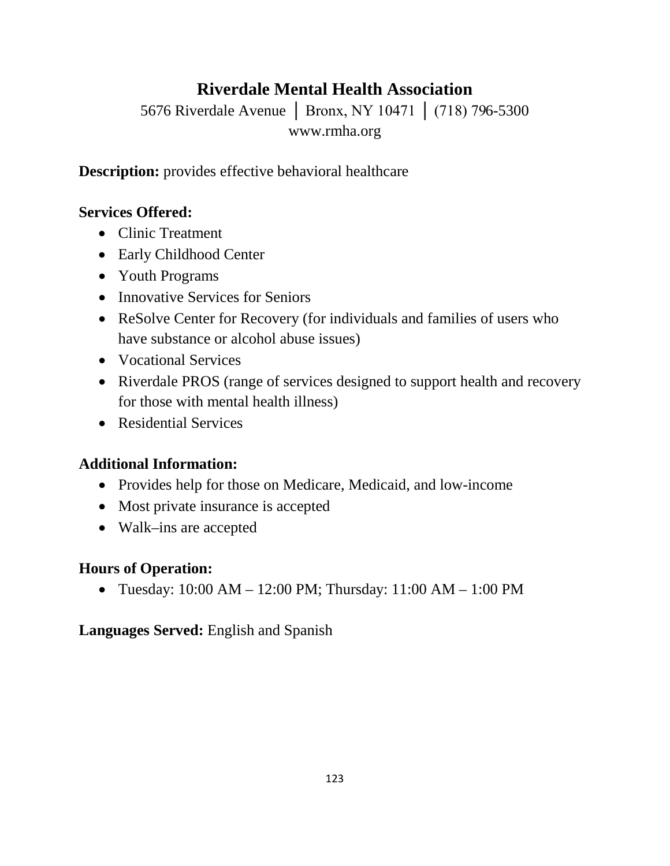## **Riverdale Mental Health Association**

5676 Riverdale Avenue │ Bronx, NY 10471 │ (718) 796-5300 www.rmha.org

**Description:** provides effective behavioral healthcare

### **Services Offered:**

- Clinic Treatment
- Early Childhood Center
- Youth Programs
- Innovative Services for Seniors
- ReSolve Center for Recovery (for individuals and families of users who have substance or alcohol abuse issues)
- Vocational Services
- Riverdale PROS (range of services designed to support health and recovery for those with mental health illness)
- Residential Services

### **Additional Information:**

- Provides help for those on Medicare, Medicaid, and low-income
- Most private insurance is accepted
- Walk–ins are accepted

### **Hours of Operation:**

• Tuesday:  $10:00 \text{ AM} - 12:00 \text{ PM}$ ; Thursday:  $11:00 \text{ AM} - 1:00 \text{ PM}$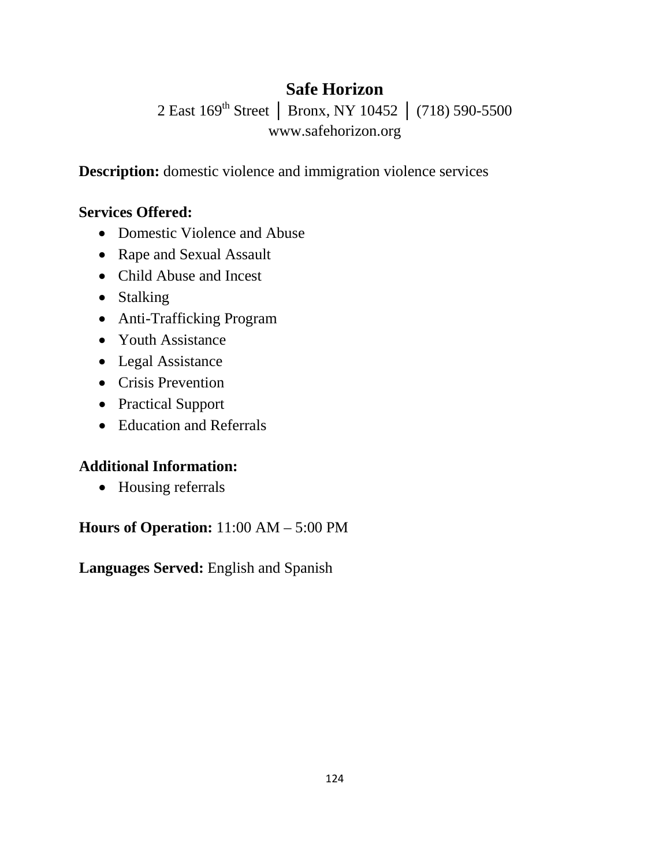## **Safe Horizon**

2 East 169<sup>th</sup> Street | Bronx, NY 10452 | (718) 590-5500 www.safehorizon.org

**Description:** domestic violence and immigration violence services

#### **Services Offered:**

- Domestic Violence and Abuse
- Rape and Sexual Assault
- Child Abuse and Incest
- Stalking
- Anti-Trafficking Program
- Youth Assistance
- Legal Assistance
- Crisis Prevention
- Practical Support
- Education and Referrals

#### **Additional Information:**

• Housing referrals

**Hours of Operation:** 11:00 AM – 5:00 PM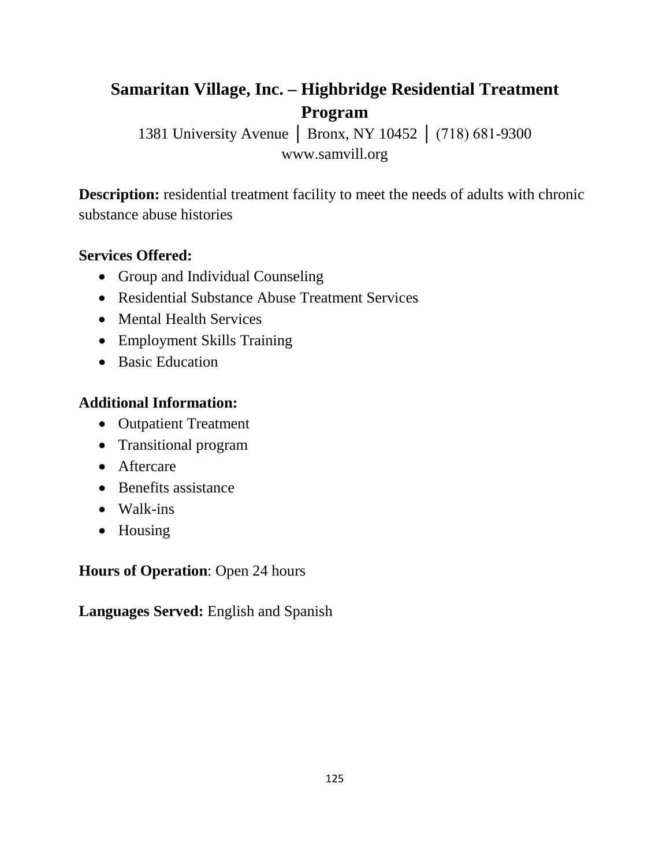## **Samaritan Village, Inc. – Highbridge Residential Treatment Program**

1381 University Avenue │ Bronx, NY 10452 │ (718) 681-9300 www.samvill.org

**Description:** residential treatment facility to meet the needs of adults with chronic substance abuse histories

#### **Services Offered:**

- Group and Individual Counseling
- Residential Substance Abuse Treatment Services
- Mental Health Services
- Employment Skills Training
- Basic Education

### **Additional Information:**

- Outpatient Treatment
- Transitional program
- Aftercare
- Benefits assistance
- Walk-ins
- Housing

**Hours of Operation**: Open 24 hours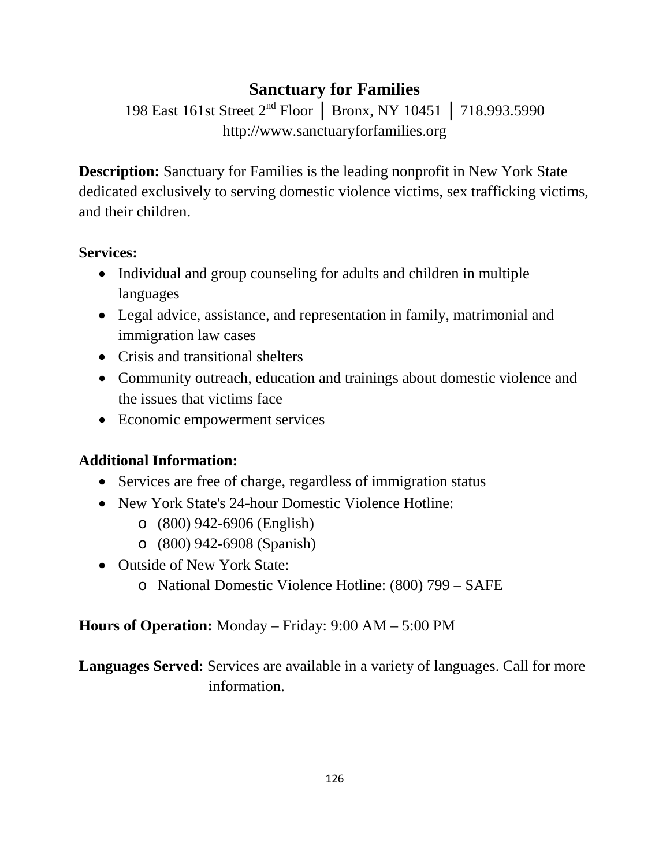## **Sanctuary for Families**

198 East 161st Street 2nd Floor │ Bronx, NY 10451 │ 718.993.5990 http://www.sanctuaryforfamilies.org

**Description:** Sanctuary for Families is the leading nonprofit in New York State dedicated exclusively to serving domestic violence victims, sex trafficking victims, and their children.

#### **Services:**

- Individual and group counseling for adults and children in multiple languages
- Legal advice, assistance, and representation in family, matrimonial and immigration law cases
- Crisis and transitional shelters
- Community outreach, education and trainings about domestic violence and the issues that victims face
- Economic empowerment services

### **Additional Information:**

- Services are free of charge, regardless of immigration status
- New York State's 24-hour Domestic Violence Hotline:
	- o (800) 942-6906 (English)
	- o (800) 942-6908 (Spanish)
- Outside of New York State:
	- o National Domestic Violence Hotline: (800) 799 SAFE

#### **Hours of Operation:** Monday – Friday: 9:00 AM – 5:00 PM

**Languages Served:** Services are available in a variety of languages. Call for more information.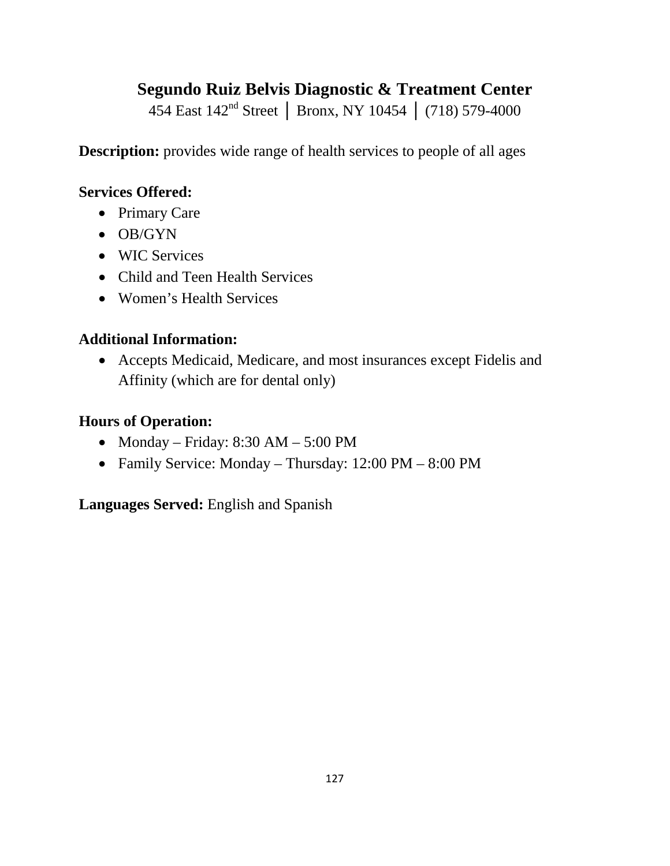## **Segundo Ruiz Belvis Diagnostic & Treatment Center**

454 East 142nd Street │ Bronx, NY 10454 │ (718) 579-4000

**Description:** provides wide range of health services to people of all ages

#### **Services Offered:**

- Primary Care
- OB/GYN
- WIC Services
- Child and Teen Health Services
- Women's Health Services

### **Additional Information:**

• Accepts Medicaid, Medicare, and most insurances except Fidelis and Affinity (which are for dental only)

#### **Hours of Operation:**

- Monday Friday:  $8:30$  AM  $5:00$  PM
- Family Service: Monday Thursday: 12:00 PM 8:00 PM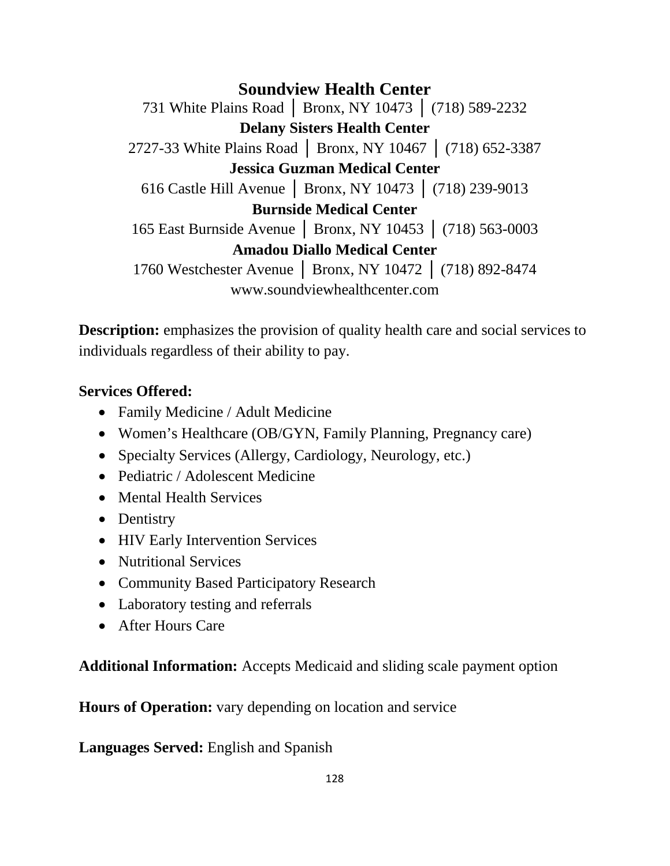**Soundview Health Center** 731 White Plains Road │ Bronx, NY 10473 │ (718) 589-2232 **Delany Sisters Health Center** 2727-33 White Plains Road │ Bronx, NY 10467 │ (718) 652-3387 **Jessica Guzman Medical Center** 616 Castle Hill Avenue │ Bronx, NY 10473 │ (718) 239-9013 **Burnside Medical Center** 165 East Burnside Avenue │ Bronx, NY 10453 │ (718) 563-0003 **Amadou Diallo Medical Center** 1760 Westchester Avenue │ Bronx, NY 10472 │ (718) 892-8474 www.soundviewhealthcenter.com

**Description:** emphasizes the provision of quality health care and social services to individuals regardless of their ability to pay.

#### **Services Offered:**

- Family Medicine / Adult Medicine
- Women's Healthcare (OB/GYN, Family Planning, Pregnancy care)
- Specialty Services (Allergy, Cardiology, Neurology, etc.)
- Pediatric / Adolescent Medicine
- Mental Health Services
- Dentistry
- HIV Early Intervention Services
- Nutritional Services
- Community Based Participatory Research
- Laboratory testing and referrals
- After Hours Care

**Additional Information:** Accepts Medicaid and sliding scale payment option

**Hours of Operation:** vary depending on location and service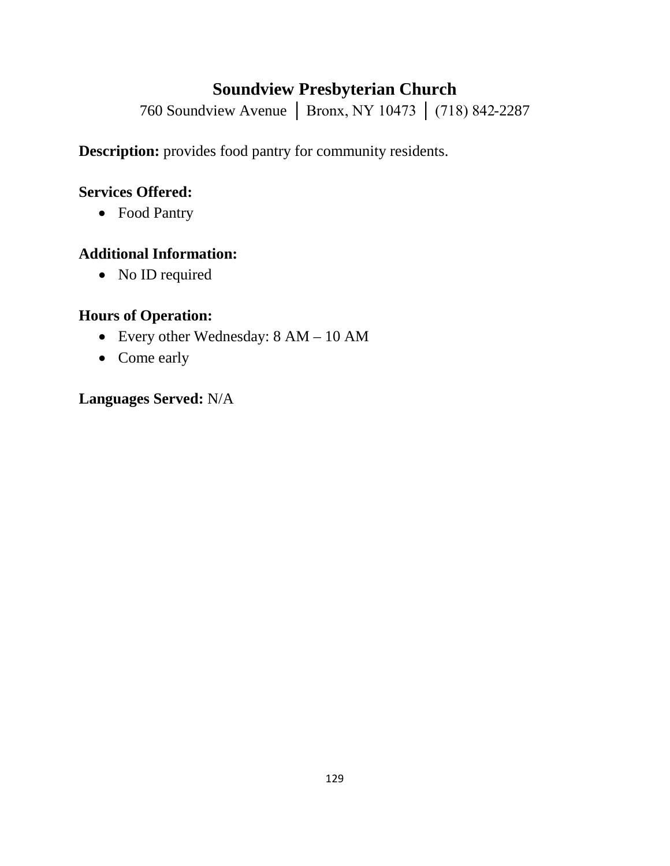## **Soundview Presbyterian Church**

760 Soundview Avenue │ Bronx, NY 10473 │ (718) 842-2287

**Description:** provides food pantry for community residents.

#### **Services Offered:**

• Food Pantry

#### **Additional Information:**

• No ID required

#### **Hours of Operation:**

- Every other Wednesday: 8 AM 10 AM
- Come early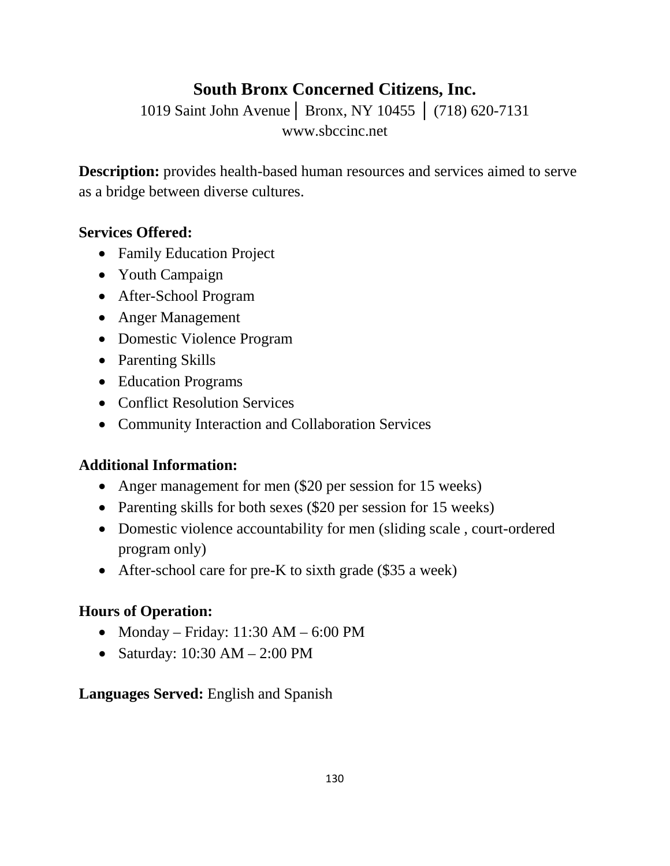## **South Bronx Concerned Citizens, Inc.**

1019 Saint John Avenue│ Bronx, NY 10455 │ (718) 620-7131 www.sbccinc.net

**Description:** provides health-based human resources and services aimed to serve as a bridge between diverse cultures.

#### **Services Offered:**

- Family Education Project
- Youth Campaign
- After-School Program
- Anger Management
- Domestic Violence Program
- Parenting Skills
- Education Programs
- Conflict Resolution Services
- Community Interaction and Collaboration Services

### **Additional Information:**

- Anger management for men (\$20 per session for 15 weeks)
- Parenting skills for both sexes (\$20 per session for 15 weeks)
- Domestic violence accountability for men (sliding scale, court-ordered program only)
- After-school care for pre-K to sixth grade (\$35 a week)

### **Hours of Operation:**

- Monday Friday:  $11:30$  AM  $6:00$  PM
- Saturday: 10:30 AM 2:00 PM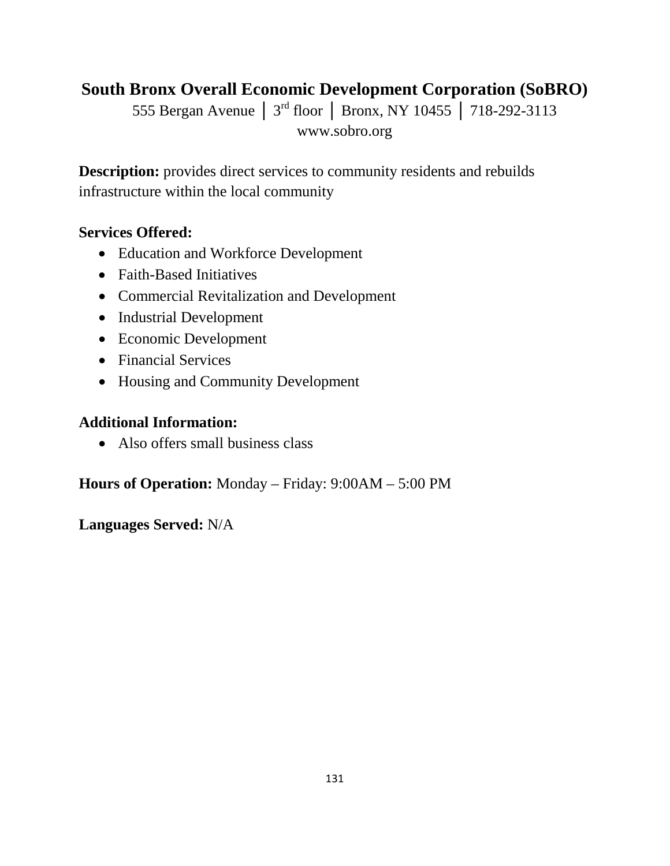## **South Bronx Overall Economic Development Corporation (SoBRO)**

555 Bergan Avenue │ 3rd floor │ Bronx, NY 10455 │ 718-292-3113 www.sobro.org

**Description:** provides direct services to community residents and rebuilds infrastructure within the local community

#### **Services Offered:**

- Education and Workforce Development
- Faith-Based Initiatives
- Commercial Revitalization and Development
- Industrial Development
- Economic Development
- Financial Services
- Housing and Community Development

#### **Additional Information:**

• Also offers small business class

**Hours of Operation:** Monday – Friday: 9:00AM – 5:00 PM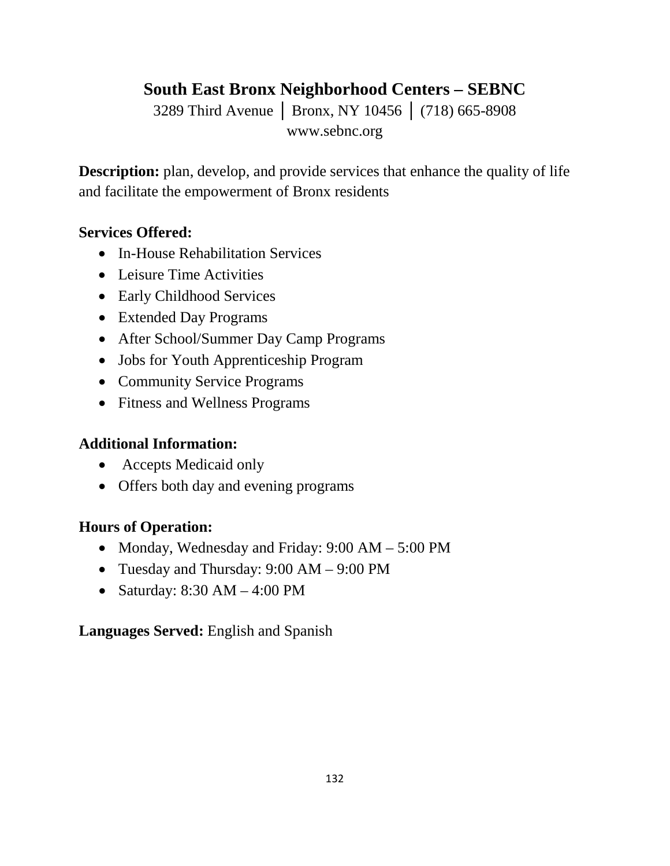## **South East Bronx Neighborhood Centers – SEBNC**

3289 Third Avenue │ Bronx, NY 10456 │ (718) 665-8908 www.sebnc.org

**Description:** plan, develop, and provide services that enhance the quality of life and facilitate the empowerment of Bronx residents

#### **Services Offered:**

- In-House Rehabilitation Services
- Leisure Time Activities
- Early Childhood Services
- Extended Day Programs
- After School/Summer Day Camp Programs
- Jobs for Youth Apprenticeship Program
- Community Service Programs
- Fitness and Wellness Programs

### **Additional Information:**

- Accepts Medicaid only
- Offers both day and evening programs

### **Hours of Operation:**

- Monday, Wednesday and Friday: 9:00 AM 5:00 PM
- Tuesday and Thursday: 9:00 AM 9:00 PM
- Saturday:  $8:30$  AM  $-4:00$  PM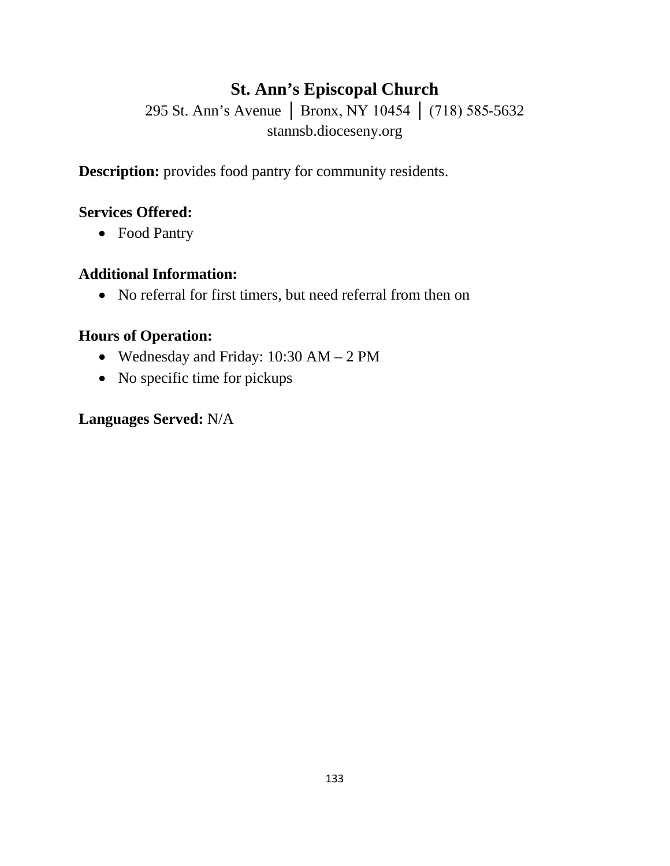## **St. Ann's Episcopal Church**

295 St. Ann's Avenue │ Bronx, NY 10454 │ (718) 585-5632 stannsb.dioceseny.org

**Description:** provides food pantry for community residents.

#### **Services Offered:**

• Food Pantry

#### **Additional Information:**

• No referral for first timers, but need referral from then on

#### **Hours of Operation:**

- Wednesday and Friday: 10:30 AM 2 PM
- No specific time for pickups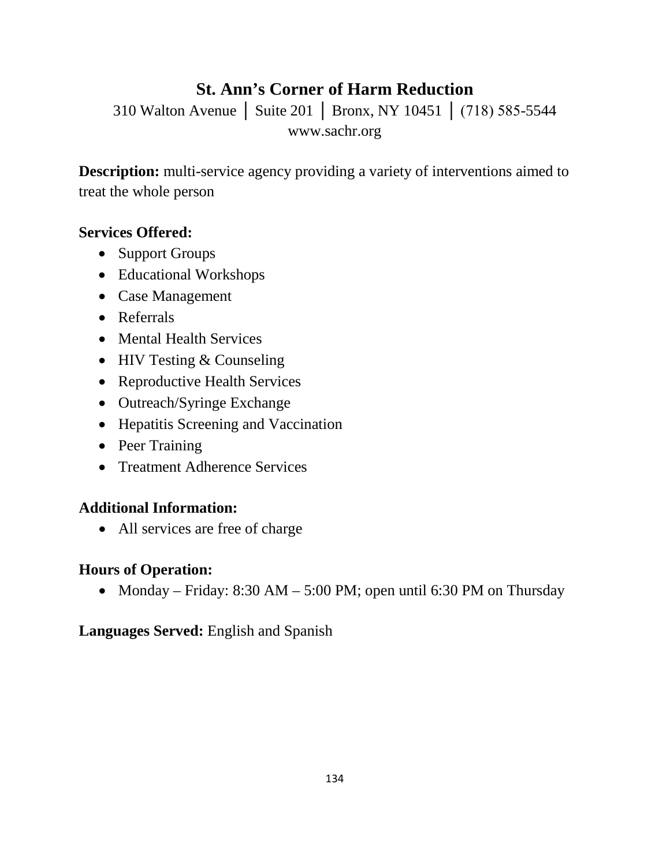## **St. Ann's Corner of Harm Reduction**

310 Walton Avenue │ Suite 201 │ Bronx, NY 10451 │ (718) 585-5544 www.sachr.org

**Description:** multi-service agency providing a variety of interventions aimed to treat the whole person

#### **Services Offered:**

- Support Groups
- Educational Workshops
- Case Management
- Referrals
- Mental Health Services
- HIV Testing & Counseling
- Reproductive Health Services
- Outreach/Syringe Exchange
- Hepatitis Screening and Vaccination
- Peer Training
- Treatment Adherence Services

#### **Additional Information:**

• All services are free of charge

#### **Hours of Operation:**

• Monday – Friday:  $8:30 \text{ AM} - 5:00 \text{ PM}$ ; open until 6:30 PM on Thursday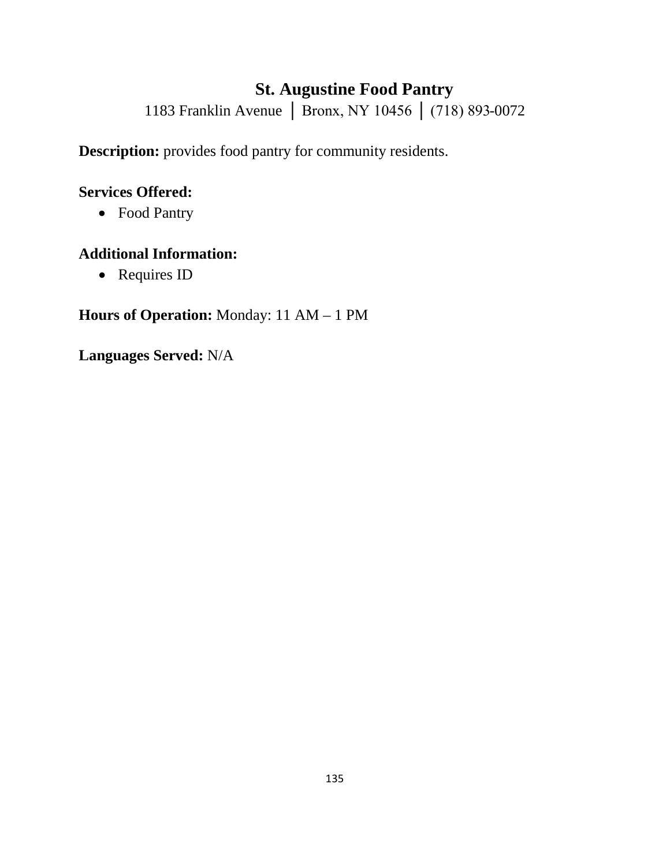## **St. Augustine Food Pantry**

1183 Franklin Avenue | Bronx, NY 10456 | (718) 893-0072

**Description:** provides food pantry for community residents.

#### **Services Offered:**

• Food Pantry

#### **Additional Information:**

• Requires ID

## **Hours of Operation:** Monday: 11 AM – 1 PM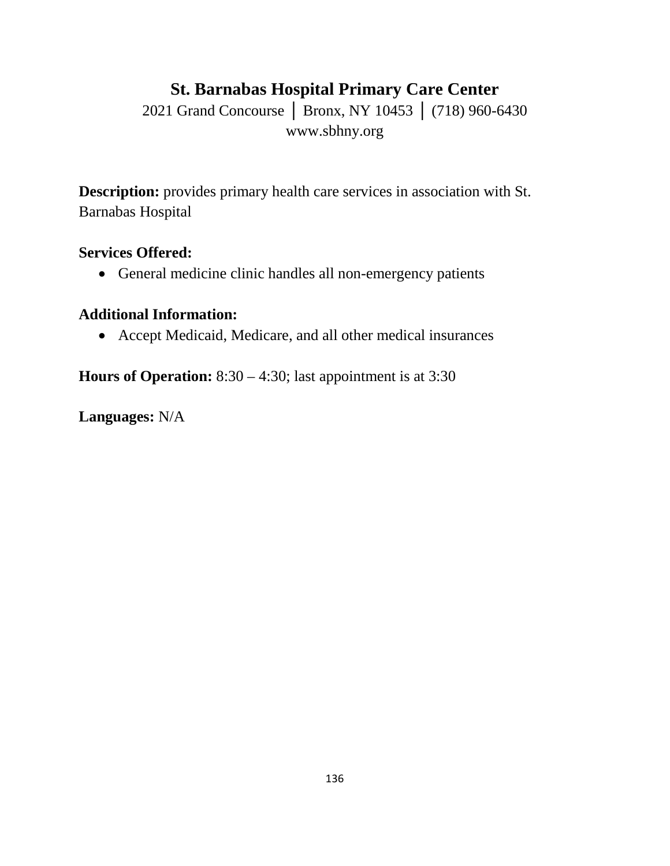## **St. Barnabas Hospital Primary Care Center**

2021 Grand Concourse | Bronx, NY 10453 | (718) 960-6430 www.sbhny.org

**Description:** provides primary health care services in association with St. Barnabas Hospital

#### **Services Offered:**

• General medicine clinic handles all non-emergency patients

### **Additional Information:**

• Accept Medicaid, Medicare, and all other medical insurances

**Hours of Operation:** 8:30 – 4:30; last appointment is at 3:30

**Languages:** N/A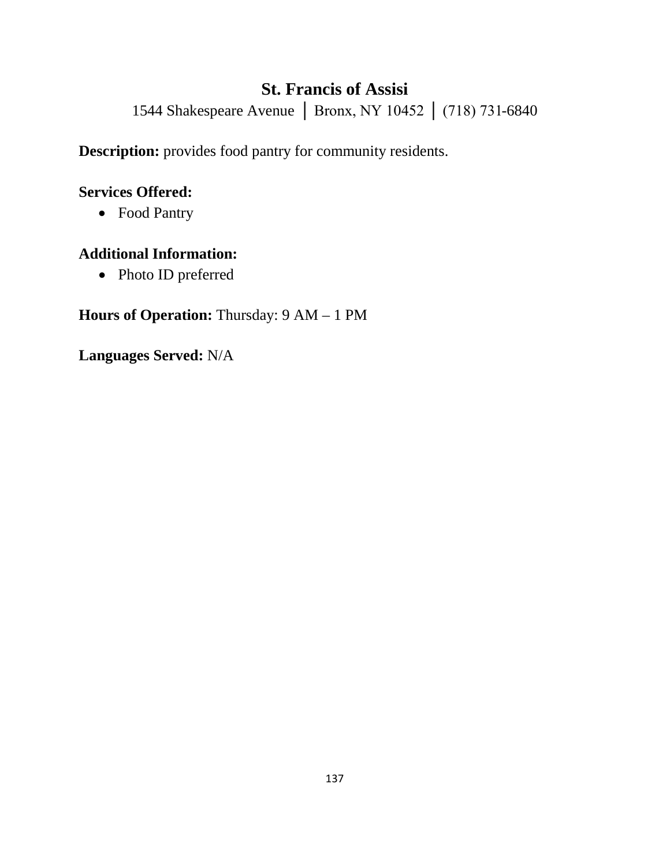## **St. Francis of Assisi**

1544 Shakespeare Avenue | Bronx, NY 10452 | (718) 731-6840

**Description:** provides food pantry for community residents.

#### **Services Offered:**

• Food Pantry

#### **Additional Information:**

• Photo ID preferred

## **Hours of Operation:** Thursday: 9 AM – 1 PM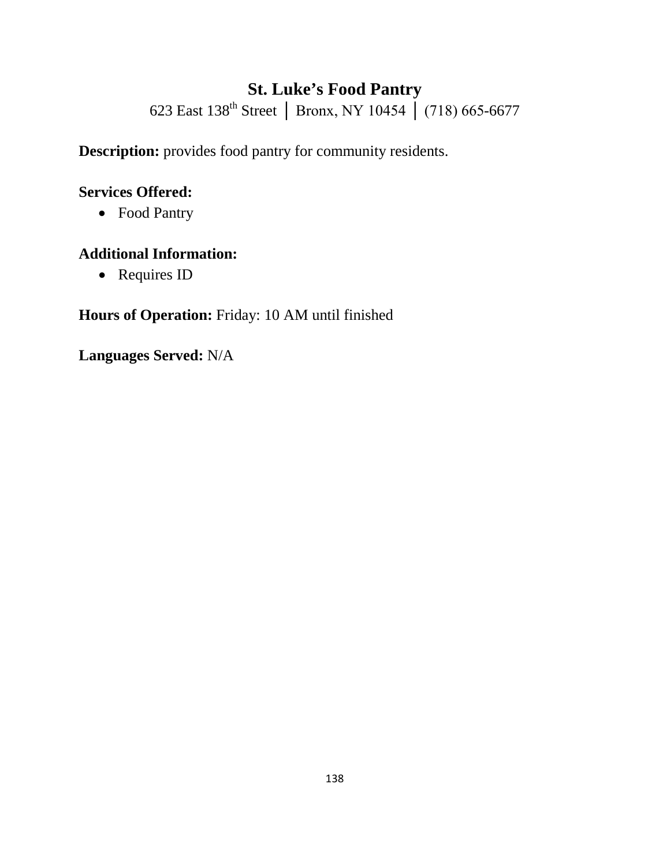# **St. Luke's Food Pantry**

623 East 138th Street │ Bronx, NY 10454 │ (718) 665-6677

**Description:** provides food pantry for community residents.

#### **Services Offered:**

• Food Pantry

#### **Additional Information:**

• Requires ID

## **Hours of Operation:** Friday: 10 AM until finished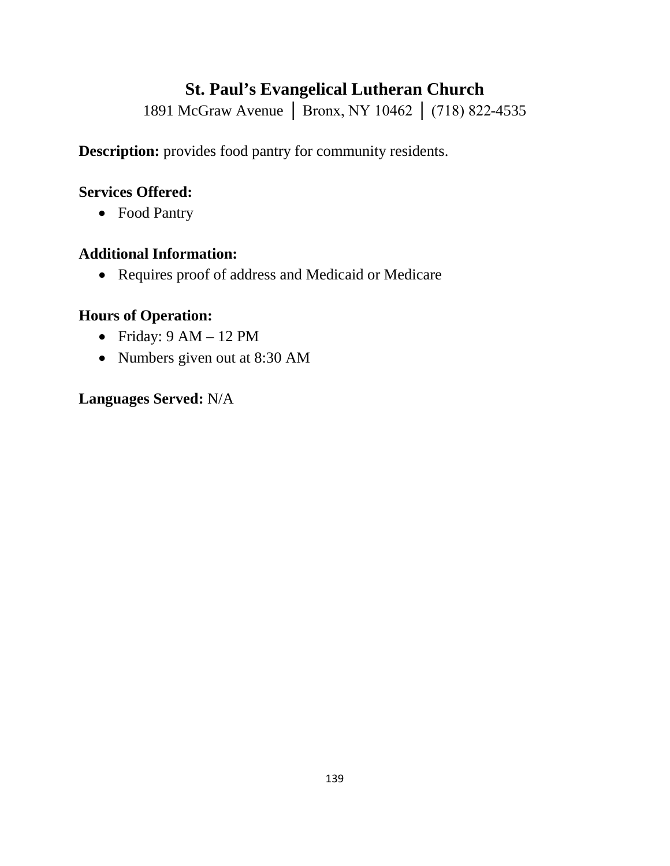## **St. Paul's Evangelical Lutheran Church**

1891 McGraw Avenue │ Bronx, NY 10462 │ (718) 822-4535

**Description:** provides food pantry for community residents.

#### **Services Offered:**

• Food Pantry

#### **Additional Information:**

• Requires proof of address and Medicaid or Medicare

#### **Hours of Operation:**

- Friday:  $9 AM 12 PM$
- Numbers given out at 8:30 AM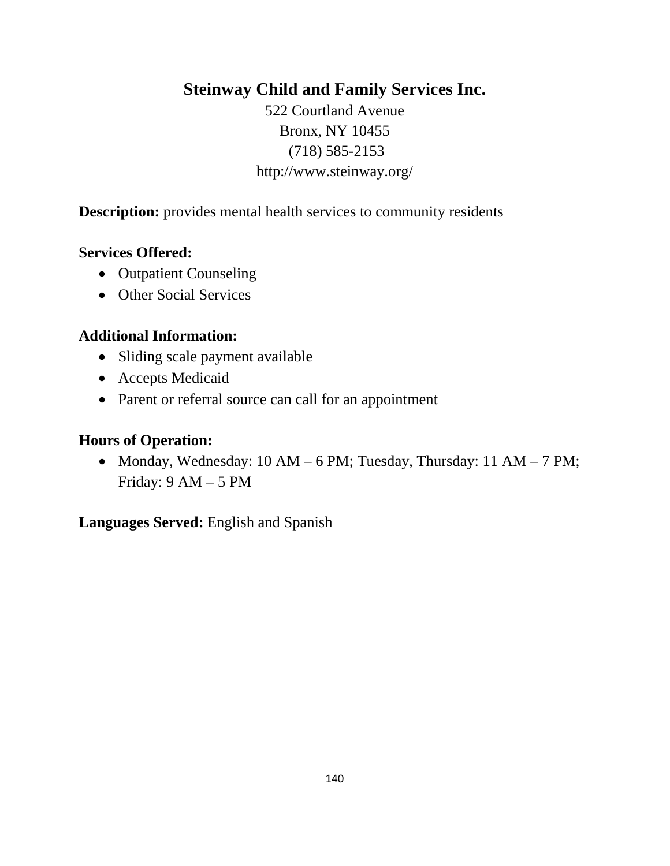### **Steinway Child and Family Services Inc.**

522 Courtland Avenue Bronx, NY 10455 (718) 585-2153 http://www.steinway.org/

**Description:** provides mental health services to community residents

#### **Services Offered:**

- Outpatient Counseling
- Other Social Services

#### **Additional Information:**

- Sliding scale payment available
- Accepts Medicaid
- Parent or referral source can call for an appointment

#### **Hours of Operation:**

• Monday, Wednesday: 10 AM – 6 PM; Tuesday, Thursday: 11 AM – 7 PM; Friday: 9 AM – 5 PM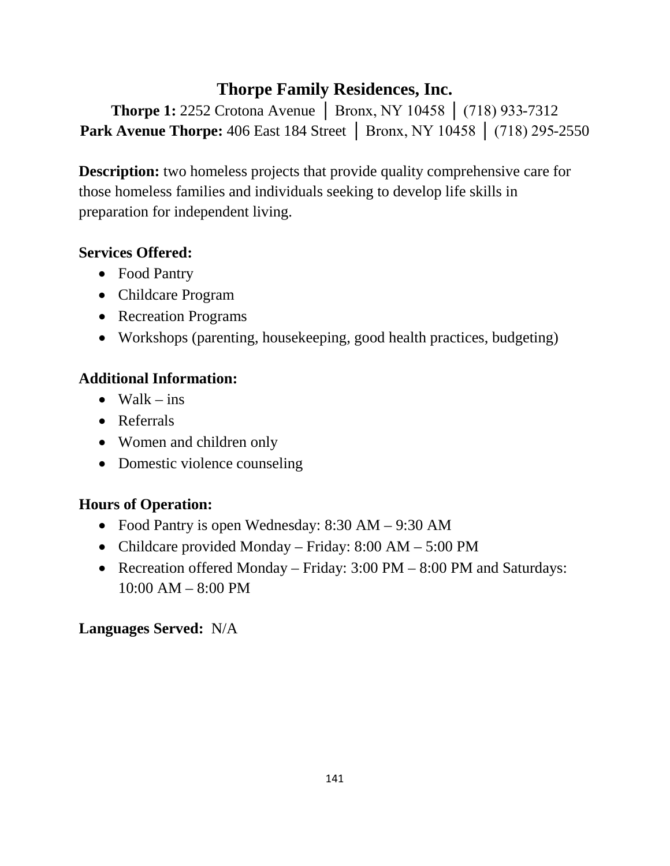## **Thorpe Family Residences, Inc.**

**Thorpe 1:** 2252 Crotona Avenue │ Bronx, NY 10458 │ (718) 933-7312 **Park Avenue Thorpe:** 406 East 184 Street │ Bronx, NY 10458 │ (718) 295-2550

**Description:** two homeless projects that provide quality comprehensive care for those homeless families and individuals seeking to develop life skills in preparation for independent living.

### **Services Offered:**

- Food Pantry
- Childcare Program
- Recreation Programs
- Workshops (parenting, housekeeping, good health practices, budgeting)

### **Additional Information:**

- Walk  $-$  ins
- Referrals
- Women and children only
- Domestic violence counseling

## **Hours of Operation:**

- Food Pantry is open Wednesday: 8:30 AM 9:30 AM
- Childcare provided Monday Friday: 8:00 AM 5:00 PM
- Recreation offered Monday Friday: 3:00 PM 8:00 PM and Saturdays: 10:00 AM – 8:00 PM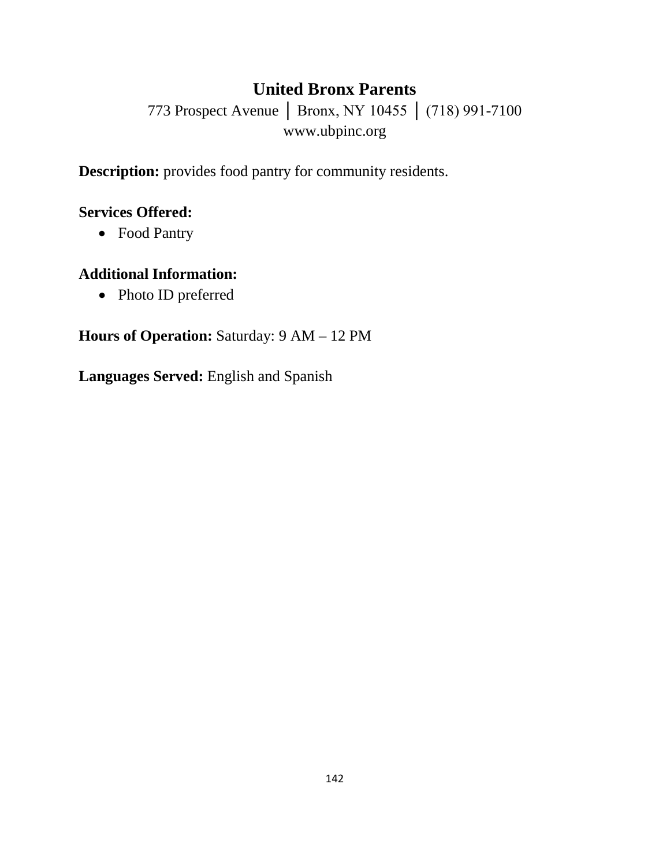## **United Bronx Parents**

773 Prospect Avenue │ Bronx, NY 10455 │ (718) 991-7100 www.ubpinc.org

**Description:** provides food pantry for community residents.

#### **Services Offered:**

• Food Pantry

### **Additional Information:**

• Photo ID preferred

#### **Hours of Operation:** Saturday: 9 AM – 12 PM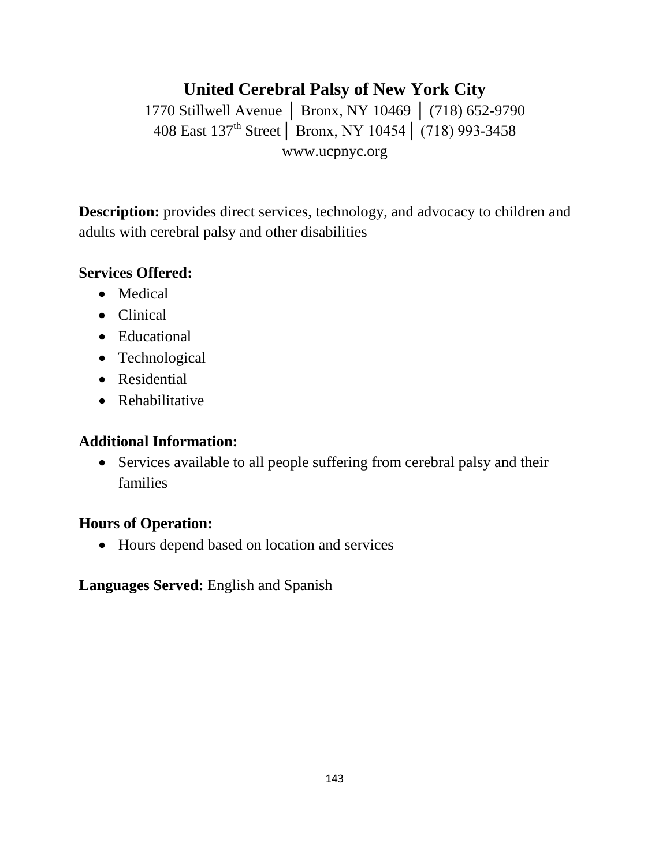## **United Cerebral Palsy of New York City** 1770 Stillwell Avenue | Bronx, NY 10469 | (718) 652-9790 408 East 137th Street│ Bronx, NY 10454│ (718) 993-3458 www.ucpnyc.org

**Description:** provides direct services, technology, and advocacy to children and adults with cerebral palsy and other disabilities

#### **Services Offered:**

- Medical
- Clinical
- Educational
- Technological
- Residential
- Rehabilitative

#### **Additional Information:**

• Services available to all people suffering from cerebral palsy and their families

#### **Hours of Operation:**

• Hours depend based on location and services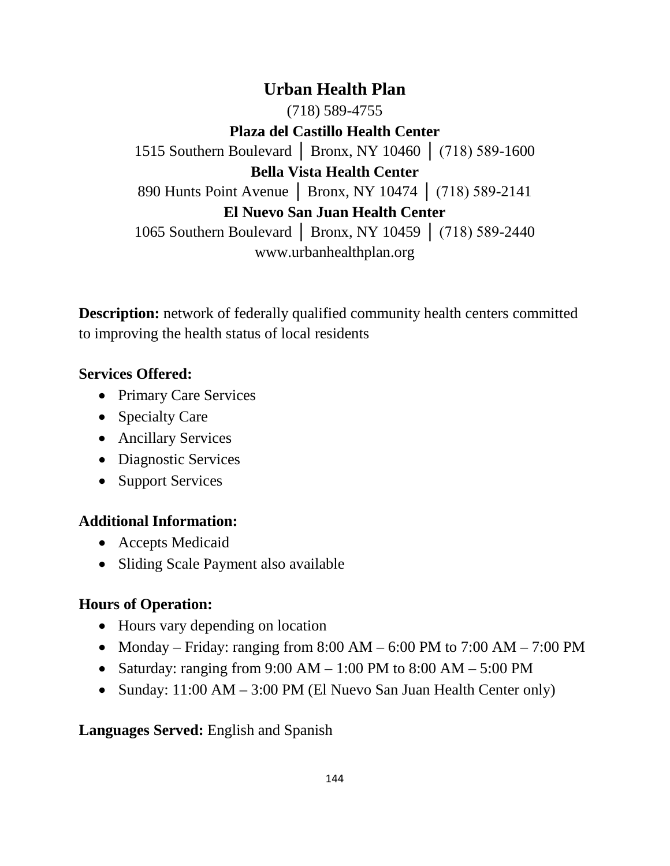**Urban Health Plan** (718) 589-4755 **Plaza del Castillo Health Center** 1515 Southern Boulevard │ Bronx, NY 10460 │ (718) 589-1600 **Bella Vista Health Center** 890 Hunts Point Avenue │ Bronx, NY 10474 │ (718) 589-2141 **El Nuevo San Juan Health Center** 1065 Southern Boulevard | Bronx, NY 10459 | (718) 589-2440 www.urbanhealthplan.org

**Description:** network of federally qualified community health centers committed to improving the health status of local residents

#### **Services Offered:**

- Primary Care Services
- Specialty Care
- Ancillary Services
- Diagnostic Services
- Support Services

#### **Additional Information:**

- Accepts Medicaid
- Sliding Scale Payment also available

#### **Hours of Operation:**

- Hours vary depending on location
- Monday Friday: ranging from  $8:00 \text{ AM} 6:00 \text{ PM}$  to  $7:00 \text{ AM} 7:00 \text{ PM}$
- Saturday: ranging from  $9:00 \text{ AM} 1:00 \text{ PM}$  to  $8:00 \text{ AM} 5:00 \text{ PM}$
- Sunday: 11:00 AM 3:00 PM (El Nuevo San Juan Health Center only)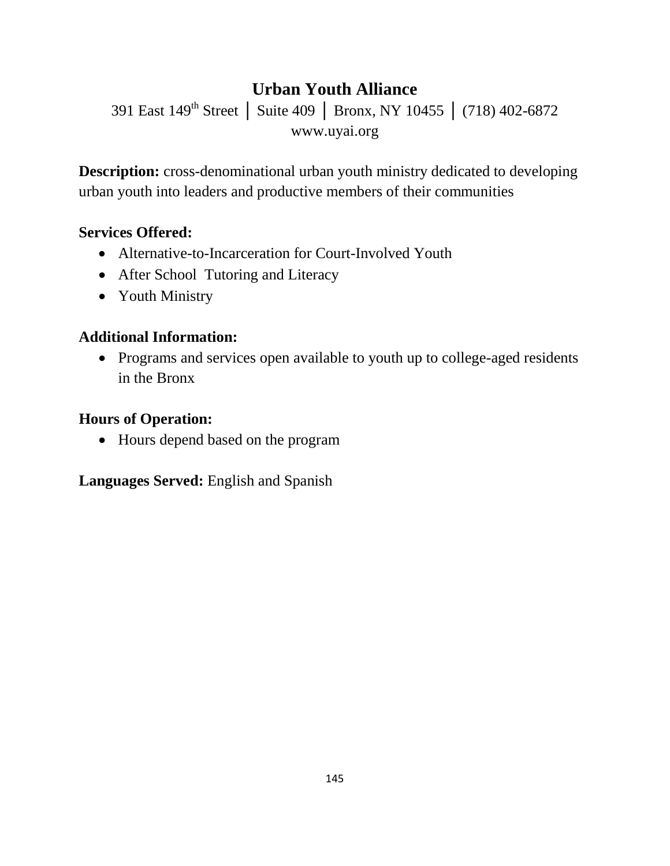# **Urban Youth Alliance**

391 East 149<sup>th</sup> Street | Suite 409 | Bronx, NY 10455 | (718) 402-6872 www.uyai.org

**Description:** cross-denominational urban youth ministry dedicated to developing urban youth into leaders and productive members of their communities

### **Services Offered:**

- Alternative-to-Incarceration for Court-Involved Youth
- After School Tutoring and Literacy
- Youth Ministry

### **Additional Information:**

• Programs and services open available to youth up to college-aged residents in the Bronx

#### **Hours of Operation:**

• Hours depend based on the program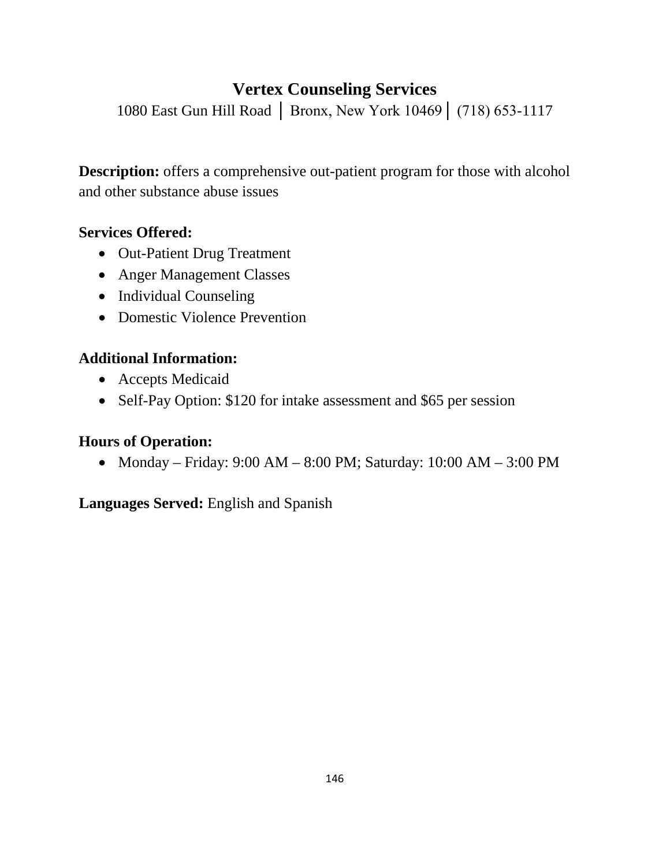## **Vertex Counseling Services**

1080 East Gun Hill Road │ Bronx, New York 10469│ (718) 653-1117

**Description:** offers a comprehensive out-patient program for those with alcohol and other substance abuse issues

### **Services Offered:**

- Out-Patient Drug Treatment
- Anger Management Classes
- Individual Counseling
- Domestic Violence Prevention

## **Additional Information:**

- Accepts Medicaid
- Self-Pay Option: \$120 for intake assessment and \$65 per session

### **Hours of Operation:**

• Monday – Friday: 9:00 AM – 8:00 PM; Saturday: 10:00 AM – 3:00 PM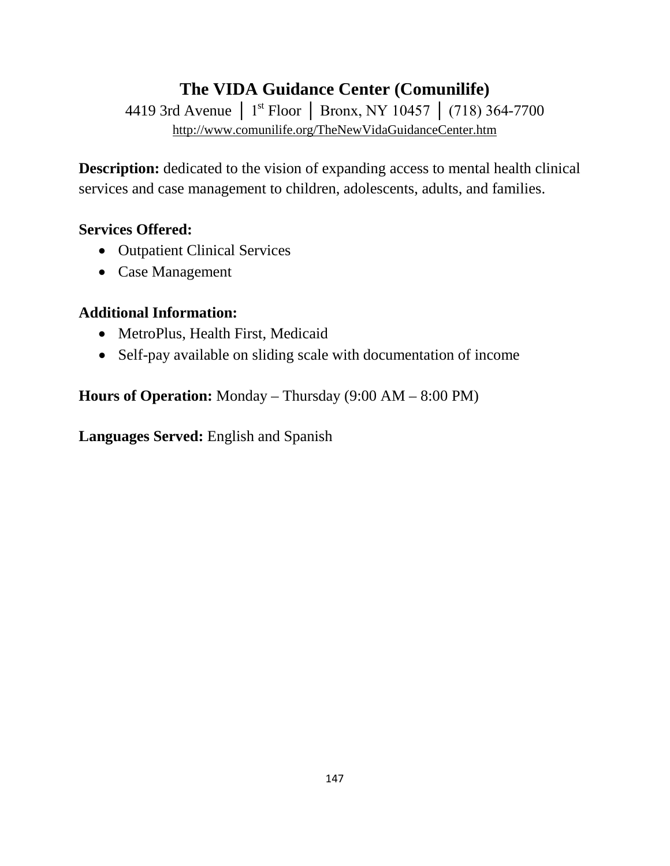# **The VIDA Guidance Center (Comunilife)**

4419 3rd Avenue │ 1<sup>st</sup> Floor │ Bronx, NY 10457 │ (718) 364-7700 <http://www.comunilife.org/TheNewVidaGuidanceCenter.htm>

**Description:** dedicated to the vision of expanding access to mental health clinical services and case management to children, adolescents, adults, and families.

#### **Services Offered:**

- Outpatient Clinical Services
- Case Management

#### **Additional Information:**

- MetroPlus, Health First, Medicaid
- Self-pay available on sliding scale with documentation of income

**Hours of Operation:** Monday – Thursday (9:00 AM – 8:00 PM)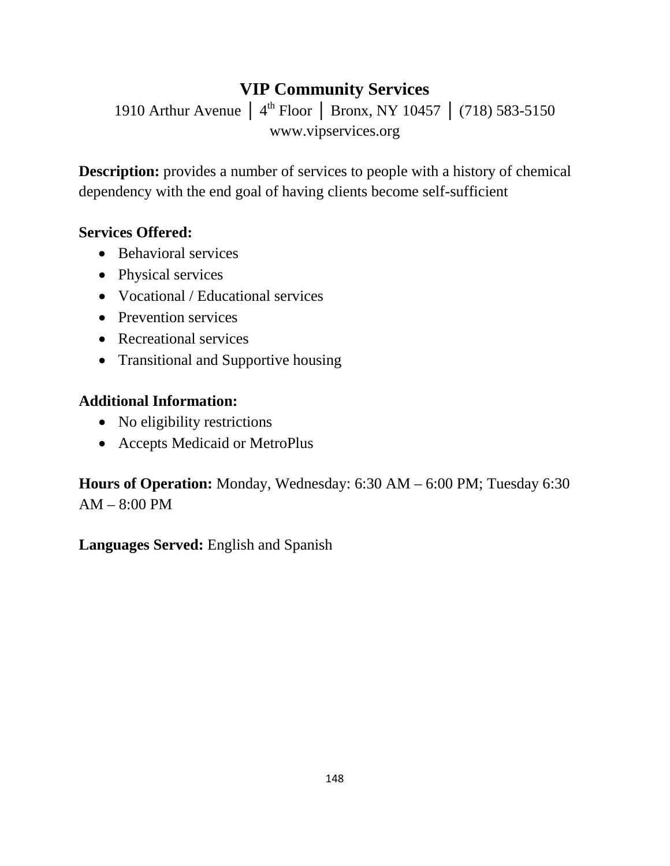# **VIP Community Services**

1910 Arthur Avenue │ 4<sup>th</sup> Floor │ Bronx, NY 10457 │ (718) 583-5150 www.vipservices.org

**Description:** provides a number of services to people with a history of chemical dependency with the end goal of having clients become self-sufficient

### **Services Offered:**

- Behavioral services
- Physical services
- Vocational / Educational services
- Prevention services
- Recreational services
- Transitional and Supportive housing

## **Additional Information:**

- No eligibility restrictions
- Accepts Medicaid or MetroPlus

**Hours of Operation:** Monday, Wednesday: 6:30 AM – 6:00 PM; Tuesday 6:30 AM – 8:00 PM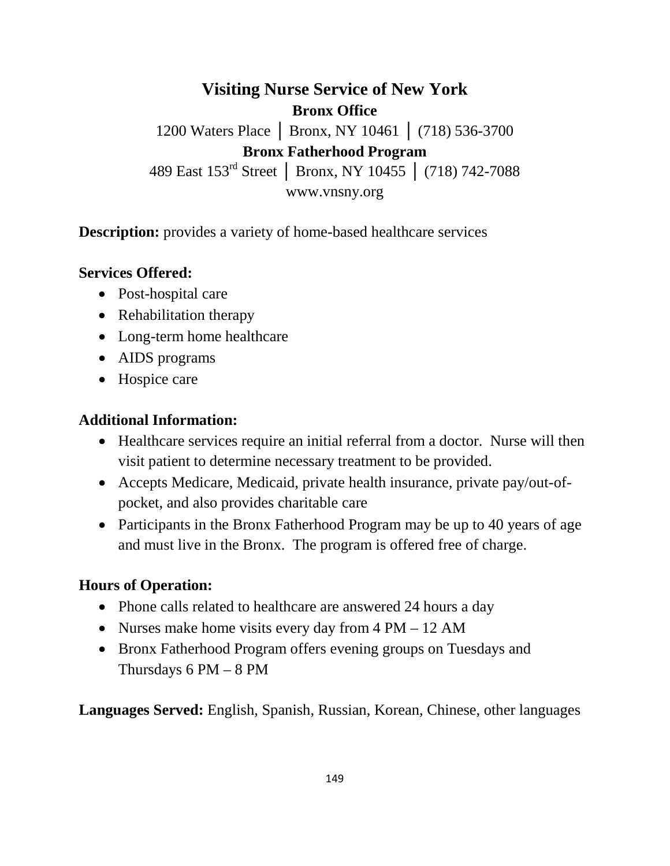**Visiting Nurse Service of New York Bronx Office** 1200 Waters Place │ Bronx, NY 10461 │ (718) 536-3700 **Bronx Fatherhood Program** 489 East 153rd Street │ Bronx, NY 10455 │ (718) 742-7088 www.vnsny.org

**Description:** provides a variety of home-based healthcare services

#### **Services Offered:**

- Post-hospital care
- Rehabilitation therapy
- Long-term home healthcare
- AIDS programs
- Hospice care

### **Additional Information:**

- Healthcare services require an initial referral from a doctor. Nurse will then visit patient to determine necessary treatment to be provided.
- Accepts Medicare, Medicaid, private health insurance, private pay/out-ofpocket, and also provides charitable care
- Participants in the Bronx Fatherhood Program may be up to 40 years of age and must live in the Bronx. The program is offered free of charge.

### **Hours of Operation:**

- Phone calls related to healthcare are answered 24 hours a day
- Nurses make home visits every day from 4 PM 12 AM
- Bronx Fatherhood Program offers evening groups on Tuesdays and Thursdays  $6 PM - 8 PM$

**Languages Served:** English, Spanish, Russian, Korean, Chinese, other languages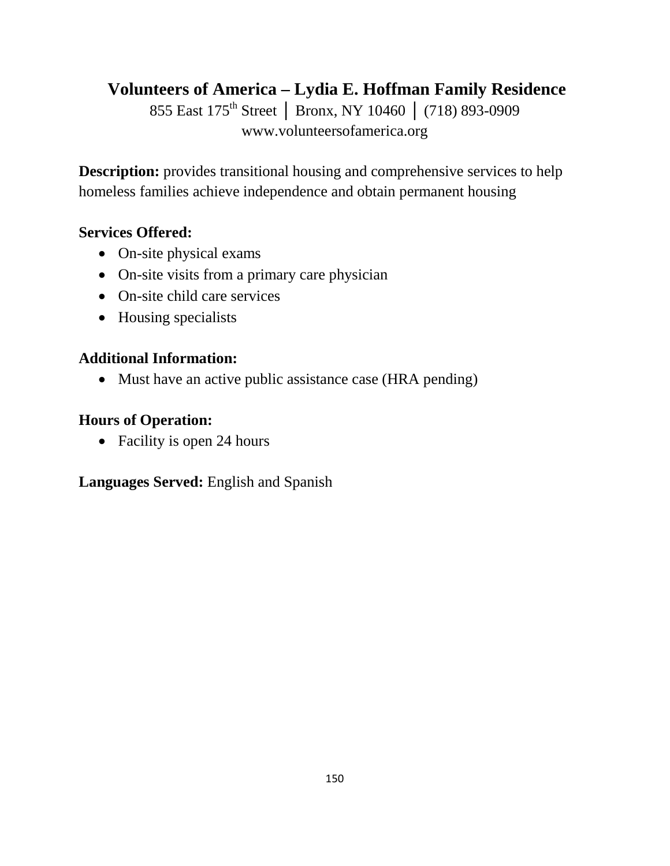**Volunteers of America – Lydia E. Hoffman Family Residence**

855 East 175<sup>th</sup> Street | Bronx, NY 10460 | (718) 893-0909 www.volunteersofamerica.org

**Description:** provides transitional housing and comprehensive services to help homeless families achieve independence and obtain permanent housing

### **Services Offered:**

- On-site physical exams
- On-site visits from a primary care physician
- On-site child care services
- Housing specialists

## **Additional Information:**

• Must have an active public assistance case (HRA pending)

## **Hours of Operation:**

• Facility is open 24 hours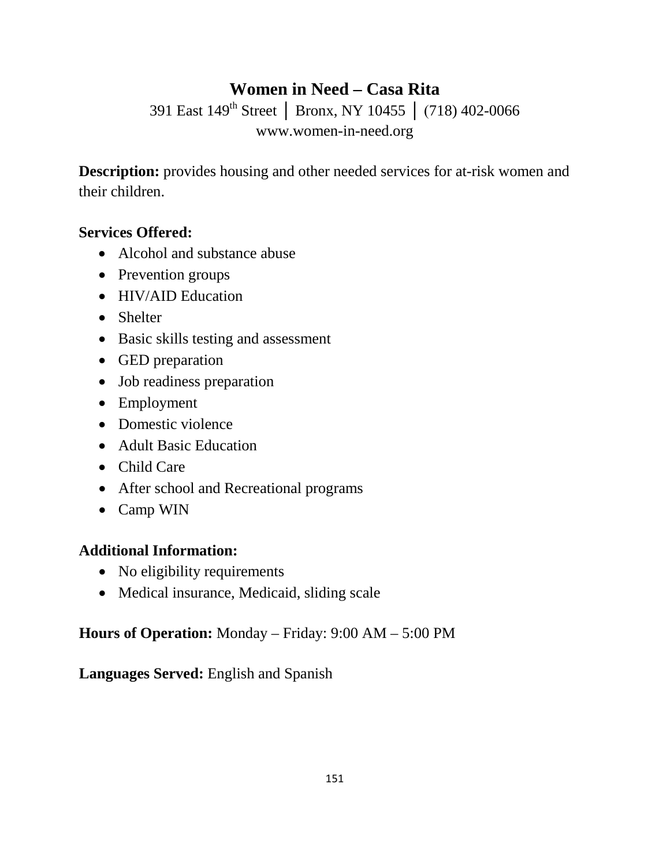# **Women in Need – Casa Rita**

391 East 149th Street │ Bronx, NY 10455 │ (718) 402-0066 www.women-in-need.org

**Description:** provides housing and other needed services for at-risk women and their children.

#### **Services Offered:**

- Alcohol and substance abuse
- Prevention groups
- HIV/AID Education
- Shelter
- Basic skills testing and assessment
- GED preparation
- Job readiness preparation
- Employment
- Domestic violence
- Adult Basic Education
- Child Care
- After school and Recreational programs
- Camp WIN

### **Additional Information:**

- No eligibility requirements
- Medical insurance, Medicaid, sliding scale

### **Hours of Operation:** Monday – Friday: 9:00 AM – 5:00 PM